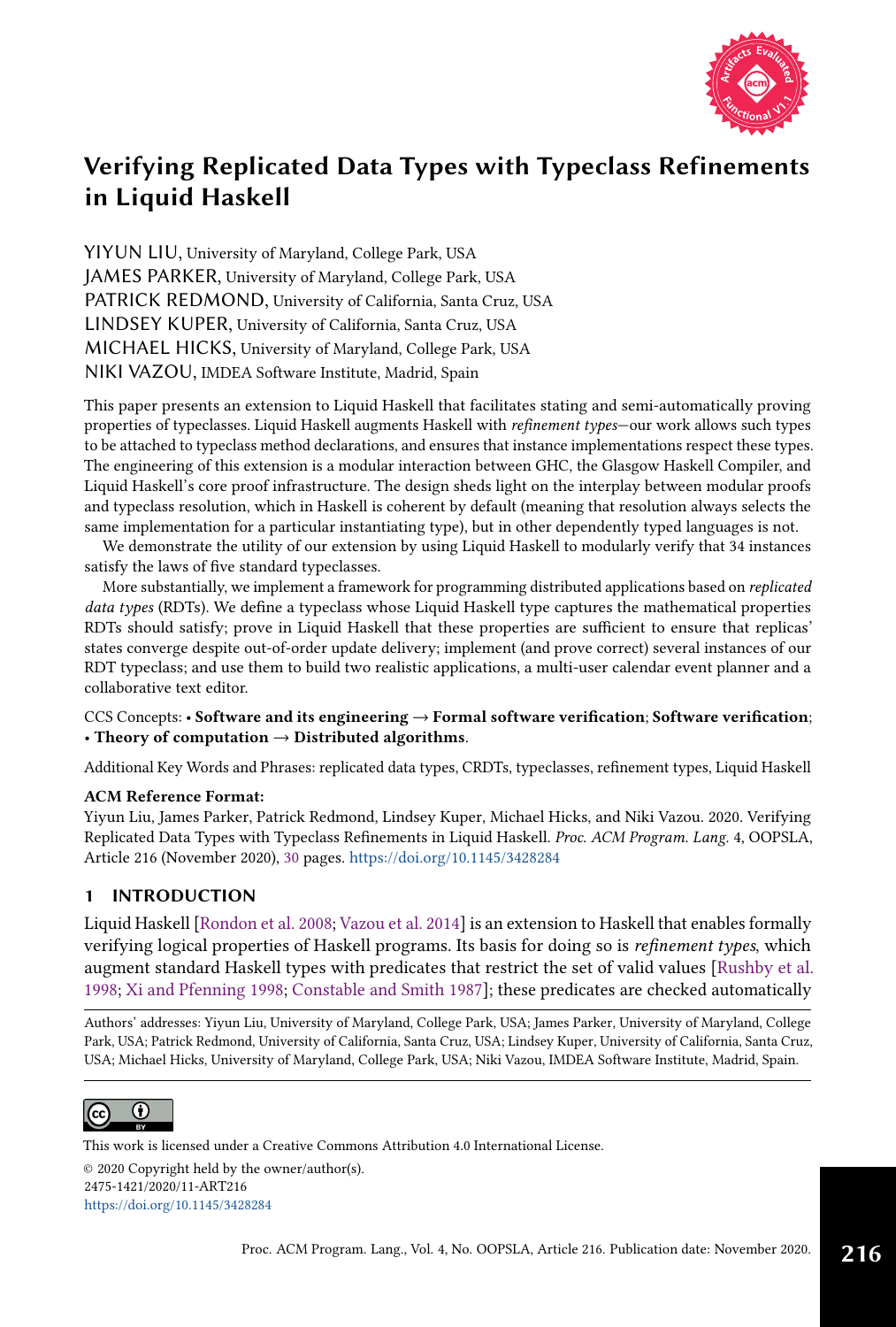

YIYUN LIU, University of Maryland, College Park, USA JAMES PARKER, University of Maryland, College Park, USA PATRICK REDMOND, University of California, Santa Cruz, USA LINDSEY KUPER, University of California, Santa Cruz, USA MICHAEL HICKS, University of Maryland, College Park, USA NIKI VAZOU, IMDEA Software Institute, Madrid, Spain

This paper presents an extension to Liquid Haskell that facilitates stating and semi-automatically proving properties of typeclasses. Liquid Haskell augments Haskell with refinement types-our work allows such types to be attached to typeclass method declarations, and ensures that instance implementations respect these types. The engineering of this extension is a modular interaction between GHC, the Glasgow Haskell Compiler, and Liquid Haskell's core proof infrastructure. The design sheds light on the interplay between modular proofs and typeclass resolution, which in Haskell is coherent by default (meaning that resolution always selects the same implementation for a particular instantiating type), but in other dependently typed languages is not.

We demonstrate the utility of our extension by using Liquid Haskell to modularly verify that 34 instances satisfy the laws of five standard typeclasses.

More substantially, we implement a framework for programming distributed applications based on replicated data types (RDTs). We define a typeclass whose Liquid Haskell type captures the mathematical properties RDTs should satisfy; prove in Liquid Haskell that these properties are sufficient to ensure that replicas' states converge despite out-of-order update delivery; implement (and prove correct) several instances of our RDT typeclass; and use them to build two realistic applications, a multi-user calendar event planner and a collaborative text editor.

### CCS Concepts: • Software and its engineering  $\rightarrow$  Formal software verification; Software verification; • Theory of computation  $\rightarrow$  Distributed algorithms.

Additional Key Words and Phrases: replicated data types, CRDTs, typeclasses, refinement types, Liquid Haskell

#### ACM Reference Format:

Yiyun Liu, James Parker, Patrick Redmond, Lindsey Kuper, Michael Hicks, and Niki Vazou. 2020. Verifying Replicated Data Types with Typeclass Refinements in Liquid Haskell. Proc. ACM Program. Lang. 4, OOPSLA, Article 216 (November 2020), [30](#page-29-0) pages. <https://doi.org/10.1145/3428284>

# 1 INTRODUCTION

Liquid Haskell [\[Rondon et al.](#page-28-0) [2008;](#page-28-0) [Vazou et al.](#page-29-1) [2014\]](#page-29-1) is an extension to Haskell that enables formally verifying logical properties of Haskell programs. Its basis for doing so is refinement types, which augment standard Haskell types with predicates that restrict the set of valid values [\[Rushby et al.](#page-28-1) [1998;](#page-28-1) [Xi and Pfenning 1998;](#page-29-2) [Constable and Smith 1987\]](#page-27-0); these predicates are checked automatically

Authors' addresses: Yiyun Liu, University of Maryland, College Park, USA; James Parker, University of Maryland, College Park, USA; Patrick Redmond, University of California, Santa Cruz, USA; Lindsey Kuper, University of California, Santa Cruz, USA; Michael Hicks, University of Maryland, College Park, USA; Niki Vazou, IMDEA Software Institute, Madrid, Spain.



This work is licensed under a Creative Commons Attribution 4.0 International License.

© 2020 Copyright held by the owner/author(s). 2475-1421/2020/11-ART216 <https://doi.org/10.1145/3428284>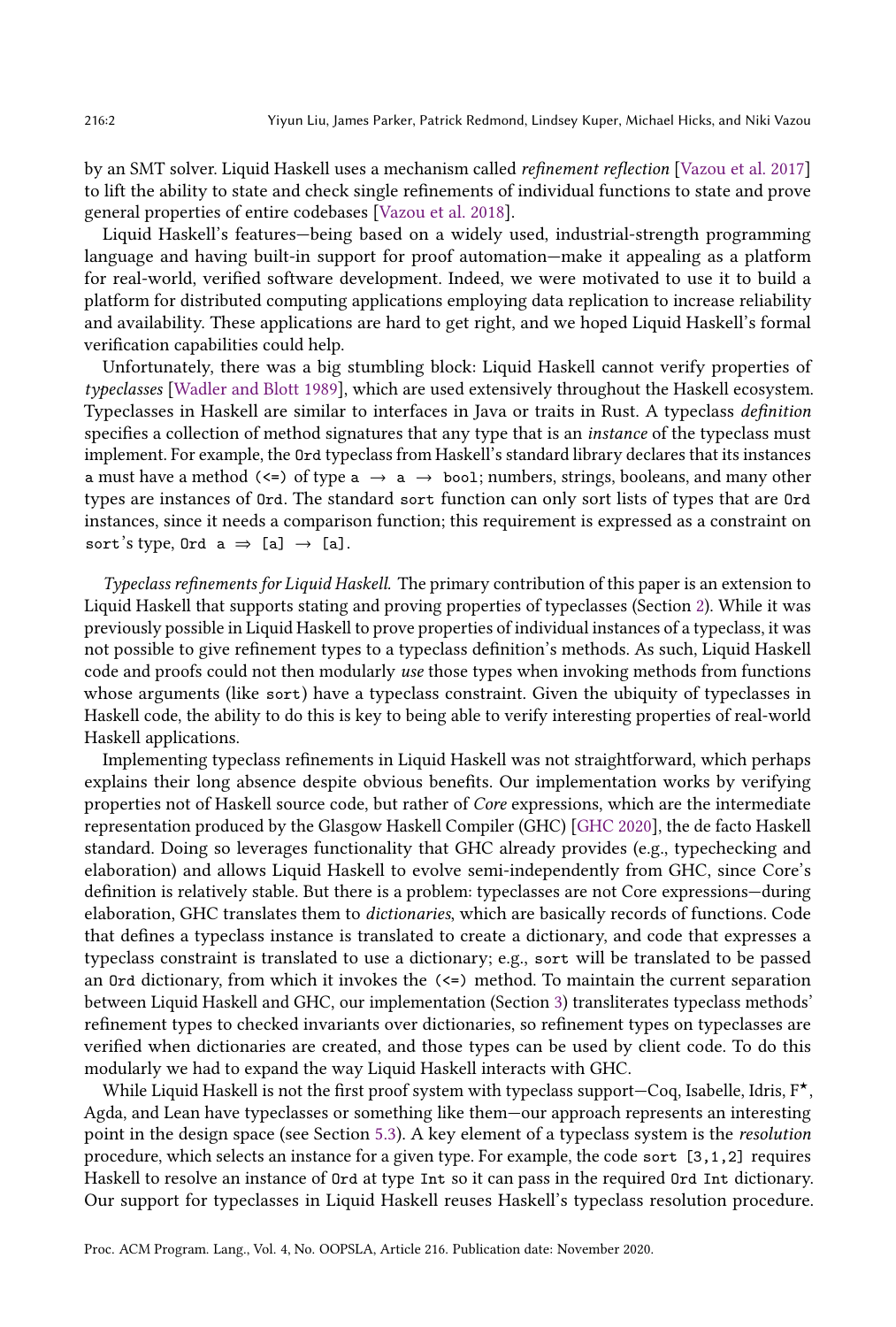by an SMT solver. Liquid Haskell uses a mechanism called refinement reflection [\[Vazou et al.](#page-29-3) [2017\]](#page-29-3) to lift the ability to state and check single refinements of individual functions to state and prove general properties of entire codebases [\[Vazou et al. 2018\]](#page-29-4).

Liquid Haskell's features-being based on a widely used, industrial-strength programming language and having built-in support for proof automation–make it appealing as a platform for real-world, verified software development. Indeed, we were motivated to use it to build a platform for distributed computing applications employing data replication to increase reliability and availability. These applications are hard to get right, and we hoped Liquid Haskell's formal verification capabilities could help.

Unfortunately, there was a big stumbling block: Liquid Haskell cannot verify properties of typeclasses [\[Wadler and Blott 1989\]](#page-29-5), which are used extensively throughout the Haskell ecosystem. Typeclasses in Haskell are similar to interfaces in Java or traits in Rust. A typeclass definition specifies a collection of method signatures that any type that is an *instance* of the typeclass must implement. For example, the Ord typeclass from Haskell's standard library declares that its instances a must have a method  $(\leq)$  of type  $a \rightarrow a \rightarrow b$  ool; numbers, strings, booleans, and many other types are instances of Ord. The standard sort function can only sort lists of types that are Ord instances, since it needs a comparison function; this requirement is expressed as a constraint on sort's type, Ord  $a \Rightarrow [a] \rightarrow [a]$ .

Typeclass refinements for Liquid Haskell. The primary contribution of this paper is an extension to Liquid Haskell that supports stating and proving properties of typeclasses (Section [2\)](#page-3-0). While it was previously possible in Liquid Haskell to prove properties of individual instances of a typeclass, it was not possible to give refinement types to a typeclass definition's methods. As such, Liquid Haskell code and proofs could not then modularly use those types when invoking methods from functions whose arguments (like sort) have a typeclass constraint. Given the ubiquity of typeclasses in Haskell code, the ability to do this is key to being able to verify interesting properties of real-world Haskell applications.

Implementing typeclass refinements in Liquid Haskell was not straightforward, which perhaps explains their long absence despite obvious benefits. Our implementation works by verifying properties not of Haskell source code, but rather of Core expressions, which are the intermediate representation produced by the Glasgow Haskell Compiler (GHC) [\[GHC 2020\]](#page-27-1), the de facto Haskell standard. Doing so leverages functionality that GHC already provides (e.g., typechecking and elaboration) and allows Liquid Haskell to evolve semi-independently from GHC, since Core's definition is relatively stable. But there is a problem: typeclasses are not Core expressions—during elaboration, GHC translates them to dictionaries, which are basically records of functions. Code that defines a typeclass instance is translated to create a dictionary, and code that expresses a typeclass constraint is translated to use a dictionary; e.g., sort will be translated to be passed an Ord dictionary, from which it invokes the (<=) method. To maintain the current separation between Liquid Haskell and GHC, our implementation (Section [3\)](#page-8-0) transliterates typeclass methods' refinement types to checked invariants over dictionaries, so refinement types on typeclasses are verified when dictionaries are created, and those types can be used by client code. To do this modularly we had to expand the way Liquid Haskell interacts with GHC.

While Liquid Haskell is not the first proof system with typeclass support $-C$ oq, Isabelle, Idris,  $F^{\star}$ , Agda, and Lean have typeclasses or something like them-our approach represents an interesting point in the design space (see Section [5.3\)](#page-24-0). A key element of a typeclass system is the resolution procedure, which selects an instance for a given type. For example, the code sort [3,1,2] requires Haskell to resolve an instance of Ord at type Int so it can pass in the required Ord Int dictionary. Our support for typeclasses in Liquid Haskell reuses Haskell's typeclass resolution procedure.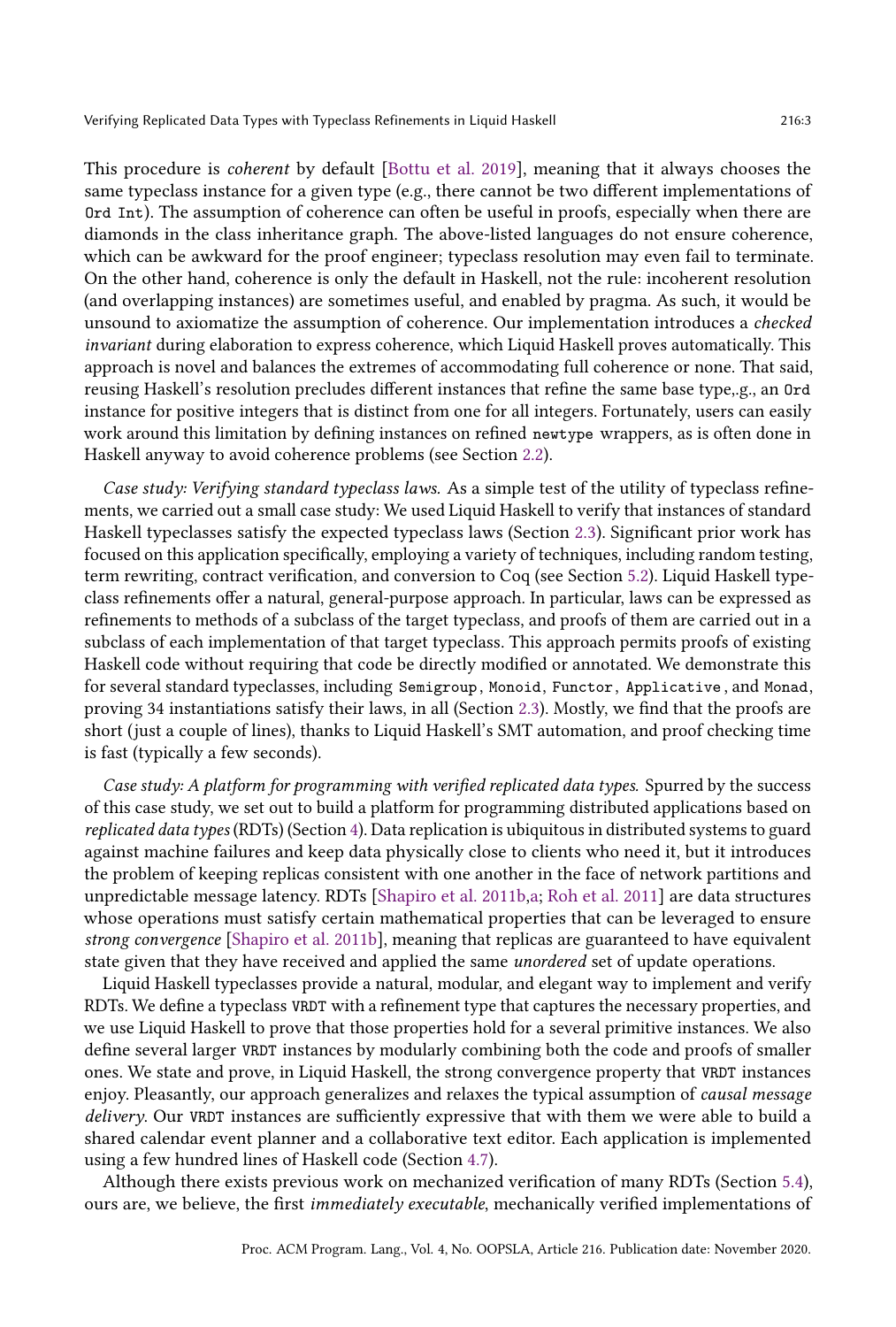This procedure is coherent by default [\[Bottu et al.](#page-27-2) [2019\]](#page-27-2), meaning that it always chooses the same typeclass instance for a given type (e.g., there cannot be two different implementations of Ord Int). The assumption of coherence can often be useful in proofs, especially when there are diamonds in the class inheritance graph. The above-listed languages do not ensure coherence, which can be awkward for the proof engineer; typeclass resolution may even fail to terminate. On the other hand, coherence is only the default in Haskell, not the rule: incoherent resolution (and overlapping instances) are sometimes useful, and enabled by pragma. As such, it would be unsound to axiomatize the assumption of coherence. Our implementation introduces a checked invariant during elaboration to express coherence, which Liquid Haskell proves automatically. This approach is novel and balances the extremes of accommodating full coherence or none. That said, reusing Haskell's resolution precludes different instances that refine the same base type,.g., an Ord instance for positive integers that is distinct from one for all integers. Fortunately, users can easily work around this limitation by defining instances on refined newtype wrappers, as is often done in Haskell anyway to avoid coherence problems (see Section [2.2\)](#page-5-0).

Case study: Verifying standard typeclass laws. As a simple test of the utility of typeclass refinements, we carried out a small case study: We used Liquid Haskell to verify that instances of standard Haskell typeclasses satisfy the expected typeclass laws (Section [2.3\)](#page-7-0). Significant prior work has focused on this application specifically, employing a variety of techniques, including random testing, term rewriting, contract verification, and conversion to Coq (see Section [5.2\)](#page-24-1). Liquid Haskell typeclass refinements offer a natural, general-purpose approach. In particular, laws can be expressed as refinements to methods of a subclass of the target typeclass, and proofs of them are carried out in a subclass of each implementation of that target typeclass. This approach permits proofs of existing Haskell code without requiring that code be directly modified or annotated. We demonstrate this for several standard typeclasses, including Semigroup , Monoid, Functor, Applicative , and Monad, proving 34 instantiations satisfy their laws, in all (Section [2.3\)](#page-7-0). Mostly, we find that the proofs are short (just a couple of lines), thanks to Liquid Haskell's SMT automation, and proof checking time is fast (typically a few seconds).

Case study: A platform for programming with verified replicated data types. Spurred by the success of this case study, we set out to build a platform for programming distributed applications based on replicated data types (RDTs) (Section [4\)](#page-15-0). Data replication is ubiquitous in distributed systems to guard against machine failures and keep data physically close to clients who need it, but it introduces the problem of keeping replicas consistent with one another in the face of network partitions and unpredictable message latency. RDTs [\[Shapiro et al.](#page-29-6) [2011b](#page-29-6)[,a;](#page-29-7) [Roh et al.](#page-28-2) [2011\]](#page-28-2) are data structures whose operations must satisfy certain mathematical properties that can be leveraged to ensure strong convergence [\[Shapiro et al.](#page-29-6) [2011b\]](#page-29-6), meaning that replicas are guaranteed to have equivalent state given that they have received and applied the same unordered set of update operations.

Liquid Haskell typeclasses provide a natural, modular, and elegant way to implement and verify RDTs. We define a typeclass VRDT with a refinement type that captures the necessary properties, and we use Liquid Haskell to prove that those properties hold for a several primitive instances. We also define several larger VRDT instances by modularly combining both the code and proofs of smaller ones. We state and prove, in Liquid Haskell, the strong convergence property that VRDT instances enjoy. Pleasantly, our approach generalizes and relaxes the typical assumption of causal message delivery. Our VRDT instances are sufficiently expressive that with them we were able to build a shared calendar event planner and a collaborative text editor. Each application is implemented using a few hundred lines of Haskell code (Section [4.7\)](#page-22-0).

Although there exists previous work on mechanized verification of many RDTs (Section [5.4\)](#page-25-0), ours are, we believe, the first immediately executable, mechanically verified implementations of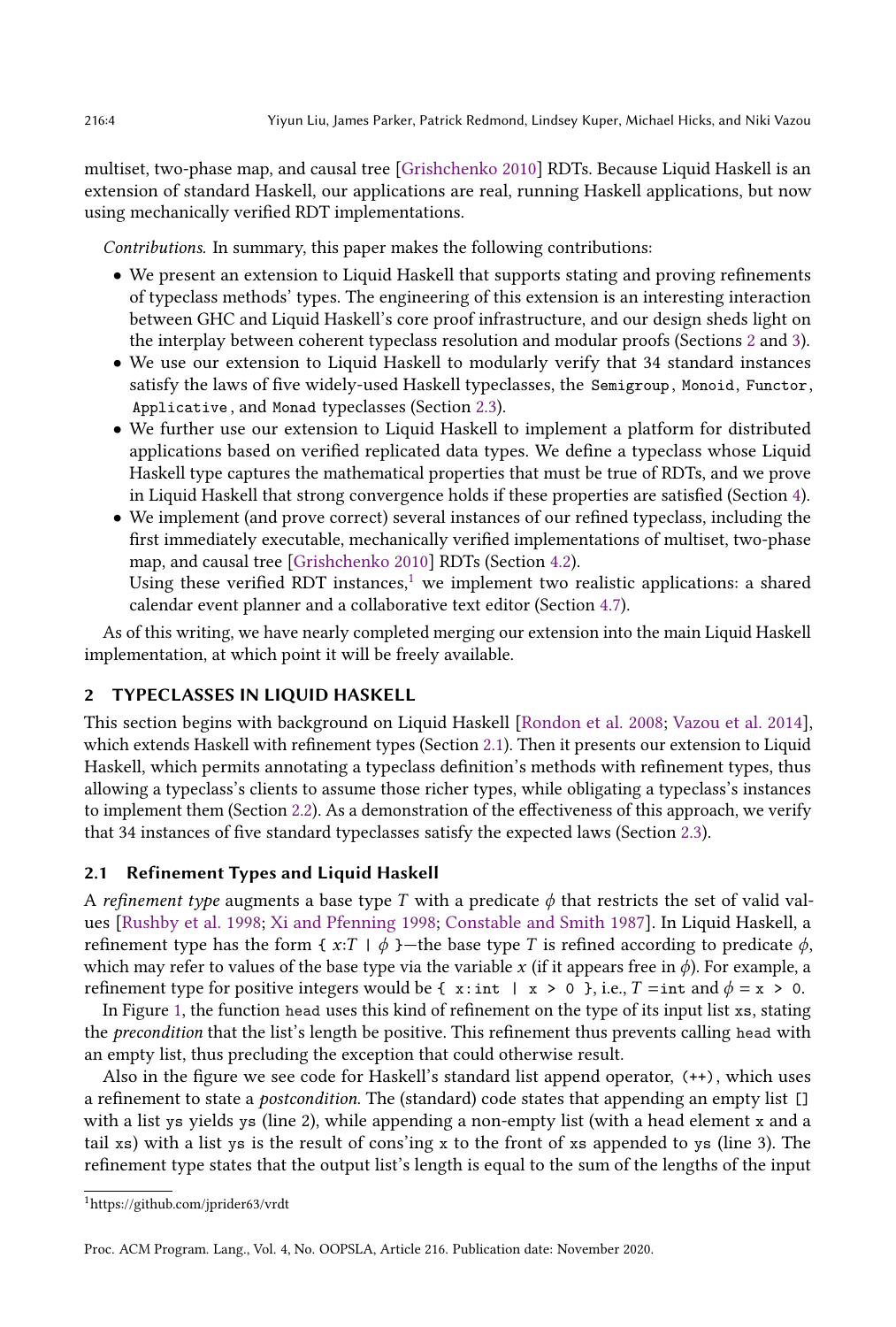multiset, two-phase map, and causal tree [\[Grishchenko 2010\]](#page-28-3) RDTs. Because Liquid Haskell is an extension of standard Haskell, our applications are real, running Haskell applications, but now using mechanically verified RDT implementations.

Contributions. In summary, this paper makes the following contributions:

- We present an extension to Liquid Haskell that supports stating and proving refinements of typeclass methods' types. The engineering of this extension is an interesting interaction between GHC and Liquid Haskell's core proof infrastructure, and our design sheds light on the interplay between coherent typeclass resolution and modular proofs (Sections [2](#page-3-0) and [3\)](#page-8-0).
- We use our extension to Liquid Haskell to modularly verify that 34 standard instances satisfy the laws of five widely-used Haskell typeclasses, the Semigroup , Monoid, Functor, Applicative , and Monad typeclasses (Section [2.3\)](#page-7-0).
- We further use our extension to Liquid Haskell to implement a platform for distributed applications based on verified replicated data types. We define a typeclass whose Liquid Haskell type captures the mathematical properties that must be true of RDTs, and we prove in Liquid Haskell that strong convergence holds if these properties are satisfied (Section [4\)](#page-15-0).
- We implement (and prove correct) several instances of our refined typeclass, including the first immediately executable, mechanically verified implementations of multiset, two-phase map, and causal tree [\[Grishchenko 2010\]](#page-28-3) RDTs (Section [4.2\)](#page-15-1). Using these verified RDT instances, $1$  we implement two realistic applications: a shared

calendar event planner and a collaborative text editor (Section [4.7\)](#page-22-0).

As of this writing, we have nearly completed merging our extension into the main Liquid Haskell implementation, at which point it will be freely available.

# <span id="page-3-0"></span>2 TYPECLASSES IN LIQUID HASKELL

This section begins with background on Liquid Haskell [\[Rondon et al.](#page-28-0) [2008;](#page-28-0) [Vazou et al.](#page-29-1) [2014\]](#page-29-1), which extends Haskell with refinement types (Section [2.1\)](#page-3-2). Then it presents our extension to Liquid Haskell, which permits annotating a typeclass definition's methods with refinement types, thus allowing a typeclass's clients to assume those richer types, while obligating a typeclass's instances to implement them (Section [2.2\)](#page-5-0). As a demonstration of the effectiveness of this approach, we verify that 34 instances of five standard typeclasses satisfy the expected laws (Section [2.3\)](#page-7-0).

### <span id="page-3-2"></span>2.1 Refinement Types and Liquid Haskell

A refinement type augments a base type T with a predicate  $\phi$  that restricts the set of valid values [\[Rushby et al.](#page-28-1) [1998;](#page-28-1) [Xi and Pfenning 1998;](#page-29-2) [Constable and Smith 1987\]](#page-27-0). In Liquid Haskell, a refinement type has the form {  $x:T \mid \phi$  }—the base type T is refined according to predicate  $\phi$ , which may refer to values of the base type via the variable x (if it appears free in  $\phi$ ). For example, a refinement type for positive integers would be {  $x:int \ x > 0$  }, i.e.,  $T = int$  and  $\phi = x > 0$ .

In Figure [1,](#page-4-0) the function head uses this kind of refinement on the type of its input list xs, stating the precondition that the list's length be positive. This refinement thus prevents calling head with an empty list, thus precluding the exception that could otherwise result.

Also in the figure we see code for Haskell's standard list append operator, (++), which uses a refinement to state a postcondition. The (standard) code states that appending an empty list [] with a list ys yields ys (line 2), while appending a non-empty list (with a head element x and a tail xs) with a list ys is the result of cons'ing x to the front of xs appended to ys (line 3). The refinement type states that the output list's length is equal to the sum of the lengths of the input

<span id="page-3-1"></span><sup>1</sup>https://github.com/jprider63/vrdt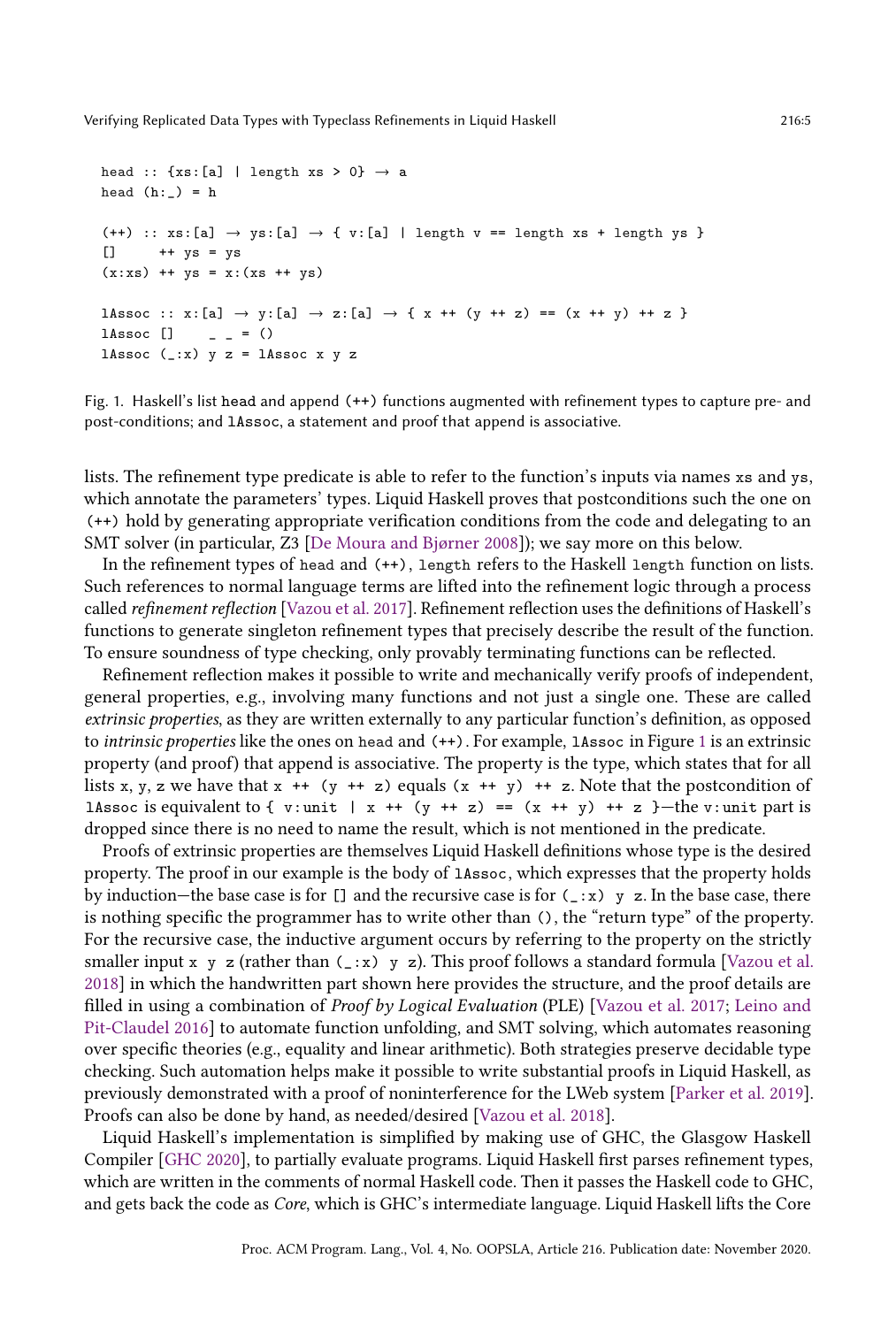```
head :: \{xs:[a] \mid \text{length xs > 0}\} \rightarrow a
head (h:-) = h(++) :: xs:[a] \rightarrow ys:[a] \rightarrow \{ v:[a] \mid length v == length xs + length ys \}[] ++ ys = ys
(x:xs) ++ ys = x:(xs + ys)lAssoc :: x:[a] → y:[a] → z:[a] → { x ++ (y ++ z) == (x ++ y) ++ z }
1Assoc [] _ _ = ()
lAssoc (\_x) y z = lAssoc x y z
```
Fig. 1. Haskell's list head and append (++) functions augmented with refinement types to capture pre- and post-conditions; and lAssoc, a statement and proof that append is associative.

lists. The refinement type predicate is able to refer to the function's inputs via names xs and ys, which annotate the parameters' types. Liquid Haskell proves that postconditions such the one on (++) hold by generating appropriate verification conditions from the code and delegating to an SMT solver (in particular, Z3 [De Moura and Bjørner 2008]); we say more on this below.

In the refinement types of head and (++), length refers to the Haskell length function on lists. Such references to normal language terms are lifted into the refinement logic through a process called refinement reflection [\[Vazou et al.](#page-29-3) [2017\]](#page-29-3). Refinement reflection uses the definitions of Haskell's functions to generate singleton refinement types that precisely describe the result of the function. To ensure soundness of type checking, only provably terminating functions can be reflected.

Refinement reflection makes it possible to write and mechanically verify proofs of independent, general properties, e.g., involving many functions and not just a single one. These are called extrinsic properties, as they are written externally to any particular function's definition, as opposed to intrinsic properties like the ones on head and (++). For example, lAssoc in Figure [1](#page-4-0) is an extrinsic property (and proof) that append is associative. The property is the type, which states that for all lists x, y, z we have that  $x + (y + z)$  equals  $(x + y) + z$ . Note that the postcondition of lAssoc is equivalent to { v:unit | x ++ (y ++ z) == (x ++ y) ++ z }-the v:unit part is dropped since there is no need to name the result, which is not mentioned in the predicate.

Proofs of extrinsic properties are themselves Liquid Haskell definitions whose type is the desired property. The proof in our example is the body of lAssoc, which expresses that the property holds by induction—the base case is for  $[]$  and the recursive case is for  $(.:x)$  y z. In the base case, there is nothing specific the programmer has to write other than (), the "return type" of the property. For the recursive case, the inductive argument occurs by referring to the property on the strictly smaller input x y z (rather than  $(\_x)$  y z). This proof follows a standard formula [\[Vazou et al.](#page-29-4) [2018\]](#page-29-4) in which the handwritten part shown here provides the structure, and the proof details are filled in using a combination of Proof by Logical Evaluation (PLE) [\[Vazou et al.](#page-29-3) [2017;](#page-29-3) [Leino and](#page-28-4) [Pit-Claudel 2016\]](#page-28-4) to automate function unfolding, and SMT solving, which automates reasoning over specific theories (e.g., equality and linear arithmetic). Both strategies preserve decidable type checking. Such automation helps make it possible to write substantial proofs in Liquid Haskell, as previously demonstrated with a proof of noninterference for the LWeb system [\[Parker et al.](#page-28-5) [2019\]](#page-28-5). Proofs can also be done by hand, as needed/desired [\[Vazou et al. 2018\]](#page-29-4).

Liquid Haskell's implementation is simplified by making use of GHC, the Glasgow Haskell Compiler [\[GHC 2020\]](#page-27-1), to partially evaluate programs. Liquid Haskell first parses refinement types, which are written in the comments of normal Haskell code. Then it passes the Haskell code to GHC, and gets back the code as Core, which is GHC's intermediate language. Liquid Haskell lifts the Core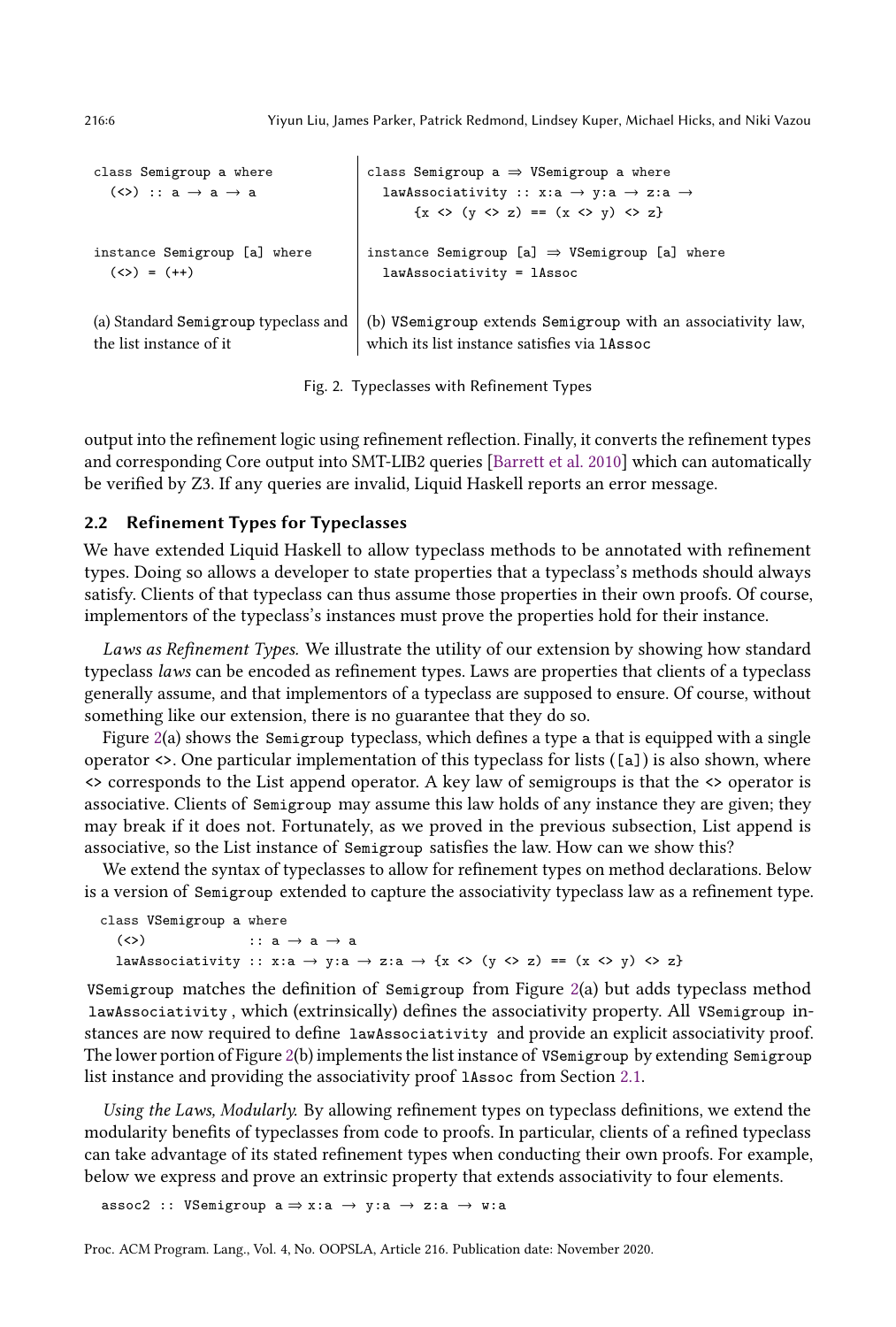```
class Semigroup a where
  (\langle \rangle) :: a \rightarrow a \rightarrow ainstance Semigroup [a] where
  (\langle \rangle = (+))class Semigroup a \Rightarrow VSemigroup a where
                                                   lawAssociativity :: x:a \rightarrow y:a \rightarrow z:a \rightarrow\{x \Leftrightarrow (y \Leftrightarrow z) == (x \Leftrightarrow y) \Leftrightarrow z\}instance Semigroup [a] \Rightarrow VSemigroup [a] where
                                                   lawAssociativity = lAssoc
(a) Standard Semigroup typeclass and
the list instance of it
                                                 (b) VSemigroup extends Semigroup with an associativity law,
                                                 which its list instance satisfies via lAssoc
```
Fig. 2. Typeclasses with Refinement Types

output into the refinement logic using refinement reflection. Finally, it converts the refinement types and corresponding Core output into SMT-LIB2 queries [\[Barrett et al.](#page-27-4) [2010\]](#page-27-4) which can automatically be verified by Z3. If any queries are invalid, Liquid Haskell reports an error message.

# <span id="page-5-0"></span>2.2 Refinement Types for Typeclasses

We have extended Liquid Haskell to allow typeclass methods to be annotated with refinement types. Doing so allows a developer to state properties that a typeclass's methods should always satisfy. Clients of that typeclass can thus assume those properties in their own proofs. Of course, implementors of the typeclass's instances must prove the properties hold for their instance.

Laws as Refinement Types. We illustrate the utility of our extension by showing how standard typeclass laws can be encoded as refinement types. Laws are properties that clients of a typeclass generally assume, and that implementors of a typeclass are supposed to ensure. Of course, without something like our extension, there is no guarantee that they do so.

Figure  $2(a)$  $2(a)$  shows the Semigroup typeclass, which defines a type a that is equipped with a single operator <>. One particular implementation of this typeclass for lists ([a]) is also shown, where <> corresponds to the List append operator. A key law of semigroups is that the <> operator is associative. Clients of Semigroup may assume this law holds of any instance they are given; they may break if it does not. Fortunately, as we proved in the previous subsection, List append is associative, so the List instance of Semigroup satisfies the law. How can we show this?

We extend the syntax of typeclasses to allow for refinement types on method declarations. Below is a version of Semigroup extended to capture the associativity typeclass law as a refinement type.

```
class VSemigroup a where
  (\langle \rangle) :: a \rightarrow a \rightarrow alawAssociativity :: x:a \rightarrow y:a \rightarrow z:a \rightarrow {x <> (y <> z) == (x <> y) <> z}
```
VSemigroup matches the definition of Semigroup from Figure [2\(](#page-5-1)a) but adds typeclass method lawAssociativity , which (extrinsically) defines the associativity property. All VSemigroup instances are now required to define lawAssociativity and provide an explicit associativity proof. The lower portion of Figure [2\(](#page-5-1)b) implements the list instance of VSemigroup by extending Semigroup list instance and providing the associativity proof lAssoc from Section [2.1.](#page-3-2)

Using the Laws, Modularly. By allowing refinement types on typeclass definitions, we extend the modularity benefits of typeclasses from code to proofs. In particular, clients of a refined typeclass can take advantage of its stated refinement types when conducting their own proofs. For example, below we express and prove an extrinsic property that extends associativity to four elements.

assoc2 :: VSemigroup  $a \Rightarrow x : a \rightarrow y : a \rightarrow z : a \rightarrow w : a$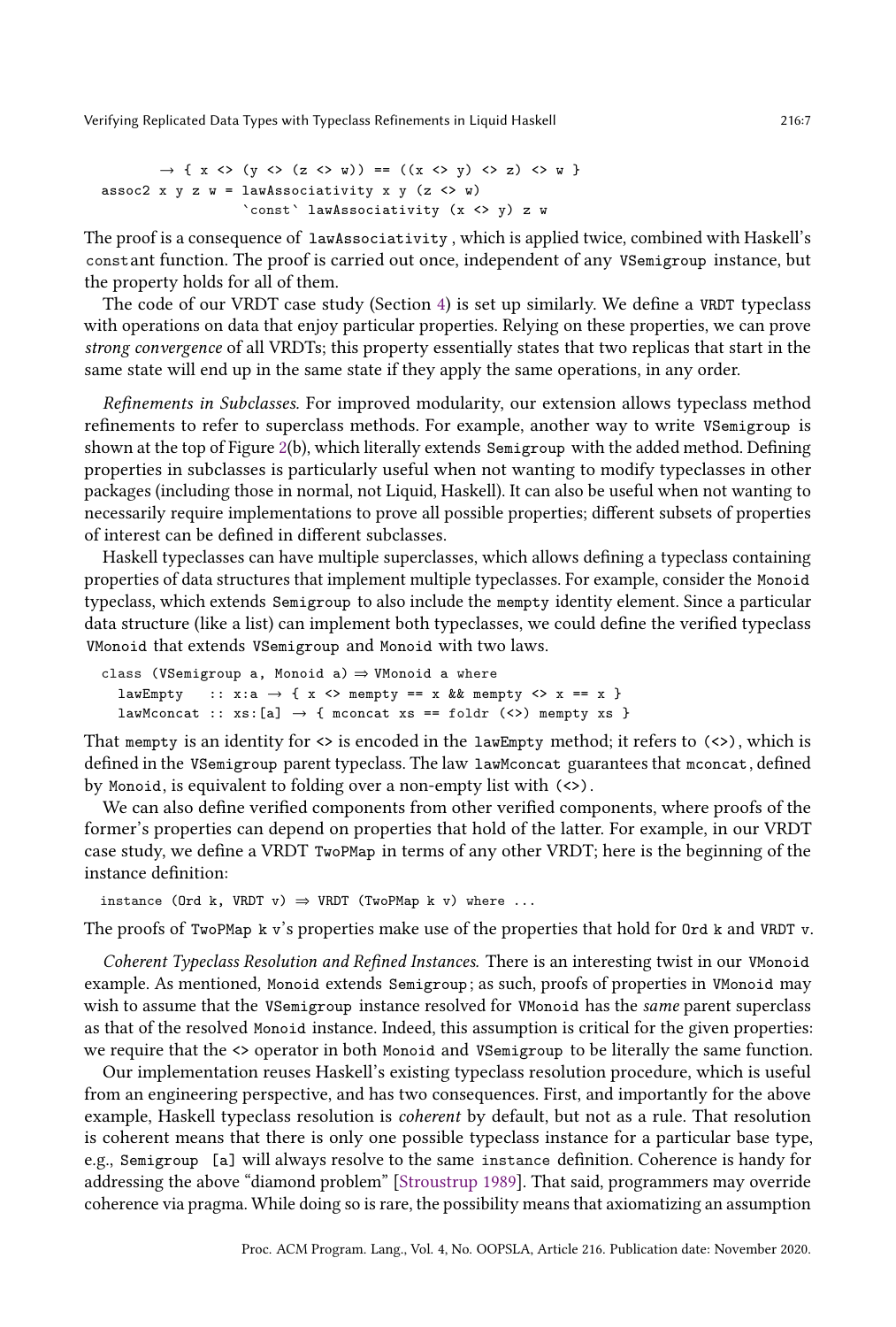```
\rightarrow { x <> (y <> (z <> w)) == ((x <> y) <> z) <> w }
assoc2 x y z w = lawAssociativity x y (z \leftrightarrow w)`const` lawAssociativity (x <> y) z w
```
The proof is a consequence of lawAssociativity , which is applied twice, combined with Haskell's constant function. The proof is carried out once, independent of any VSemigroup instance, but the property holds for all of them.

The code of our VRDT case study (Section [4\)](#page-15-0) is set up similarly. We define a VRDT typeclass with operations on data that enjoy particular properties. Relying on these properties, we can prove strong convergence of all VRDTs; this property essentially states that two replicas that start in the same state will end up in the same state if they apply the same operations, in any order.

Refinements in Subclasses. For improved modularity, our extension allows typeclass method refinements to refer to superclass methods. For example, another way to write VSemigroup is shown at the top of Figure [2\(](#page-5-1)b), which literally extends Semigroup with the added method. Defining properties in subclasses is particularly useful when not wanting to modify typeclasses in other packages (including those in normal, not Liquid, Haskell). It can also be useful when not wanting to necessarily require implementations to prove all possible properties; different subsets of properties of interest can be defined in different subclasses.

Haskell typeclasses can have multiple superclasses, which allows defining a typeclass containing properties of data structures that implement multiple typeclasses. For example, consider the Monoid typeclass, which extends Semigroup to also include the mempty identity element. Since a particular data structure (like a list) can implement both typeclasses, we could define the verified typeclass VMonoid that extends VSemigroup and Monoid with two laws.

```
class (VSemigroup a, Monoid a) \Rightarrow VMonoid a where
  lawEmpty :: x: a \rightarrow \{ x \Leftrightarrow \text{memory} == x \&\& \text{memory} \Leftrightarrow x == x \}lawMconcat :: xs:[a] \rightarrow { mconcat xs == foldr (<>) mempty xs }
```
That mempty is an identity for  $\langle \rangle$  is encoded in the lawEmpty method; it refers to  $\langle \rangle$ , which is defined in the VSemigroup parent typeclass. The law lawMconcat guarantees that mconcat, defined by Monoid, is equivalent to folding over a non-empty list with (<>).

We can also define verified components from other verified components, where proofs of the former's properties can depend on properties that hold of the latter. For example, in our VRDT case study, we define a VRDT TwoPMap in terms of any other VRDT; here is the beginning of the instance definition:

```
instance (Ord k, VRDT v) \Rightarrow VRDT (TwoPMap k v) where ...
```
The proofs of TwoPMap k v's properties make use of the properties that hold for Ord k and VRDT v.

Coherent Typeclass Resolution and Refined Instances. There is an interesting twist in our VMonoid example. As mentioned, Monoid extends Semigroup ; as such, proofs of properties in VMonoid may wish to assume that the VSemigroup instance resolved for VMonoid has the same parent superclass as that of the resolved Monoid instance. Indeed, this assumption is critical for the given properties: we require that the <> operator in both Monoid and VSemigroup to be literally the same function.

Our implementation reuses Haskell's existing typeclass resolution procedure, which is useful from an engineering perspective, and has two consequences. First, and importantly for the above example, Haskell typeclass resolution is coherent by default, but not as a rule. That resolution is coherent means that there is only one possible typeclass instance for a particular base type, e.g., Semigroup [a] will always resolve to the same instance definition. Coherence is handy for addressing the above "diamond problem" [\[Stroustrup 1989\]](#page-29-8). That said, programmers may override coherence via pragma. While doing so is rare, the possibility means that axiomatizing an assumption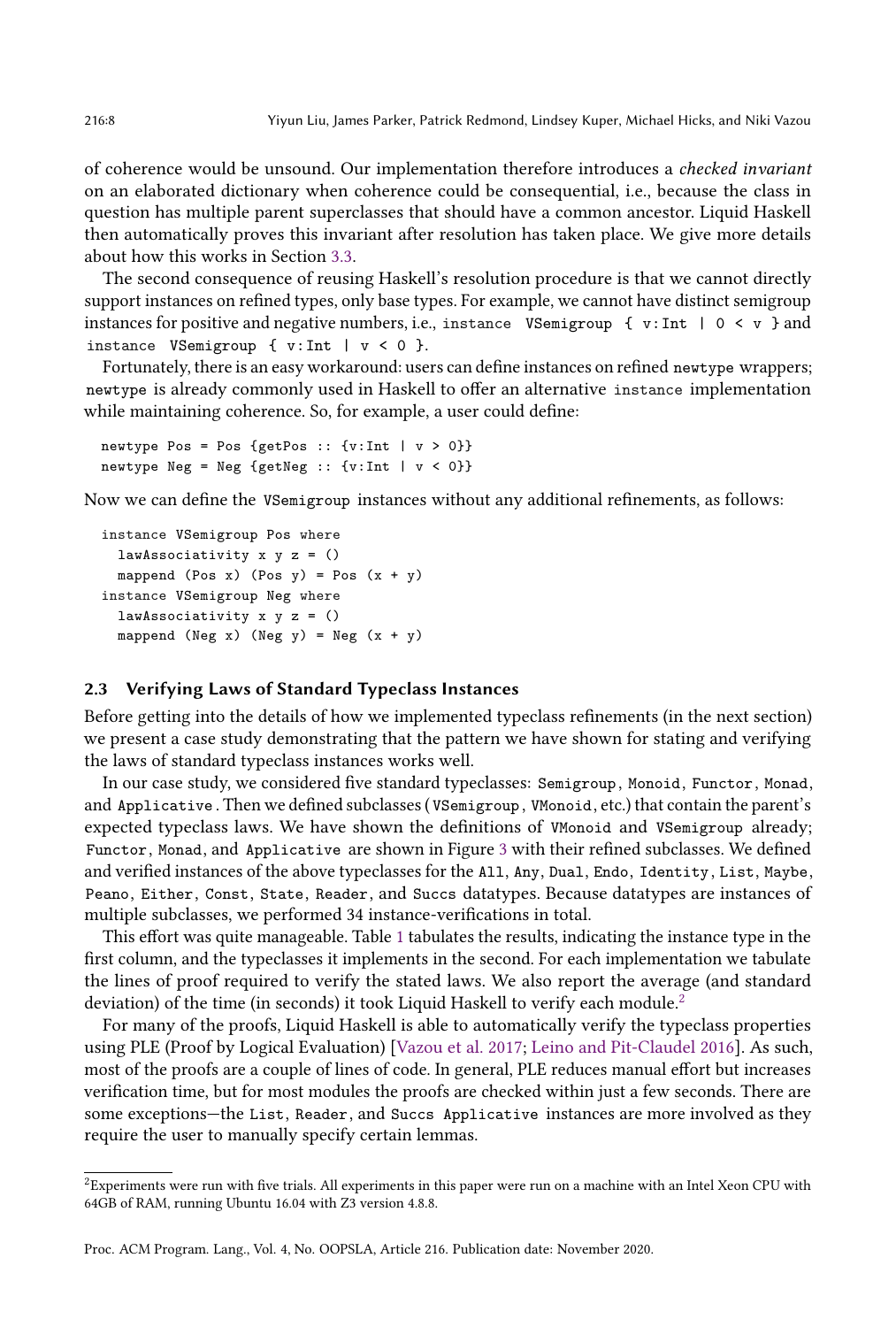of coherence would be unsound. Our implementation therefore introduces a checked invariant on an elaborated dictionary when coherence could be consequential, i.e., because the class in question has multiple parent superclasses that should have a common ancestor. Liquid Haskell then automatically proves this invariant after resolution has taken place. We give more details about how this works in Section [3.3.](#page-12-0)

The second consequence of reusing Haskell's resolution procedure is that we cannot directly support instances on refined types, only base types. For example, we cannot have distinct semigroup instances for positive and negative numbers, i.e., instance VSemigroup { v:Int |  $0 < v$  } and instance VSemigroup {  $v: Int$  |  $v < 0$  }.

Fortunately, there is an easy workaround: users can define instances on refined newtype wrappers; newtype is already commonly used in Haskell to offer an alternative instance implementation while maintaining coherence. So, for example, a user could define:

```
newtype Pos = Pos {getPos :: {v:Int | v > 0}}
newtype Neg = Neg {getNeg :: {v:Int | v < 0}}
```
Now we can define the VSemigroup instances without any additional refinements, as follows:

```
instance VSemigroup Pos where
 lawAssociativity x y z = ()
 mappend (Pos x) (Pos y) = Pos (x + y)instance VSemigroup Neg where
 lawAssociativity x y z = ()
 mappend (Neg x) (Neg y) = Neg (x + y)
```
### <span id="page-7-0"></span>2.3 Verifying Laws of Standard Typeclass Instances

Before getting into the details of how we implemented typeclass refinements (in the next section) we present a case study demonstrating that the pattern we have shown for stating and verifying the laws of standard typeclass instances works well.

In our case study, we considered five standard typeclasses: Semigroup , Monoid, Functor, Monad, and Applicative . Then we defined subclasses ( VSemigroup , VMonoid, etc.) that contain the parent's expected typeclass laws. We have shown the definitions of VMonoid and VSemigroup already; Functor, Monad, and Applicative are shown in Figure [3](#page-8-1) with their refined subclasses. We defined and verified instances of the above typeclasses for the All, Any, Dual, Endo, Identity, List, Maybe, Peano, Either, Const, State, Reader, and Succs datatypes. Because datatypes are instances of multiple subclasses, we performed 34 instance-verifications in total.

This effort was quite manageable. Table [1](#page-9-0) tabulates the results, indicating the instance type in the first column, and the typeclasses it implements in the second. For each implementation we tabulate the lines of proof required to verify the stated laws. We also report the average (and standard deviation) of the time (in seconds) it took Liquid Haskell to verify each module.<sup>[2](#page-7-1)</sup>

For many of the proofs, Liquid Haskell is able to automatically verify the typeclass properties using PLE (Proof by Logical Evaluation) [\[Vazou et al.](#page-29-3) [2017;](#page-29-3) [Leino and Pit-Claudel 2016\]](#page-28-4). As such, most of the proofs are a couple of lines of code. In general, PLE reduces manual effort but increases verification time, but for most modules the proofs are checked within just a few seconds. There are some exceptions-the List, Reader, and Succs Applicative instances are more involved as they require the user to manually specify certain lemmas.

<span id="page-7-1"></span> ${}^{2}$ Experiments were run with five trials. All experiments in this paper were run on a machine with an Intel Xeon CPU with 64GB of RAM, running Ubuntu 16.04 with Z3 version 4.8.8.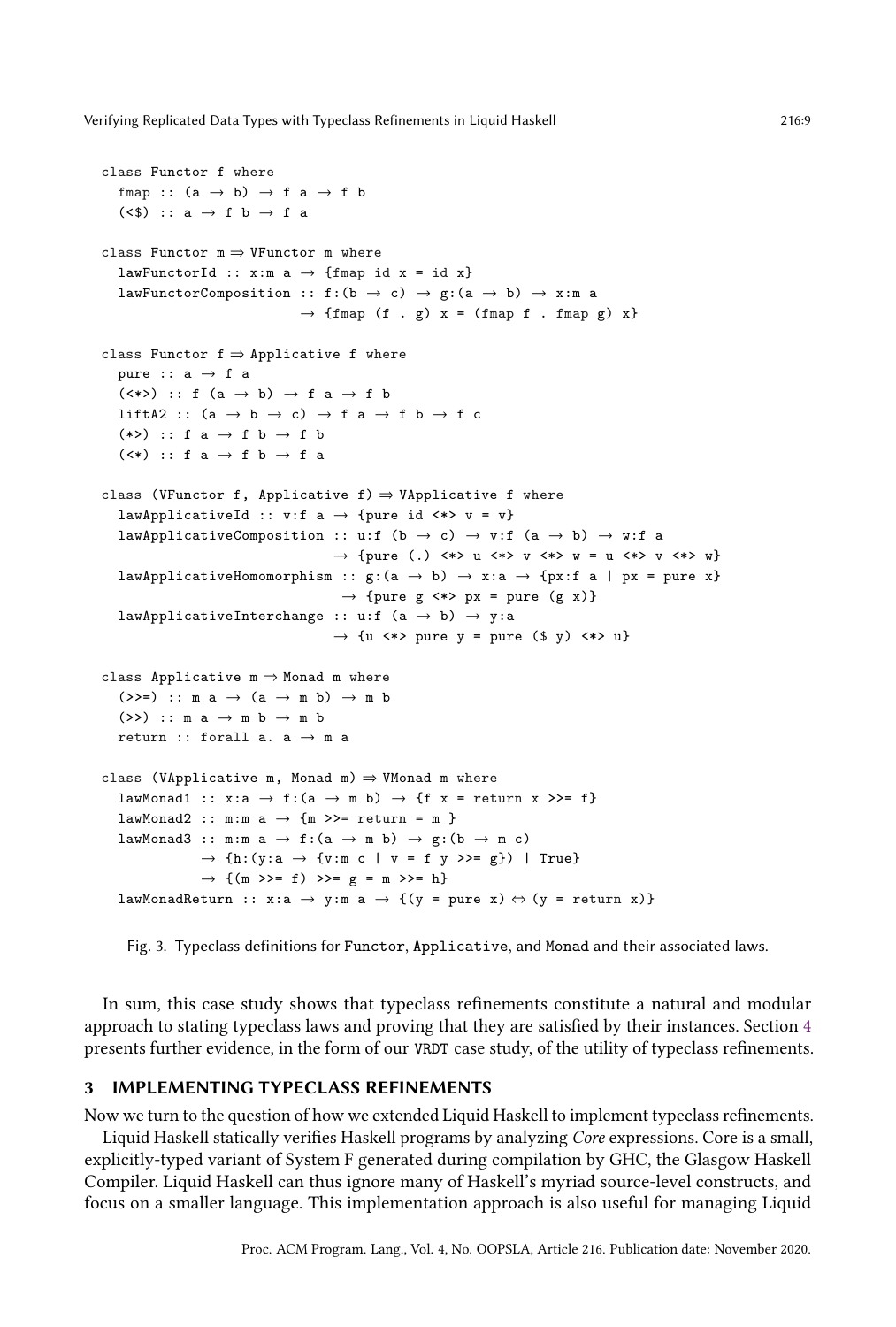```
class Functor f where
  fmap :: (a \rightarrow b) \rightarrow f a \rightarrow f b(\langle \$) :: a \rightarrow f b \rightarrow f aclass Functor m \Rightarrow VFunctor m where
  lawFunctorId :: x:m a \rightarrow {fmap id x = id x}
  lawFunctorComposition :: f:(b \rightarrow c) \rightarrow g:(a \rightarrow b) \rightarrow x:m a
                                     \rightarrow {fmap (f . g) x = (fmap f . fmap g) x}
class Functor f \Rightarrow Applicative f where
  pure :: a \rightarrow f a(\langle * \rangle) :: f (a \rightarrow b) \rightarrow f a \rightarrow f bliftA2 :: (a \rightarrow b \rightarrow c) \rightarrow f a \rightarrow f b \rightarrow f c(*>) :: f a \rightarrow f b \rightarrow f b
  (\langle * \rangle :: f a \rightarrow f b \rightarrow f aclass (VFunctor f, Applicative f) \Rightarrow VApplicative f where
  lawApplicativeId :: v:f a \rightarrow {pure id \iff v = v}
  lawApplicativeComposition :: u:f (b \rightarrow c) \rightarrow v:f (a \rightarrow b) \rightarrow w:f a
                                           \rightarrow {pure (.) <*> u <*> v <*> w = u <*> v <*> w}
  lawApplicativeHomomorphism :: g:(a \rightarrow b) \rightarrow x:a \rightarrow \{px:f a \mid px = pure x\}\rightarrow {pure g \langle * \rangle px = pure (g x)}
  lawApplicativeInterchange :: u:f (a \rightarrow b) \rightarrow y:a
                                           \rightarrow {u <*> pure y = pure ($ y) <*> u}
class Applicative m \Rightarrow Monad m where
   (>>=) :: m a \rightarrow (a \rightarrow m b) \rightarrow m b
   (\gg) :: m a \rightarrow m b \rightarrow m b
  return :: forall a. a \rightarrow m a
class (VApplicative m, Monad m) \Rightarrow VMonad m where
  lawMonad1 :: x: a \rightarrow f: (a \rightarrow m b) \rightarrow \{f \ x = return \ x \ \geq f\}lawMonad2 :: m:m a \rightarrow {m >>= return = m }
  lawMonad3 :: m:m a \rightarrow f:(a \rightarrow m b) \rightarrow g:(b \rightarrow m c)
                  \rightarrow \texttt{\{h:}(y: a \rightarrow \{v: m \texttt{ c } \mid \texttt{ v = f } y \texttt{ \texttt{ >= g}\texttt{\}}) \mid True\}}\rightarrow {(m >>= f) >>= g = m >>= h}
  lawMonadReturn :: x:a \rightarrow y:m a \rightarrow {(y = pure x) \Leftrightarrow (y = return x)}
```
Fig. 3. Typeclass definitions for Functor, Applicative, and Monad and their associated laws.

In sum, this case study shows that typeclass refinements constitute a natural and modular approach to stating typeclass laws and proving that they are satisfied by their instances. Section [4](#page-15-0) presents further evidence, in the form of our VRDT case study, of the utility of typeclass refinements.

### <span id="page-8-0"></span>3 IMPLEMENTING TYPECLASS REFINEMENTS

Now we turn to the question of how we extended Liquid Haskell to implement typeclass refinements.

Liquid Haskell statically verifies Haskell programs by analyzing Core expressions. Core is a small, explicitly-typed variant of System F generated during compilation by GHC, the Glasgow Haskell Compiler. Liquid Haskell can thus ignore many of Haskell's myriad source-level constructs, and focus on a smaller language. This implementation approach is also useful for managing Liquid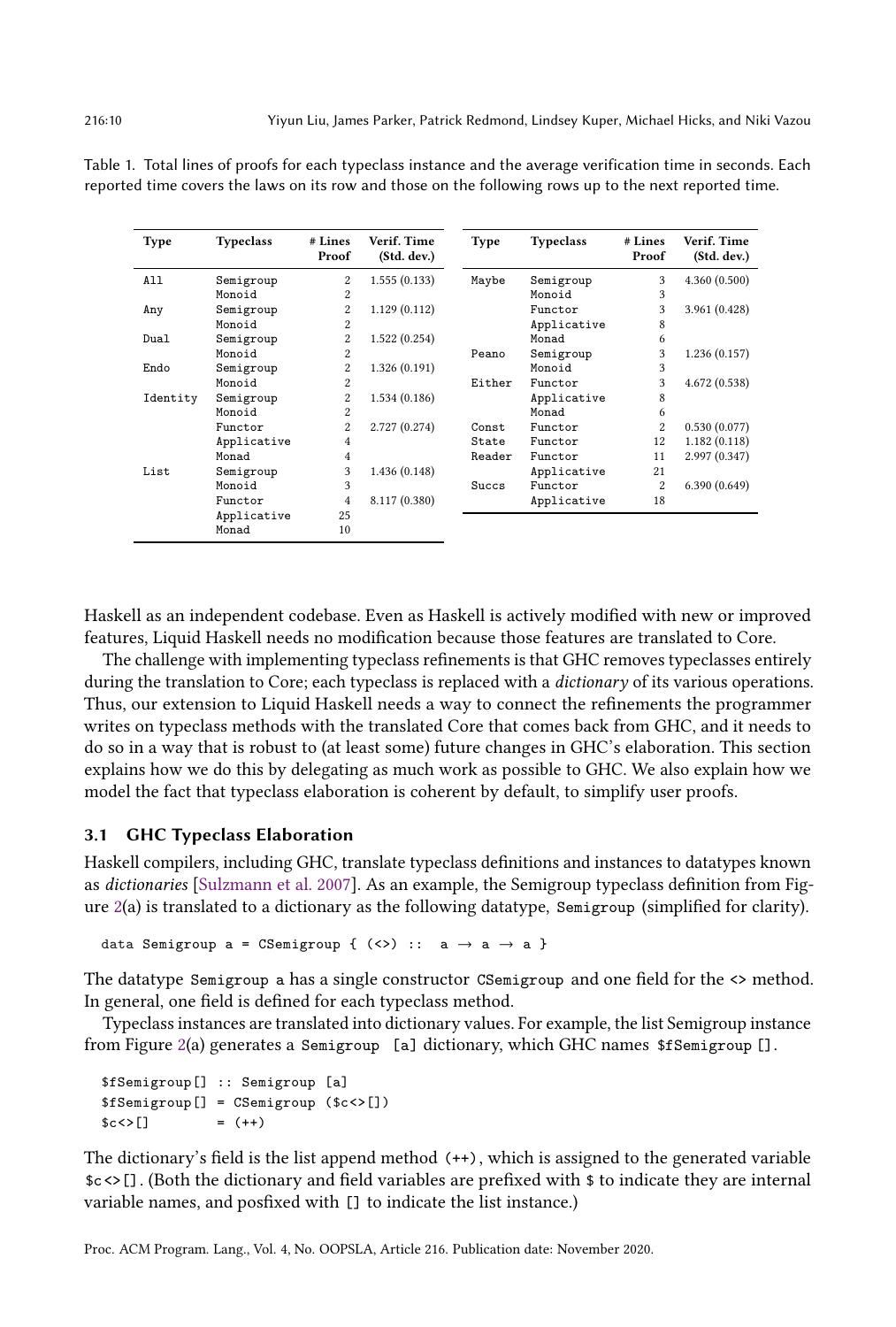| Type     | <b>Typeclass</b> | # Lines<br>Proof | Verif. Time<br>(Std. dev.) | <b>Type</b> | <b>Typeclass</b> | # Lines<br>Proof | Verif. Time<br>(Std. dev.) |
|----------|------------------|------------------|----------------------------|-------------|------------------|------------------|----------------------------|
| All      | Semigroup        | 2                | 1.555(0.133)               | Maybe       | Semigroup        | 3                | 4.360(0.500)               |
|          | Monoid           | 2                |                            |             | Monoid           | 3                |                            |
| Any      | Semigroup        | 2                | 1.129(0.112)               |             | Functor          | 3                | 3.961 (0.428)              |
|          | Monoid           | 2                |                            |             | Applicative      | 8                |                            |
| Dual     | Semigroup        | 2                | 1.522(0.254)               |             | Monad            | 6                |                            |
|          | Monoid           | 2                |                            | Peano       | Semigroup        | 3                | 1.236(0.157)               |
| Endo     | Semigroup        | 2                | 1.326(0.191)               |             | Monoid           | 3                |                            |
|          | Monoid           | 2                |                            | Either      | Functor          | 3                | 4.672 (0.538)              |
| Identity | Semigroup        | 2                | 1.534(0.186)               |             | Applicative      | 8                |                            |
|          | Monoid           | 2                |                            |             | Monad            | 6                |                            |
|          | Functor          | $\overline{c}$   | 2.727 (0.274)              | Const       | Functor          | $\overline{c}$   | 0.530(0.077)               |
|          | Applicative      | 4                |                            | State       | Functor          | 12               | 1.182(0.118)               |
|          | Monad            | 4                |                            | Reader      | Functor          | 11               | 2.997 (0.347)              |
| List     | Semigroup        | 3                | 1.436(0.148)               |             | Applicative      | 21               |                            |
|          | Monoid           | 3                |                            | Succs       | Functor          | 2                | 6.390(0.649)               |
|          | Functor          | 4                | 8.117 (0.380)              |             | Applicative      | 18               |                            |
|          | Applicative      | 25               |                            |             |                  |                  |                            |
|          | Monad            | 10               |                            |             |                  |                  |                            |

<span id="page-9-0"></span>Table 1. Total lines of proofs for each typeclass instance and the average verification time in seconds. Each reported time covers the laws on its row and those on the following rows up to the next reported time.

Haskell as an independent codebase. Even as Haskell is actively modified with new or improved features, Liquid Haskell needs no modification because those features are translated to Core.

The challenge with implementing typeclass refinements is that GHC removes typeclasses entirely during the translation to Core; each typeclass is replaced with a *dictionary* of its various operations. Thus, our extension to Liquid Haskell needs a way to connect the refinements the programmer writes on typeclass methods with the translated Core that comes back from GHC, and it needs to do so in a way that is robust to (at least some) future changes in GHC's elaboration. This section explains how we do this by delegating as much work as possible to GHC. We also explain how we model the fact that typeclass elaboration is coherent by default, to simplify user proofs.

# <span id="page-9-1"></span>3.1 GHC Typeclass Elaboration

Haskell compilers, including GHC, translate typeclass definitions and instances to datatypes known as dictionaries [\[Sulzmann et al.](#page-29-9) [2007\]](#page-29-9). As an example, the Semigroup typeclass definition from Figure  $2(a)$  $2(a)$  is translated to a dictionary as the following datatype, Semigroup (simplified for clarity).

data Semigroup a = CSemigroup {  $(\langle \rangle)$  :: a  $\rightarrow$  a  $\rightarrow$  a }

The datatype Semigroup a has a single constructor CSemigroup and one field for the <> method. In general, one field is defined for each typeclass method.

Typeclass instances are translated into dictionary values. For example, the list Semigroup instance from Figure [2\(](#page-5-1)a) generates a Semigroup [a] dictionary, which GHC names \$fSemigroup [].

```
$fSemigroup[] :: Semigroup [a]
$fSemigroup[] = CSemigroup ($c<>[])
$c <> [] = (++)
```
The dictionary's field is the list append method (++), which is assigned to the generated variable \$c <>[]. (Both the dictionary and field variables are prefixed with \$ to indicate they are internal variable names, and posfixed with [] to indicate the list instance.)

Proc. ACM Program. Lang., Vol. 4, No. OOPSLA, Article 216. Publication date: November 2020.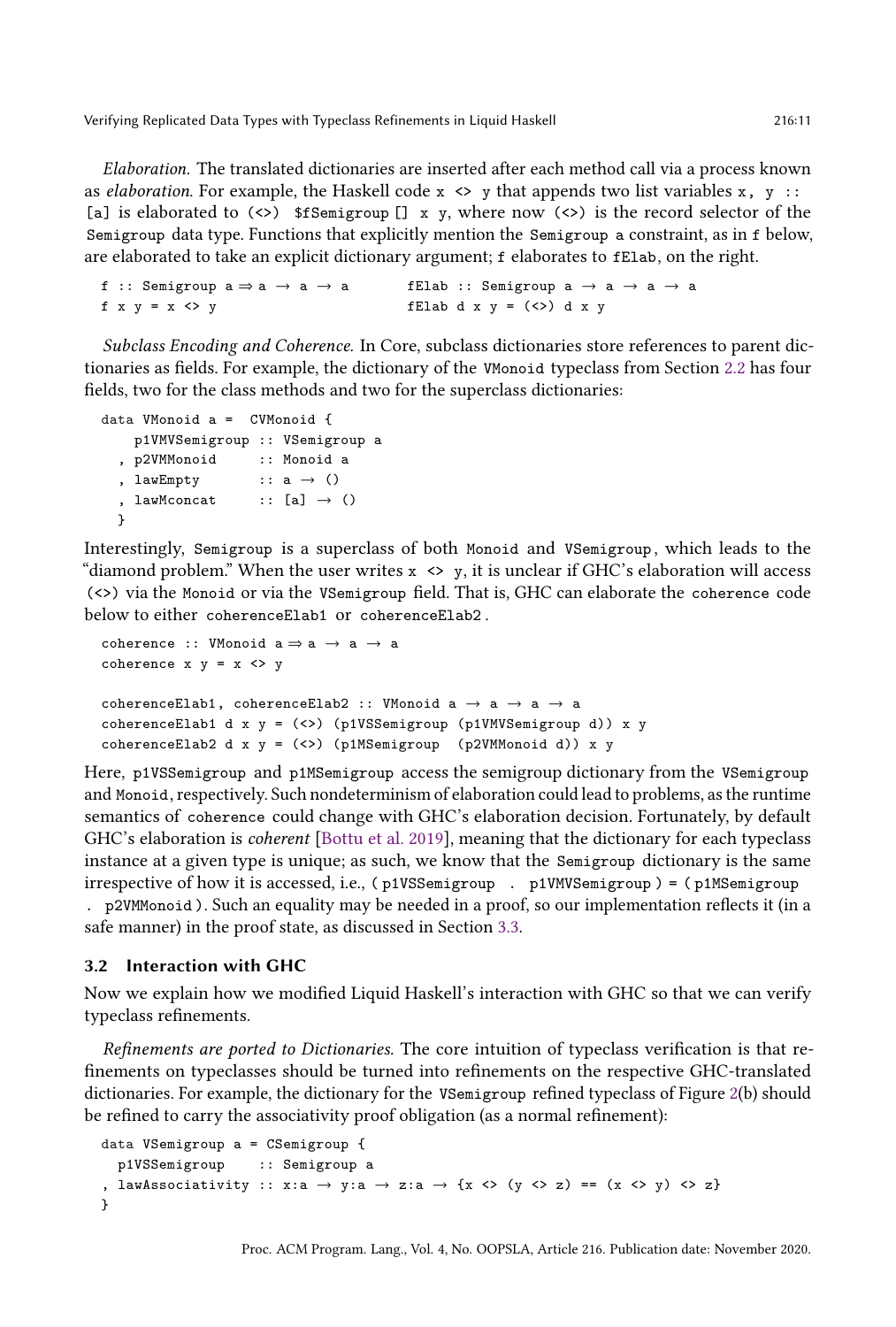Elaboration. The translated dictionaries are inserted after each method call via a process known as elaboration. For example, the Haskell code  $x \leftrightarrow y$  that appends two list variables  $x, y ::$ [a] is elaborated to  $(\langle \rangle)$  \$fSemigroup [] x y, where now  $(\langle \rangle)$  is the record selector of the Semigroup data type. Functions that explicitly mention the Semigroup a constraint, as in f below, are elaborated to take an explicit dictionary argument; f elaborates to fElab, on the right.

```
f :: Semigroup a \Rightarrow a \rightarrow a \rightarrow a fElab :: Semigroup a \rightarrow a \rightarrow af x \ y = x \Leftrightarrow y fElab d x \ y = (\Leftrightarrow) d x \ y
```
Subclass Encoding and Coherence. In Core, subclass dictionaries store references to parent dictionaries as fields. For example, the dictionary of the VMonoid typeclass from Section [2.2](#page-5-0) has four fields, two for the class methods and two for the superclass dictionaries:

```
data VMonoid a = CVMonoid {
   p1VMVSemigroup :: VSemigroup a
  , p2VMMonoid :: Monoid a
  , lawEmpty :: a \rightarrow (), lawMconcat :: [a] \rightarrow ()}
```
Interestingly, Semigroup is a superclass of both Monoid and VSemigroup , which leads to the "diamond problem." When the user writes  $x \leftrightarrow y$ , it is unclear if GHC's elaboration will access (<>) via the Monoid or via the VSemigroup field. That is, GHC can elaborate the coherence code below to either coherenceElab1 or coherenceElab2 .

```
coherence :: VMonoid a \Rightarrow a \rightarrow a \rightarrow acoherence x \ y = x \Leftrightarrow ycoherenceElab1, coherenceElab2 :: VMonoid a \rightarrow a \rightarrow a \rightarrow a
coherenceElab1 d x y = (\langle \rangle) (p1VSSemigroup (p1VMVSemigroup d)) x y
coherenceElab2 d x y = \langle \langle \rangle \rangle (p1MSemigroup (p2VMMonoid d)) x y
```
Here, p1VSSemigroup and p1MSemigroup access the semigroup dictionary from the VSemigroup and Monoid, respectively. Such nondeterminism of elaboration could lead to problems, as the runtime semantics of coherence could change with GHC's elaboration decision. Fortunately, by default GHC's elaboration is coherent [\[Bottu et al.](#page-27-2) [2019\]](#page-27-2), meaning that the dictionary for each typeclass instance at a given type is unique; as such, we know that the Semigroup dictionary is the same irrespective of how it is accessed, i.e., ( p1VSSemigroup . p1VMVSemigroup ) = ( p1MSemigroup . p2VMMonoid ). Such an equality may be needed in a proof, so our implementation reflects it (in a safe manner) in the proof state, as discussed in Section [3.3.](#page-12-0)

### 3.2 Interaction with GHC

Now we explain how we modified Liquid Haskell's interaction with GHC so that we can verify typeclass refinements.

Refinements are ported to Dictionaries. The core intuition of typeclass verification is that refinements on typeclasses should be turned into refinements on the respective GHC-translated dictionaries. For example, the dictionary for the VSemigroup refined typeclass of Figure [2\(](#page-5-1)b) should be refined to carry the associativity proof obligation (as a normal refinement):

```
data VSemigroup a = CSemigroup {
  p1VSSemigroup :: Semigroup a
, lawAssociativity :: x:a \rightarrow y:a \rightarrow z:a \rightarrow {x <> (y <> z) == (x <> y) <> z}
}
```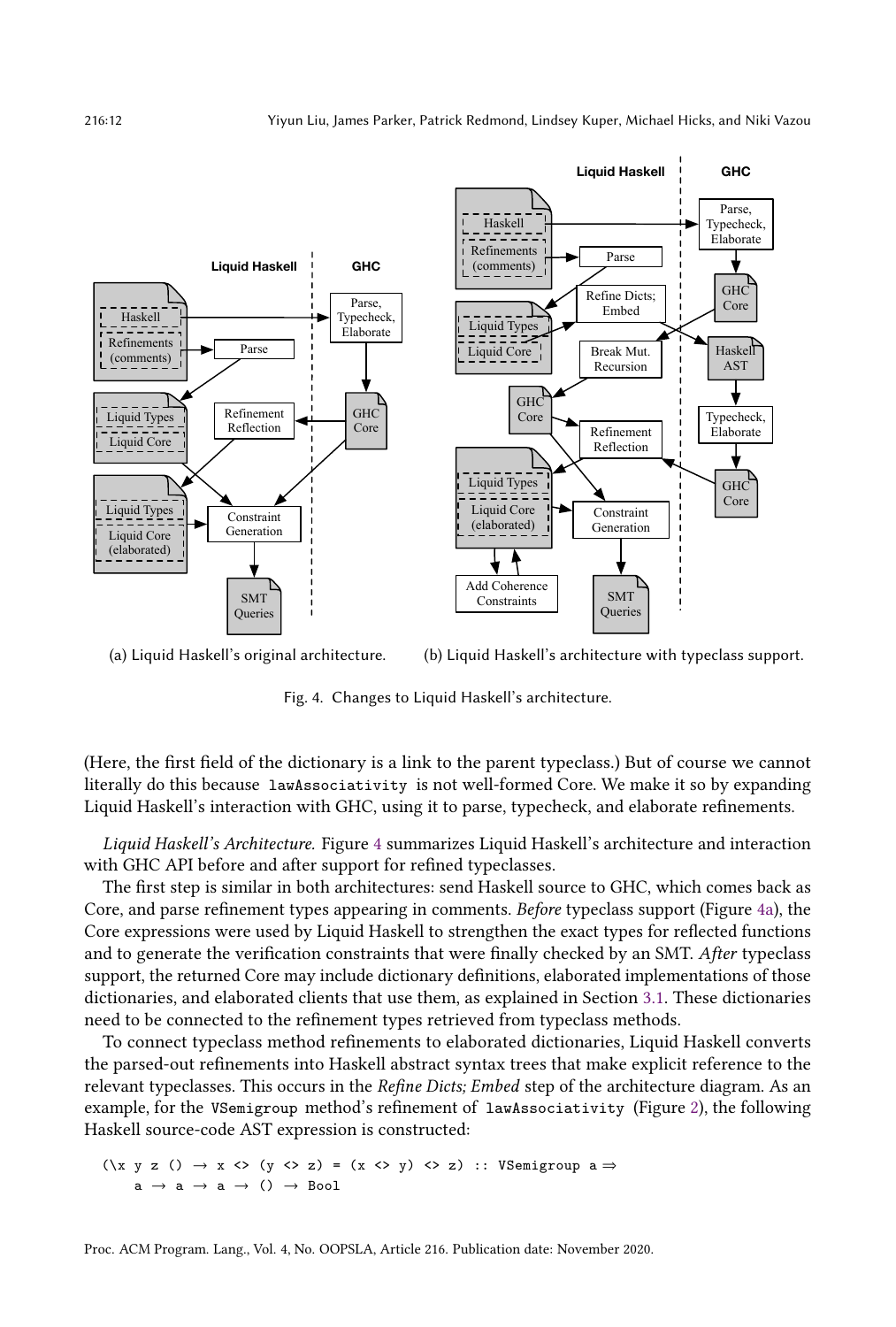<span id="page-11-0"></span>

(a) Liquid Haskell's original architecture. (b) Liquid Haskell's architecture with typeclass support.

Fig. 4. Changes to Liquid Haskell's architecture.

(Here, the first field of the dictionary is a link to the parent typeclass.) But of course we cannot literally do this because lawAssociativity is not well-formed Core. We make it so by expanding Liquid Haskell's interaction with GHC, using it to parse, typecheck, and elaborate refinements.

Liquid Haskell's Architecture. Figure [4](#page-11-0) summarizes Liquid Haskell's architecture and interaction with GHC API before and after support for refined typeclasses.

The first step is similar in both architectures: send Haskell source to GHC, which comes back as Core, and parse refinement types appearing in comments. Before typeclass support (Figure [4a\)](#page-11-0), the Core expressions were used by Liquid Haskell to strengthen the exact types for reflected functions and to generate the verification constraints that were finally checked by an SMT. After typeclass support, the returned Core may include dictionary definitions, elaborated implementations of those dictionaries, and elaborated clients that use them, as explained in Section [3.1.](#page-9-1) These dictionaries need to be connected to the refinement types retrieved from typeclass methods.

To connect typeclass method refinements to elaborated dictionaries, Liquid Haskell converts the parsed-out refinements into Haskell abstract syntax trees that make explicit reference to the relevant typeclasses. This occurs in the Refine Dicts; Embed step of the architecture diagram. As an example, for the VSemigroup method's refinement of lawAssociativity (Figure [2\)](#page-5-1), the following Haskell source-code AST expression is constructed:

 $(\{x \ y \ z \ () \ \rightarrow x \ \Leftrightarrow \ (y \ \Leftrightarrow z) = (x \ \Leftrightarrow y) \ \Leftrightarrow z)$  :: VSemigroup a  $\Rightarrow$  $a \rightarrow a \rightarrow a \rightarrow () \rightarrow Boo1$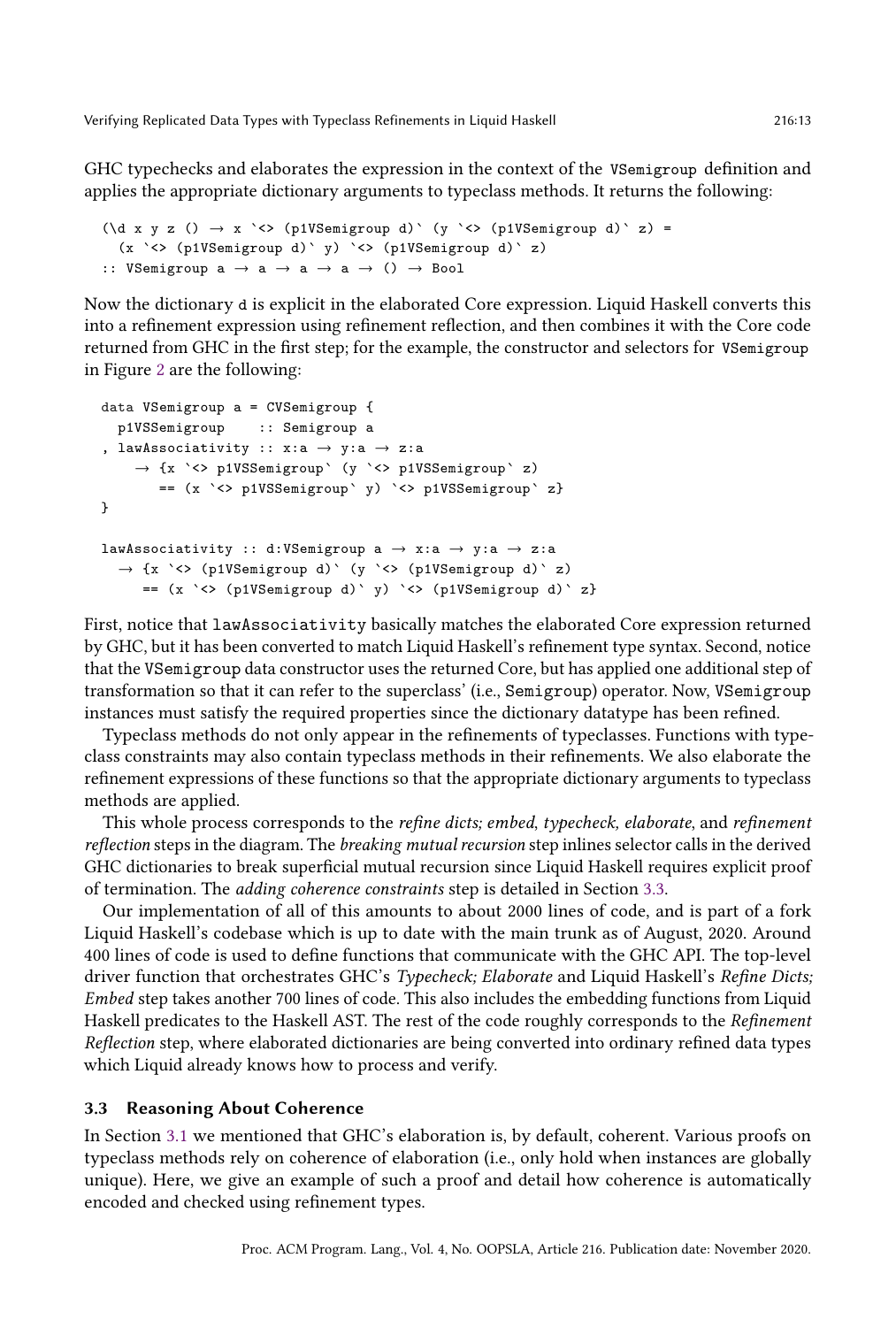GHC typechecks and elaborates the expression in the context of the VSemigroup definition and applies the appropriate dictionary arguments to typeclass methods. It returns the following:

```
(\text{d } x \ y \ z \ () \rightarrow x \ ' \diamondsuit \ (p1VSemigroup d) \ (y \ ' \diamondsuit \ (p1VSemigroup d) \ z) =(x `<> (p1VSemigroup d)` y) `<> (p1VSemigroup d)` z)
:: VSemigroup a \rightarrow a \rightarrow a \rightarrow a \rightarrow () \rightarrow Bool
```
Now the dictionary d is explicit in the elaborated Core expression. Liquid Haskell converts this into a refinement expression using refinement reflection, and then combines it with the Core code returned from GHC in the first step; for the example, the constructor and selectors for VSemigroup in Figure [2](#page-5-1) are the following:

```
data VSemigroup a = CVSemigroup {
  p1VSSemigroup :: Semigroup a
, lawAssociativity :: x : a \rightarrow y : a \rightarrow z : a→ {x `<> p1VSSemigroup` (y `<> p1VSSemigroup` z)
        == (x `<> p1VSSemigroup` y) `<> p1VSSemigroup` z}
}
lawAssociativity :: d:VSemigroup a \rightarrow x:a \rightarrow y:a \rightarrow z:a
  \rightarrow {x `<> (p1VSemigroup d)` (y `<> (p1VSemigroup d)` z)
     == (x `<> (p1VSemigroup d)` y) `<> (p1VSemigroup d)` z}
```
First, notice that lawAssociativity basically matches the elaborated Core expression returned by GHC, but it has been converted to match Liquid Haskell's refinement type syntax. Second, notice that the VSemigroup data constructor uses the returned Core, but has applied one additional step of transformation so that it can refer to the superclass' (i.e., Semigroup) operator. Now, VSemigroup instances must satisfy the required properties since the dictionary datatype has been refined.

Typeclass methods do not only appear in the refinements of typeclasses. Functions with typeclass constraints may also contain typeclass methods in their refinements. We also elaborate the refinement expressions of these functions so that the appropriate dictionary arguments to typeclass methods are applied.

This whole process corresponds to the refine dicts; embed, typecheck, elaborate, and refinement reflection steps in the diagram. The breaking mutual recursion step inlines selector calls in the derived GHC dictionaries to break superficial mutual recursion since Liquid Haskell requires explicit proof of termination. The adding coherence constraints step is detailed in Section [3.3.](#page-12-0)

Our implementation of all of this amounts to about 2000 lines of code, and is part of a fork Liquid Haskell's codebase which is up to date with the main trunk as of August, 2020. Around 400 lines of code is used to define functions that communicate with the GHC API. The top-level driver function that orchestrates GHC's Typecheck; Elaborate and Liquid Haskell's Refine Dicts; Embed step takes another 700 lines of code. This also includes the embedding functions from Liquid Haskell predicates to the Haskell AST. The rest of the code roughly corresponds to the Refinement Reflection step, where elaborated dictionaries are being converted into ordinary refined data types which Liquid already knows how to process and verify.

### <span id="page-12-0"></span>3.3 Reasoning About Coherence

In Section [3.1](#page-9-1) we mentioned that GHC's elaboration is, by default, coherent. Various proofs on typeclass methods rely on coherence of elaboration (i.e., only hold when instances are globally unique). Here, we give an example of such a proof and detail how coherence is automatically encoded and checked using refinement types.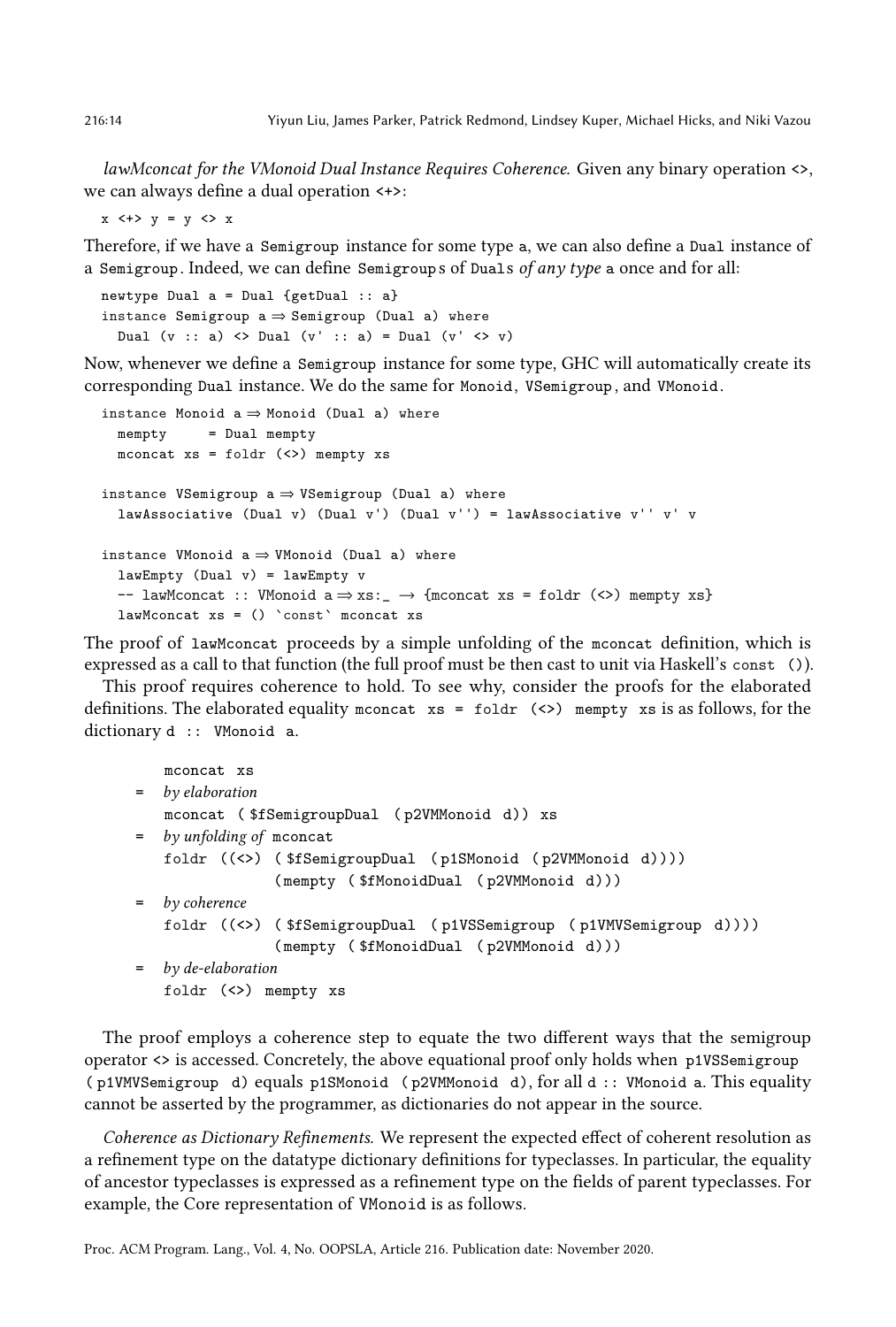lawMconcat for the VMonoid Dual Instance Requires Coherence. Given any binary operation <>, we can always define a dual operation <+>:

 $x \leftrightarrow y = y \leftrightarrow x$ 

Therefore, if we have a Semigroup instance for some type a, we can also define a Dual instance of a Semigroup. Indeed, we can define Semigroups of Duals of any type a once and for all:

```
newtype Dual a = Dual {getDual :: a}
instance Semigroup a \Rightarrow Semigroup (Dual a) where
  Dual (v :: a) <> Dual (v' :: a) = Dual (v' <> v)
```
Now, whenever we define a Semigroup instance for some type, GHC will automatically create its corresponding Dual instance. We do the same for Monoid, VSemigroup , and VMonoid.

```
instance Monoid a \Rightarrow Monoid (Dual a) where
  mempty = Dual mempty
  mconcat xs = foldr (<>) mempty xsinstance VSemigroup a \Rightarrow VSemigroup (Dual a) where
  lawAssociative (Dual v) (Dual v') (Dual v'') = lawAssociative v'' v' v
instance VMonoid a \Rightarrow WMonoid (Dual a) where
  lawEmpty (Dual v) = lawEmpty v
  -- lawMconcat :: VMonoid a \Rightarrow xs:- \rightarrow {mconcat xs = foldr (\&) mempty xs}
  lawMconcat xs = () `const` mconcat xs
```
The proof of lawMconcat proceeds by a simple unfolding of the mconcat definition, which is expressed as a call to that function (the full proof must be then cast to unit via Haskell's const ()).

This proof requires coherence to hold. To see why, consider the proofs for the elaborated definitions. The elaborated equality mconcat  $xs = foldr$  (<>) mempty xs is as follows, for the dictionary d :: VMonoid a.

```
mconcat xs
= by elaboration
   mconcat ( $fSemigroupDual ( p2VMMonoid d)) xs
= by unfolding of mconcat
   foldr ((<>) ( $fSemigroupDual ( p1SMonoid ( p2VMMonoid d))))
                ( mempty ( $fMonoidDual ( p2VMMonoid d)))
= by coherence
   foldr ((<>) ( $fSemigroupDual ( p1VSSemigroup ( p1VMVSemigroup d))))
                ( mempty ( $fMonoidDual ( p2VMMonoid d)))
= by de-elaboration
   foldr (<>) mempty xs
```
The proof employs a coherence step to equate the two different ways that the semigroup operator <> is accessed. Concretely, the above equational proof only holds when p1VSSemigroup ( p1VMVSemigroup d) equals p1SMonoid ( p2VMMonoid d), for all d :: VMonoid a. This equality cannot be asserted by the programmer, as dictionaries do not appear in the source.

Coherence as Dictionary Refinements. We represent the expected effect of coherent resolution as a refinement type on the datatype dictionary definitions for typeclasses. In particular, the equality of ancestor typeclasses is expressed as a refinement type on the fields of parent typeclasses. For example, the Core representation of VMonoid is as follows.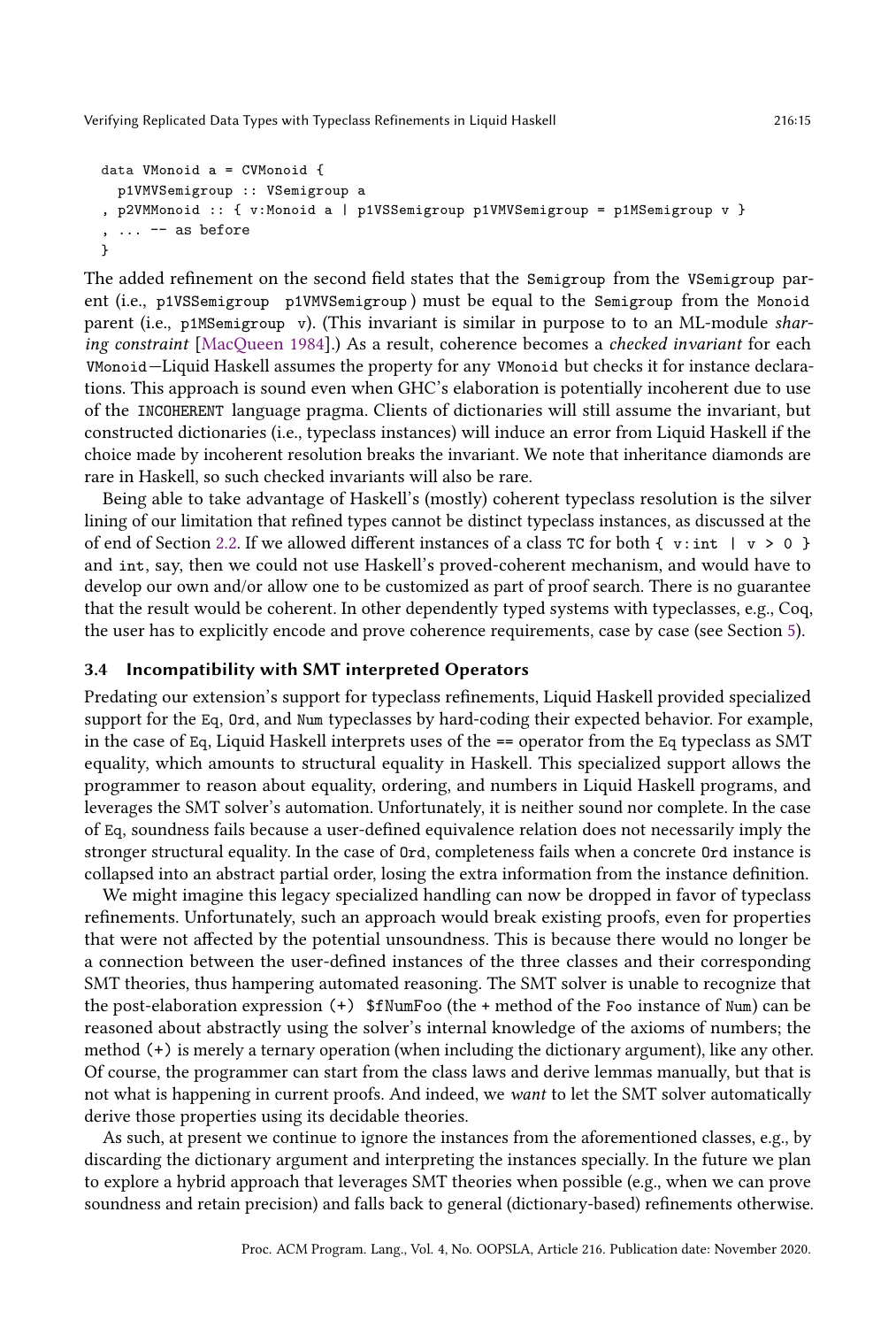```
data VMonoid a = CVMonoid {
  p1VMVSemigroup :: VSemigroup a
, p2VMMonoid :: { v:Monoid a | p1VSSemigroup p1VMVSemigroup = p1MSemigroup v }
 , ... -- as before
}
```
The added refinement on the second field states that the Semigroup from the VSemigroup parent (i.e., p1VSSemigroup p1VMVSemigroup ) must be equal to the Semigroup from the Monoid parent (i.e., p1MSemigroup v). (This invariant is similar in purpose to to an ML-module sharing constraint [\[MacQueen 1984\]](#page-28-6).) As a result, coherence becomes a checked invariant for each VMonoid–Liquid Haskell assumes the property for any VMonoid but checks it for instance declarations. This approach is sound even when GHC's elaboration is potentially incoherent due to use of the INCOHERENT language pragma. Clients of dictionaries will still assume the invariant, but constructed dictionaries (i.e., typeclass instances) will induce an error from Liquid Haskell if the choice made by incoherent resolution breaks the invariant. We note that inheritance diamonds are rare in Haskell, so such checked invariants will also be rare.

Being able to take advantage of Haskell's (mostly) coherent typeclass resolution is the silver lining of our limitation that refined types cannot be distinct typeclass instances, as discussed at the of end of Section [2.2.](#page-5-0) If we allowed different instances of a class TC for both { v:int | v > 0 } and int, say, then we could not use Haskell's proved-coherent mechanism, and would have to develop our own and/or allow one to be customized as part of proof search. There is no guarantee that the result would be coherent. In other dependently typed systems with typeclasses, e.g., Coq, the user has to explicitly encode and prove coherence requirements, case by case (see Section [5\)](#page-23-0).

## 3.4 Incompatibility with SMT interpreted Operators

Predating our extension's support for typeclass refinements, Liquid Haskell provided specialized support for the Eq, Ord, and Num typeclasses by hard-coding their expected behavior. For example, in the case of Eq, Liquid Haskell interprets uses of the == operator from the Eq typeclass as SMT equality, which amounts to structural equality in Haskell. This specialized support allows the programmer to reason about equality, ordering, and numbers in Liquid Haskell programs, and leverages the SMT solver's automation. Unfortunately, it is neither sound nor complete. In the case of Eq, soundness fails because a user-defined equivalence relation does not necessarily imply the stronger structural equality. In the case of Ord, completeness fails when a concrete Ord instance is collapsed into an abstract partial order, losing the extra information from the instance definition.

We might imagine this legacy specialized handling can now be dropped in favor of typeclass refinements. Unfortunately, such an approach would break existing proofs, even for properties that were not affected by the potential unsoundness. This is because there would no longer be a connection between the user-defined instances of the three classes and their corresponding SMT theories, thus hampering automated reasoning. The SMT solver is unable to recognize that the post-elaboration expression (+) \$fNumFoo (the + method of the Foo instance of Num) can be reasoned about abstractly using the solver's internal knowledge of the axioms of numbers; the method (+) is merely a ternary operation (when including the dictionary argument), like any other. Of course, the programmer can start from the class laws and derive lemmas manually, but that is not what is happening in current proofs. And indeed, we want to let the SMT solver automatically derive those properties using its decidable theories.

As such, at present we continue to ignore the instances from the aforementioned classes, e.g., by discarding the dictionary argument and interpreting the instances specially. In the future we plan to explore a hybrid approach that leverages SMT theories when possible (e.g., when we can prove soundness and retain precision) and falls back to general (dictionary-based) refinements otherwise.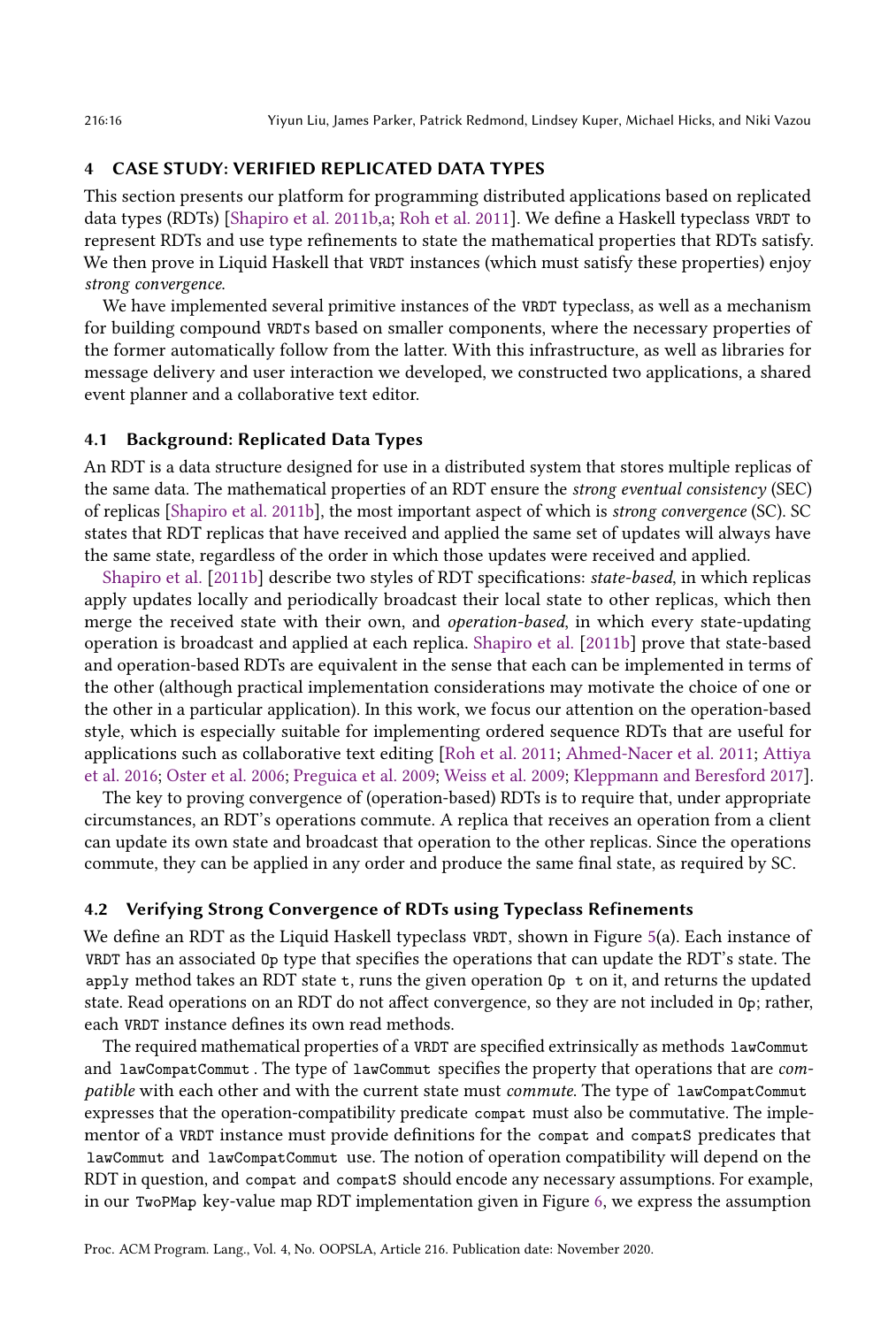### <span id="page-15-0"></span>4 CASE STUDY: VERIFIED REPLICATED DATA TYPES

This section presents our platform for programming distributed applications based on replicated data types (RDTs) [\[Shapiro et al.](#page-29-6) [2011b](#page-29-6)[,a;](#page-29-7) [Roh et al.](#page-28-2) [2011\]](#page-28-2). We define a Haskell typeclass VRDT to represent RDTs and use type refinements to state the mathematical properties that RDTs satisfy. We then prove in Liquid Haskell that VRDT instances (which must satisfy these properties) enjoy strong convergence.

We have implemented several primitive instances of the VRDT typeclass, as well as a mechanism for building compound VRDTs based on smaller components, where the necessary properties of the former automatically follow from the latter. With this infrastructure, as well as libraries for message delivery and user interaction we developed, we constructed two applications, a shared event planner and a collaborative text editor.

# 4.1 Background: Replicated Data Types

An RDT is a data structure designed for use in a distributed system that stores multiple replicas of the same data. The mathematical properties of an RDT ensure the strong eventual consistency (SEC) of replicas [\[Shapiro et al.](#page-29-6) [2011b\]](#page-29-6), the most important aspect of which is strong convergence (SC). SC states that RDT replicas that have received and applied the same set of updates will always have the same state, regardless of the order in which those updates were received and applied.

[Shapiro et al.](#page-29-6) [\[2011b\]](#page-29-6) describe two styles of RDT specifications: state-based, in which replicas apply updates locally and periodically broadcast their local state to other replicas, which then merge the received state with their own, and operation-based, in which every state-updating operation is broadcast and applied at each replica. [Shapiro et al.](#page-29-6) [\[2011b\]](#page-29-6) prove that state-based and operation-based RDTs are equivalent in the sense that each can be implemented in terms of the other (although practical implementation considerations may motivate the choice of one or the other in a particular application). In this work, we focus our attention on the operation-based style, which is especially suitable for implementing ordered sequence RDTs that are useful for applications such as collaborative text editing [\[Roh et al.](#page-28-2) [2011;](#page-28-2) [Ahmed-Nacer et al.](#page-27-5) [2011;](#page-27-5) [Attiya](#page-27-6) [et al.](#page-27-6) [2016;](#page-27-6) [Oster et al.](#page-28-7) [2006;](#page-28-7) [Preguica et al.](#page-28-8) [2009;](#page-28-8) [Weiss et al.](#page-29-10) [2009;](#page-29-10) [Kleppmann and Beresford 2017\]](#page-28-9).

The key to proving convergence of (operation-based) RDTs is to require that, under appropriate circumstances, an RDT's operations commute. A replica that receives an operation from a client can update its own state and broadcast that operation to the other replicas. Since the operations commute, they can be applied in any order and produce the same final state, as required by SC.

# <span id="page-15-1"></span>4.2 Verifying Strong Convergence of RDTs using Typeclass Refinements

We define an RDT as the Liquid Haskell typeclass VRDT, shown in Figure [5\(](#page-16-0)a). Each instance of VRDT has an associated Op type that specifies the operations that can update the RDT's state. The apply method takes an RDT state  $t$ , runs the given operation  $0p \, t$  on it, and returns the updated state. Read operations on an RDT do not affect convergence, so they are not included in Op; rather, each VRDT instance defines its own read methods.

The required mathematical properties of a VRDT are specified extrinsically as methods lawCommut and lawCompatCommut . The type of lawCommut specifies the property that operations that are compatible with each other and with the current state must commute. The type of lawCompatCommut expresses that the operation-compatibility predicate compat must also be commutative. The implementor of a VRDT instance must provide definitions for the compat and compatS predicates that lawCommut and lawCompatCommut use. The notion of operation compatibility will depend on the RDT in question, and compat and compatS should encode any necessary assumptions. For example, in our TwoPMap key-value map RDT implementation given in Figure [6,](#page-18-0) we express the assumption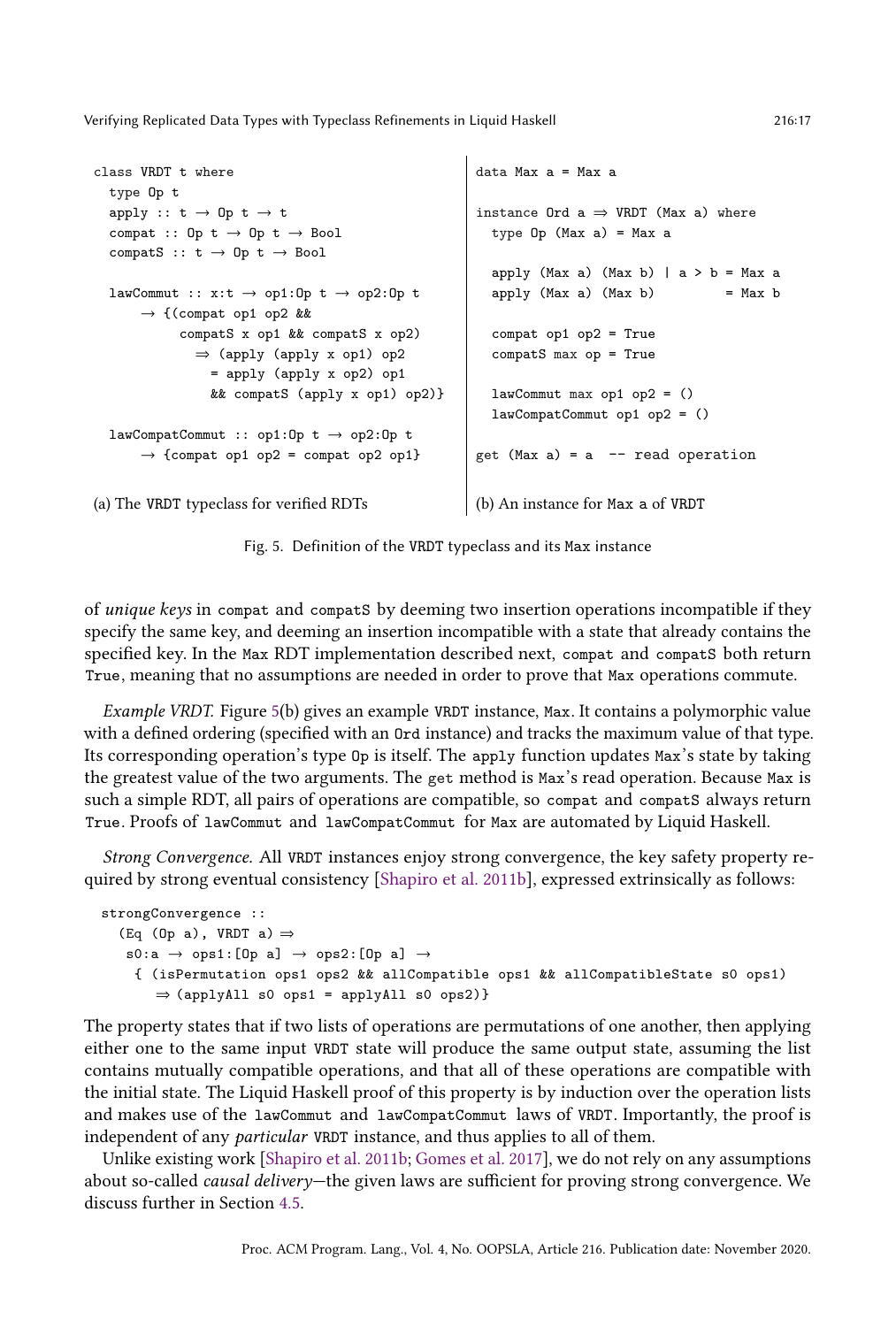```
class VRDT t where
  type Op t
  apply :: t \rightarrow 0p \ t \rightarrow tcompat :: Op t \rightarrow Op t \rightarrow Bool
  \text{compactS} :: t \rightarrow 0p \ t \rightarrow \text{Bool}lawCommut :: x:t \rightarrow op1:0p t \rightarrow op2:0p t→ {(compat op1 op2 &&
            compatS x op1 && compatS x op2)
              ⇒ (apply (apply x op1) op2
                = apply (apply x op2) op1
                && compatS (apply x op1) op2)}
  lawCompatCommut :: op1:Op t → op2:Op t
      \rightarrow {compat op1 op2 = compat op2 op1}
                                                       data Max a = Max a
                                                       instance Ord a \Rightarrow VRDT (Max a) where
                                                         type Op (Max a) = Max aapply (Max a) (Max b) |a > b = Max a
                                                         apply (Max a) (Max b) = Max b
                                                         compat op1 op2 = True
                                                         compatS max op = True
                                                         lawCommut max op1 op2 = ()
                                                         lawCompatCommut op1 op2 = ()
                                                       get (Max a) = a -- read operation
(a) The VRDT typeclass for verified RDTs (b) An instance for Max a of VRDT
```
Fig. 5. Definition of the VRDT typeclass and its Max instance

of unique keys in compat and compatS by deeming two insertion operations incompatible if they specify the same key, and deeming an insertion incompatible with a state that already contains the specified key. In the Max RDT implementation described next, compat and compats both return True, meaning that no assumptions are needed in order to prove that Max operations commute.

Example VRDT. Figure [5\(](#page-16-0)b) gives an example VRDT instance, Max. It contains a polymorphic value with a defined ordering (specified with an Ord instance) and tracks the maximum value of that type. Its corresponding operation's type Op is itself. The apply function updates Max's state by taking the greatest value of the two arguments. The get method is Max's read operation. Because Max is such a simple RDT, all pairs of operations are compatible, so compat and compatS always return True. Proofs of lawCommut and lawCompatCommut for Max are automated by Liquid Haskell.

Strong Convergence. All VRDT instances enjoy strong convergence, the key safety property required by strong eventual consistency [\[Shapiro et al. 2011b\]](#page-29-6), expressed extrinsically as follows:

```
strongConvergence ::
  (Eq (Op a), VRDT a) \Rightarrows0:a \rightarrow ops1:[Op a] \rightarrow ops2:[Op a] \rightarrow{ (isPermutation ops1 ops2 && allCompatible ops1 && allCompatibleState s0 ops1)
       ⇒ (applyAll s0 ops1 = applyAll s0 ops2)}
```
The property states that if two lists of operations are permutations of one another, then applying either one to the same input VRDT state will produce the same output state, assuming the list contains mutually compatible operations, and that all of these operations are compatible with the initial state. The Liquid Haskell proof of this property is by induction over the operation lists and makes use of the lawCommut and lawCompatCommut laws of VRDT. Importantly, the proof is independent of any particular VRDT instance, and thus applies to all of them.

Unlike existing work [\[Shapiro et al.](#page-29-6) [2011b;](#page-29-6) [Gomes et al.](#page-27-7) [2017\]](#page-27-7), we do not rely on any assumptions about so-called *causal delivery*—the given laws are sufficient for proving strong convergence. We discuss further in Section [4.5.](#page-20-0)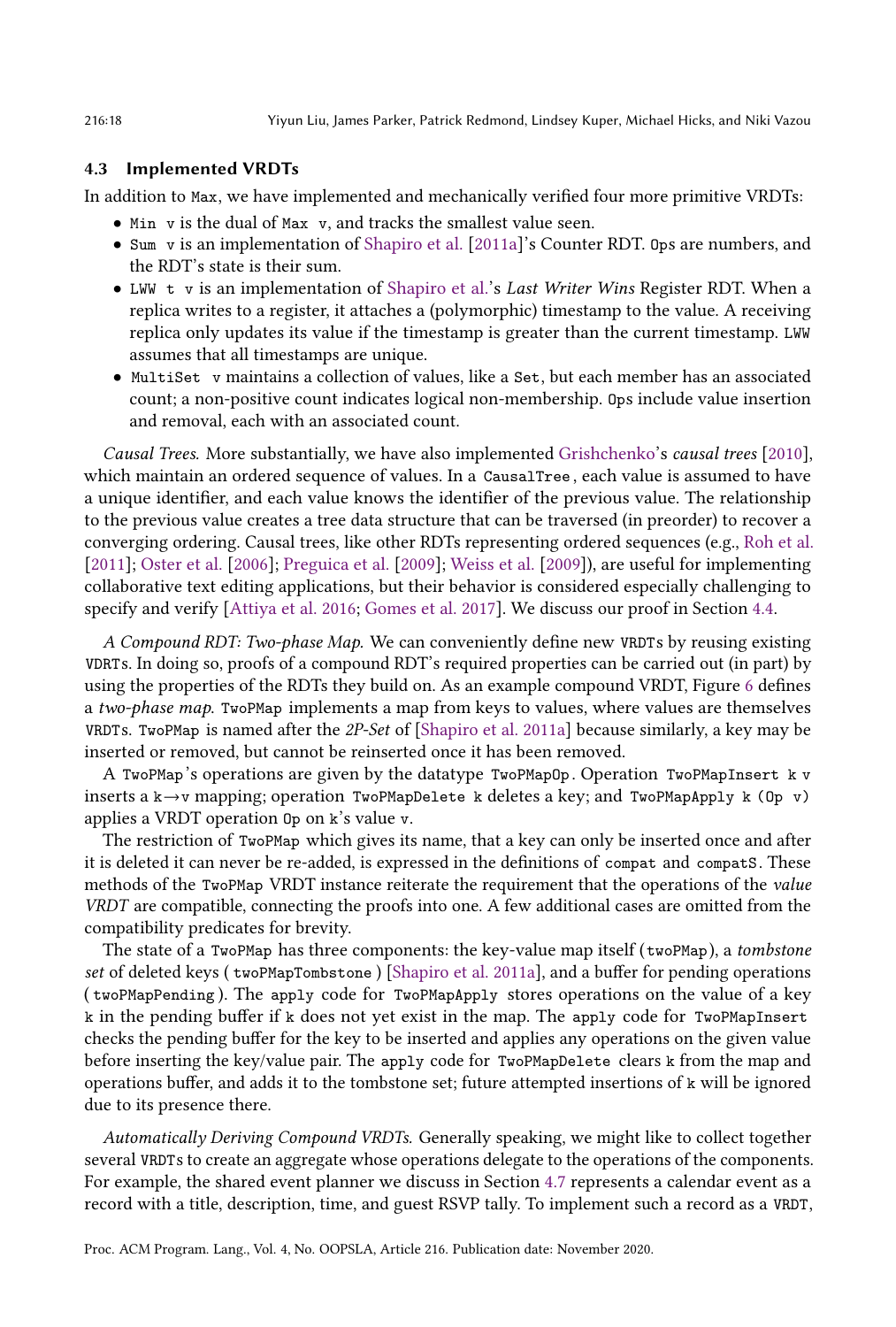### 4.3 Implemented VRDTs

In addition to Max, we have implemented and mechanically verified four more primitive VRDTs:

- Min v is the dual of Max v, and tracks the smallest value seen.
- Sum v is an implementation of [Shapiro et al.](#page-29-7) [\[2011a\]](#page-29-7)'s Counter RDT. Ops are numbers, and the RDT's state is their sum.
- LWW t v is an implementation of [Shapiro et al.'](#page-29-7)s Last Writer Wins Register RDT. When a replica writes to a register, it attaches a (polymorphic) timestamp to the value. A receiving replica only updates its value if the timestamp is greater than the current timestamp. LWW assumes that all timestamps are unique.
- MultiSet v maintains a collection of values, like a Set, but each member has an associated count; a non-positive count indicates logical non-membership. Ops include value insertion and removal, each with an associated count.

Causal Trees. More substantially, we have also implemented [Grishchenko'](#page-28-3)s causal trees [\[2010\]](#page-28-3), which maintain an ordered sequence of values. In a CausalTree , each value is assumed to have a unique identifier, and each value knows the identifier of the previous value. The relationship to the previous value creates a tree data structure that can be traversed (in preorder) to recover a converging ordering. Causal trees, like other RDTs representing ordered sequences (e.g., [Roh et al.](#page-28-2) [\[2011\]](#page-28-2); [Oster et al.](#page-28-7) [\[2006\]](#page-28-7); [Preguica et al.](#page-28-8) [\[2009\]](#page-28-8); [Weiss et al.](#page-29-10) [\[2009\]](#page-29-10)), are useful for implementing collaborative text editing applications, but their behavior is considered especially challenging to specify and verify [\[Attiya et al. 2016;](#page-27-6) [Gomes et al. 2017\]](#page-27-7). We discuss our proof in Section [4.4.](#page-19-0)

A Compound RDT: Two-phase Map. We can conveniently define new VRDTs by reusing existing VDRTs. In doing so, proofs of a compound RDT's required properties can be carried out (in part) by using the properties of the RDTs they build on. As an example compound VRDT, Figure [6](#page-18-0) defines a two-phase map. TwoPMap implements a map from keys to values, where values are themselves VRDTs. TwoPMap is named after the 2P-Set of [\[Shapiro et al.](#page-29-7) [2011a\]](#page-29-7) because similarly, a key may be inserted or removed, but cannot be reinserted once it has been removed.

A TwoPMap's operations are given by the datatype TwoPMapOp . Operation TwoPMapInsert k v inserts a k→v mapping; operation TwoPMapDelete k deletes a key; and TwoPMapApply k (Op v) applies a VRDT operation Op on k's value v.

The restriction of TwoPMap which gives its name, that a key can only be inserted once and after it is deleted it can never be re-added, is expressed in the definitions of compat and compatS. These methods of the TwoPMap VRDT instance reiterate the requirement that the operations of the value VRDT are compatible, connecting the proofs into one. A few additional cases are omitted from the compatibility predicates for brevity.

The state of a TwoPMap has three components: the key-value map itself (twoPMap), a *tombstone* set of deleted keys ( twoPMapTombstone ) [\[Shapiro et al.](#page-29-7) [2011a\]](#page-29-7), and a buffer for pending operations ( twoPMapPending ). The apply code for TwoPMapApply stores operations on the value of a key k in the pending buffer if k does not yet exist in the map. The apply code for TwoPMapInsert checks the pending buffer for the key to be inserted and applies any operations on the given value before inserting the key/value pair. The apply code for TwoPMapDelete clears k from the map and operations buffer, and adds it to the tombstone set; future attempted insertions of k will be ignored due to its presence there.

Automatically Deriving Compound VRDTs. Generally speaking, we might like to collect together several VRDTs to create an aggregate whose operations delegate to the operations of the components. For example, the shared event planner we discuss in Section [4.7](#page-22-0) represents a calendar event as a record with a title, description, time, and guest RSVP tally. To implement such a record as a VRDT,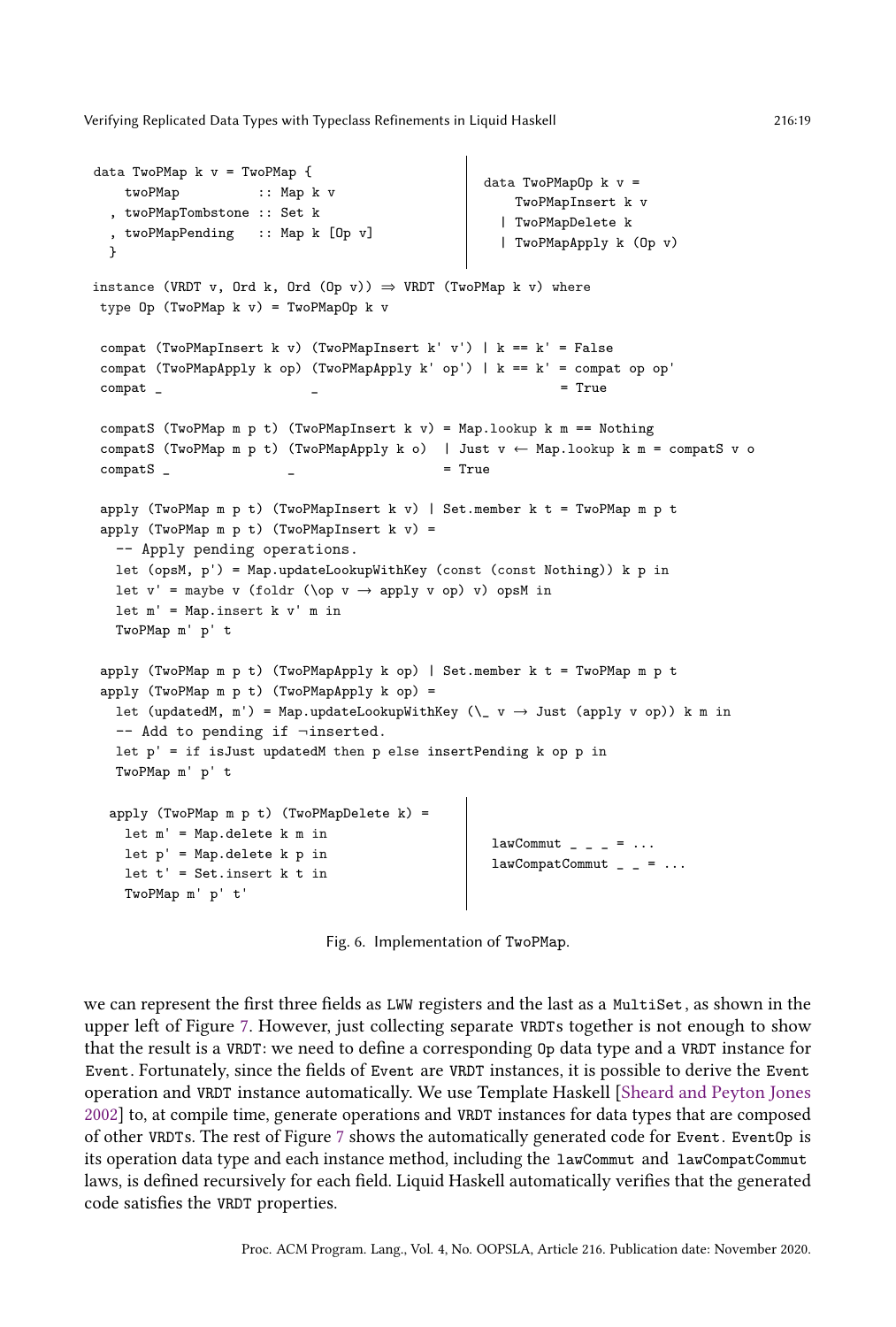```
data TwoPMap k v = TwoPMap {
   twoPMap :: Map k v
  , twoPMapTombstone :: Set k
  , twoPMapPending :: Map k [Op v]
  }
                                                        data TwoPMapOp k \, v =TwoPMapInsert k v
                                                            | TwoPMapDelete k
                                                            | TwoPMapApply k (Op v)
instance (VRDT v, Ord k, Ord (Op v)) \Rightarrow VRDT (TwoPMap k v) where
 type Op (TwoPMap k v) = TwoPMapOp k v
compat (TwoPMapInsert k v) (TwoPMapInsert k' v') | k == k' = False
 compat (TwoPMapApply k op) (TwoPMapApply k' op') | k == k' = compat op op'
 \text{compact} \qquad \qquad \qquad \qquad \qquad \qquad \qquad \qquad \qquad \qquad \qquad \qquad \qquad \qquad \qquad \qquad \qquad \qquad \qquad \qquad \qquad \qquad \qquad \qquad \qquad \qquad \qquad \qquad \qquad \qquad \qquad \qquad \qquad \qquad \qquad \qquad \qquad \qquad \qquad \qquad \qquad 
compatS (TwoPMap m p t) (TwoPMapInsert k v) = Map.lookup k m == Nothing
 compatS (TwoPMap m p t) (TwoPMapApply k o) | Just v \leftarrow Map.lookup k m = compatS v o
\text{compats} \qquad \qquad \qquad \qquad = True
apply (TwoPMap m p t) (TwoPMapInsert k v) | Set.member k t = TwoPMap m p t
 apply (TwoPMap m p t) (TwoPMapInsert k v) =
   -- Apply pending operations.
   let (opsM, p') = Map.updateLookupWithKey (const (const Nothing)) k p in
   let v' = maybe v (foldr (\op v \rightarrow apply v op) v) opsM in
   let m' = Map.insert k v' m inTwoPMap m' p' t
 apply (TwoPMap m p t) (TwoPMapApply k op) | Set.member k t = TwoPMap m p t
 apply (TwoPMap m p t) (TwoPMapApply k op) =
   let (updatedM, m') = Map.updateLookupWithKey (\n\cdot \rightarrow Just (apply v op)) k m in
   -- Add to pending if ¬inserted.
   let p' = if isJust updatedM then p else insertPending k op p in
   TwoPMap m' p' t
  apply (TwoPMap m p t) (TwoPMapDelete k) =
    let m' = Map.delete k m in
    let p' = Map.delete k p in
    let t' = Set.insert k t in
    TwoPMap m' p' t'
                                                         lawCommut \_ - \_ - = \ldotslawCompatCommut \_ = \_ = \ \ldots
```
Fig. 6. Implementation of TwoPMap.

we can represent the first three fields as LWW registers and the last as a MultiSet, as shown in the upper left of Figure [7.](#page-19-1) However, just collecting separate VRDTs together is not enough to show that the result is a VRDT: we need to define a corresponding Op data type and a VRDT instance for Event. Fortunately, since the fields of Event are VRDT instances, it is possible to derive the Event operation and VRDT instance automatically. We use Template Haskell [\[Sheard and Peyton Jones](#page-29-11) [2002\]](#page-29-11) to, at compile time, generate operations and VRDT instances for data types that are composed of other VRDTs. The rest of Figure [7](#page-19-1) shows the automatically generated code for Event. EventOp is its operation data type and each instance method, including the lawCommut and lawCompatCommut laws, is defined recursively for each field. Liquid Haskell automatically verifies that the generated code satisfies the VRDT properties.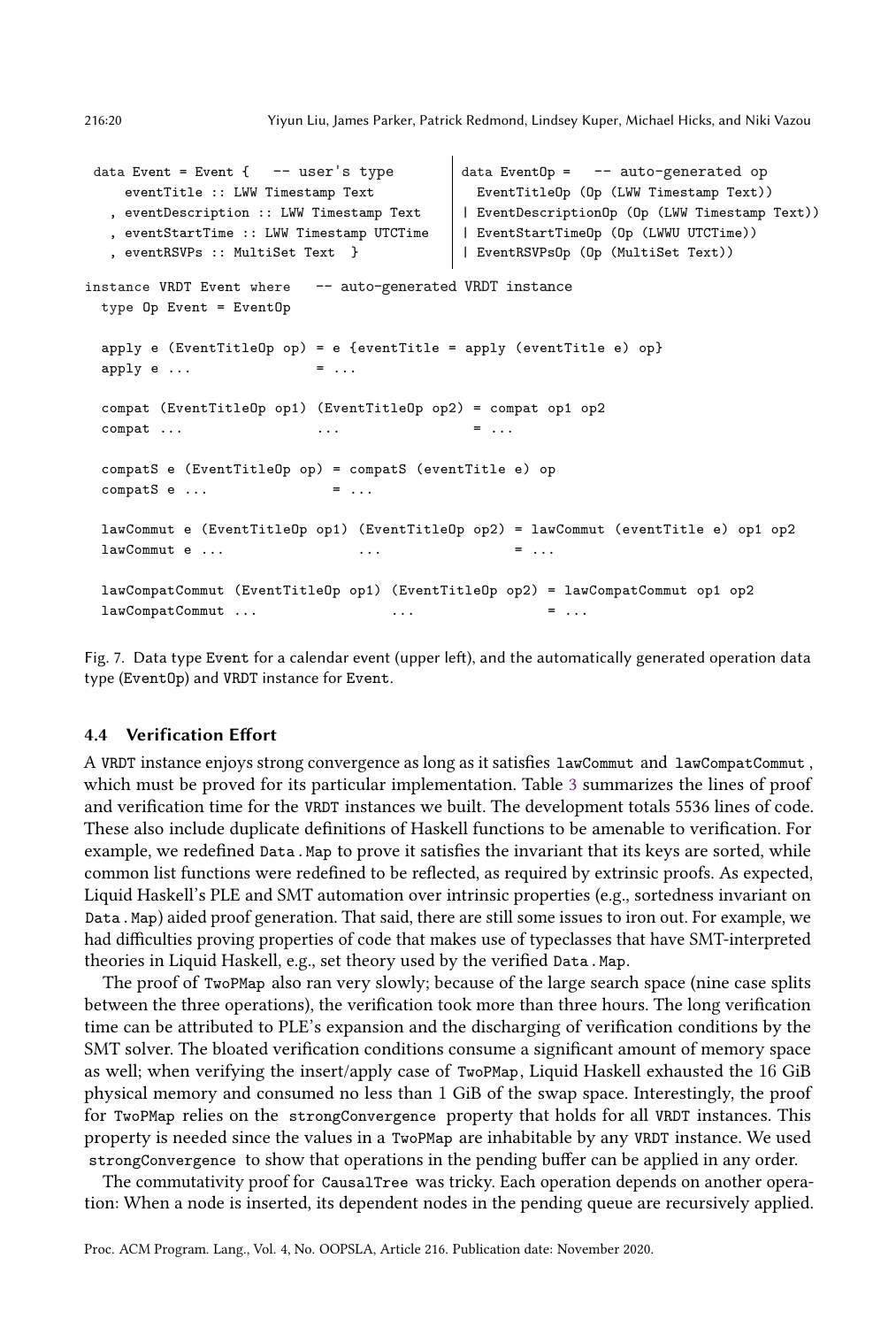```
data Event = Event \{- - user's type
   eventTitle :: LWW Timestamp Text
   , eventDescription :: LWW Timestamp Text
   , eventStartTime :: LWW Timestamp UTCTime
   , eventRSVPs :: MultiSet Text }
                                              data EventOp = -- auto-generated op
                                                EventTitleOp (Op (LWW Timestamp Text))
                                              | EventDescriptionOp (Op (LWW Timestamp Text))
                                              | EventStartTimeOp (Op (LWWU UTCTime))
                                              | EventRSVPsOp (Op (MultiSet Text))
instance VRDT Event where -- auto-generated VRDT instance
 type Op Event = EventOp
 apply e (EventTitleOp op) = e {eventTitle = apply (eventTitle e) op}
 apply e \ldots = \ldotscompat (EventTitleOp op1) (EventTitleOp op2) = compat op1 op2
 compat ... \qquad \qquad \ldots \qquad \qquad \ldots \qquad \qquad \vdotscompatS e (EventTitleOp op) = compatS (eventTitle e) op
 compatS e \dots = \dotslawCommut e (EventTitleOp op1) (EventTitleOp op2) = lawCommut (eventTitle e) op1 op2
 lawComment e ... \qquad \qquad \ldots \qquad \qquad \qquad \ldots \qquad \qquad \qquad \ldotslawCompatCommut (EventTitleOp op1) (EventTitleOp op2) = lawCompatCommut op1 op2
 lawComponent \dots = ...
```
Fig. 7. Data type Event for a calendar event (upper left), and the automatically generated operation data type (EventOp) and VRDT instance for Event.

### <span id="page-19-0"></span>4.4 Verification Effort

A VRDT instance enjoys strong convergence as long as it satisfies lawCommut and lawCompatCommut , which must be proved for its particular implementation. Table [3](#page-21-0) summarizes the lines of proof and verification time for the VRDT instances we built. The development totals 5536 lines of code. These also include duplicate definitions of Haskell functions to be amenable to verification. For example, we redefined Data.Map to prove it satisfies the invariant that its keys are sorted, while common list functions were redefined to be reflected, as required by extrinsic proofs. As expected, Liquid Haskell's PLE and SMT automation over intrinsic properties (e.g., sortedness invariant on Data.Map) aided proof generation. That said, there are still some issues to iron out. For example, we had difficulties proving properties of code that makes use of typeclasses that have SMT-interpreted theories in Liquid Haskell, e.g., set theory used by the verified Data. Map.

The proof of TwoPMap also ran very slowly; because of the large search space (nine case splits between the three operations), the verification took more than three hours. The long verification time can be attributed to PLE's expansion and the discharging of verification conditions by the SMT solver. The bloated verification conditions consume a significant amount of memory space as well; when verifying the insert/apply case of TwoPMap, Liquid Haskell exhausted the 16 GiB physical memory and consumed no less than 1 GiB of the swap space. Interestingly, the proof for TwoPMap relies on the strongConvergence property that holds for all VRDT instances. This property is needed since the values in a TwoPMap are inhabitable by any VRDT instance. We used strongConvergence to show that operations in the pending buffer can be applied in any order.

The commutativity proof for CausalTree was tricky. Each operation depends on another operation: When a node is inserted, its dependent nodes in the pending queue are recursively applied.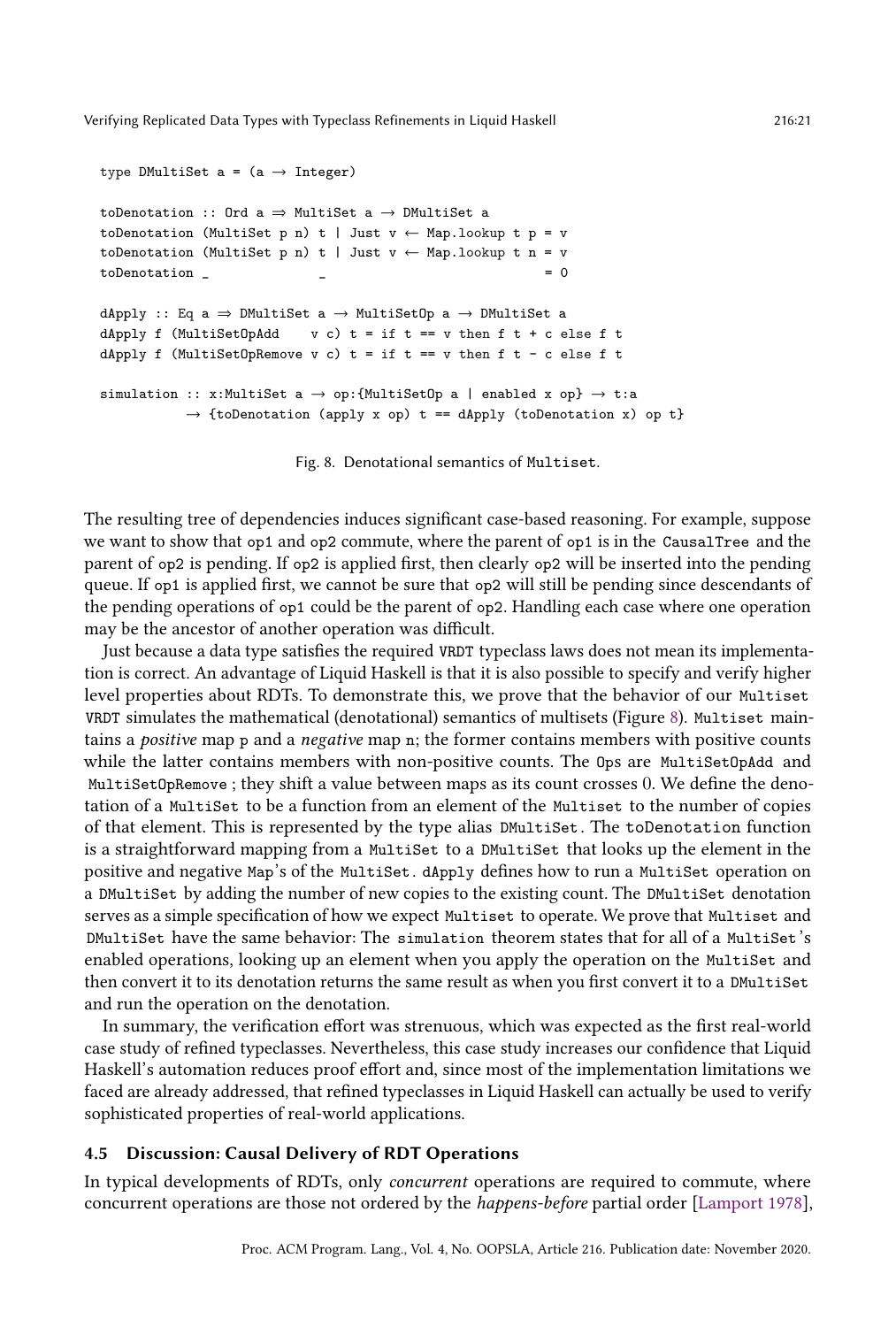```
type DMultiSet a = (a \rightarrow Integer)toDenotation :: Ord a \Rightarrow MultiSet a \rightarrow DMultiSet a
toDenotation (MultiSet p n) t | Just v \leftarrow Map.lookup t p = v
toDenotation (MultiSet p n) t | Just v \leftarrow Map.lookup t n = v
\text{to}Denotation \qquad \qquad \qquad \qquad = 0dApply :: Eq a \Rightarrow DMultiSet a \rightarrow MultiSetOp a \rightarrow DMultiSet a
dApply f (MultiSetOpAdd v c) t = if t == v then f + c else f t
dApply f (MultiSetOpRemove v c) t = if t == v then f t - c else f t
simulation :: x:MultiSet a \rightarrow op:{MultiSetOp a | enabled x op} \rightarrow t:a
            \rightarrow {toDenotation (apply x op) t == dApply (toDenotation x) op t}
```
Fig. 8. Denotational semantics of Multiset.

The resulting tree of dependencies induces significant case-based reasoning. For example, suppose we want to show that op1 and op2 commute, where the parent of op1 is in the CausalTree and the parent of op2 is pending. If op2 is applied first, then clearly op2 will be inserted into the pending queue. If op1 is applied first, we cannot be sure that op2 will still be pending since descendants of the pending operations of op1 could be the parent of op2. Handling each case where one operation may be the ancestor of another operation was difficult.

Just because a data type satisfies the required VRDT typeclass laws does not mean its implementation is correct. An advantage of Liquid Haskell is that it is also possible to specify and verify higher level properties about RDTs. To demonstrate this, we prove that the behavior of our Multiset VRDT simulates the mathematical (denotational) semantics of multisets (Figure [8\)](#page-20-1). Multiset maintains a positive map p and a negative map n; the former contains members with positive counts while the latter contains members with non-positive counts. The Ops are MultiSetOpAdd and MultiSetOpRemove ; they shift a value between maps as its count crosses 0. We define the denotation of a MultiSet to be a function from an element of the Multiset to the number of copies of that element. This is represented by the type alias DMultiSet . The toDenotation function is a straightforward mapping from a MultiSet to a DMultiSet that looks up the element in the positive and negative Map's of the MultiSet. dApply defines how to run a MultiSet operation on a DMultiSet by adding the number of new copies to the existing count. The DMultiSet denotation serves as a simple specification of how we expect Multiset to operate. We prove that Multiset and DMultiSet have the same behavior: The simulation theorem states that for all of a MultiSet's enabled operations, looking up an element when you apply the operation on the MultiSet and then convert it to its denotation returns the same result as when you first convert it to a DMultiSet and run the operation on the denotation.

In summary, the verification effort was strenuous, which was expected as the first real-world case study of refined typeclasses. Nevertheless, this case study increases our confidence that Liquid Haskell's automation reduces proof effort and, since most of the implementation limitations we faced are already addressed, that refined typeclasses in Liquid Haskell can actually be used to verify sophisticated properties of real-world applications.

### <span id="page-20-0"></span>Discussion: Causal Delivery of RDT Operations

In typical developments of RDTs, only concurrent operations are required to commute, where concurrent operations are those not ordered by the happens-before partial order [\[Lamport 1978\]](#page-28-10),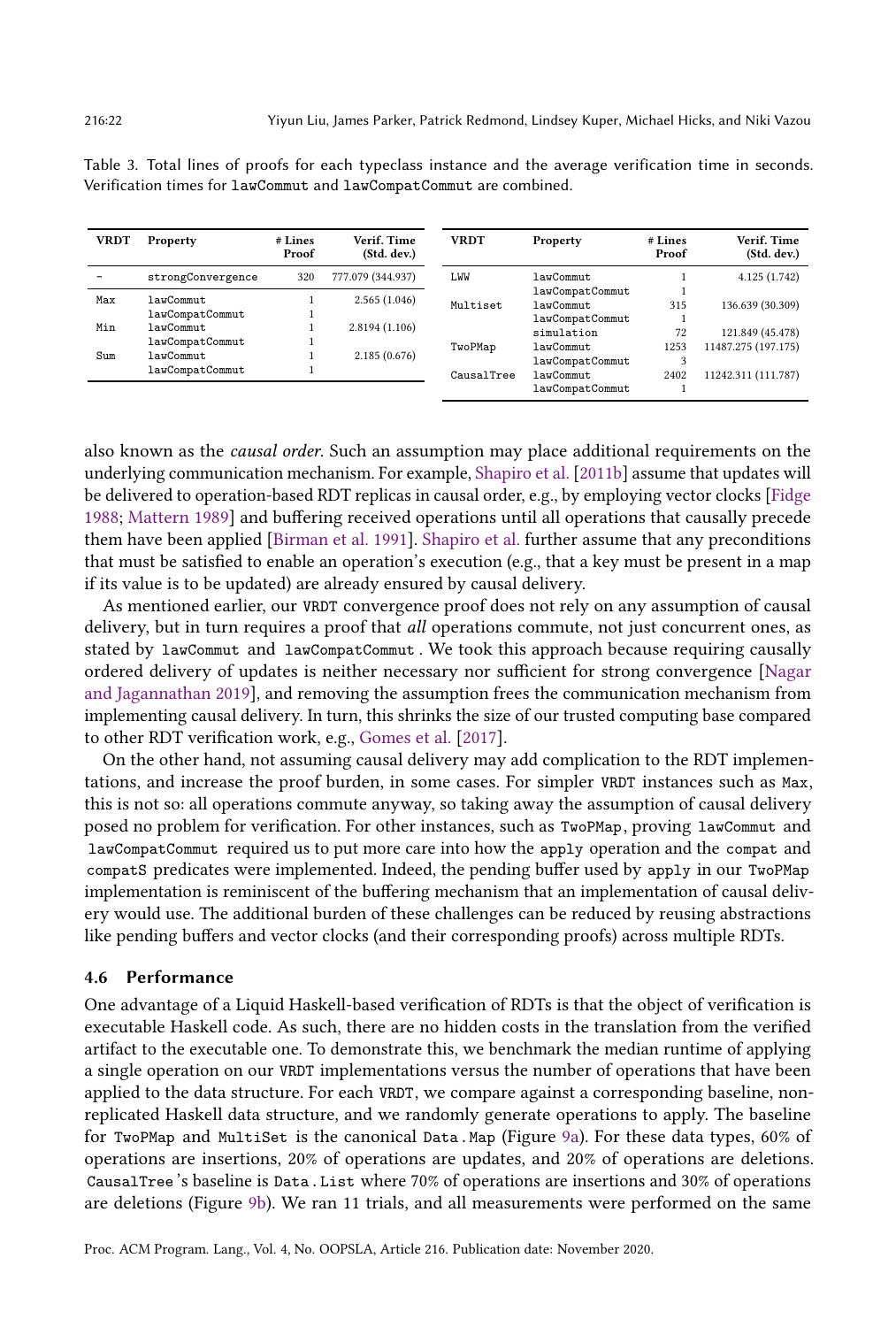| <b>VRDT</b> | Property          | # Lines<br>Proof | Verif. Time<br>(Std. dev.)     | <b>VRDT</b> | Property        | # Lines<br>Proof | Verif. Time<br>(Std. dev.) |
|-------------|-------------------|------------------|--------------------------------|-------------|-----------------|------------------|----------------------------|
|             | strongConvergence | 320              | 777.079 (344.937)              | <b>I.WW</b> | lawCommut       |                  | 4.125(1.742)               |
| Max<br>Min  | lawCommut         |                  | 2.565(1.046)<br>2.8194 (1.106) |             | lawCompatCommut |                  |                            |
|             |                   |                  |                                | Multiset    | lawCommut       | 315              | 136.639 (30.309)           |
|             | lawCompatCommut   |                  |                                |             | lawCompatCommut |                  |                            |
|             | lawCommut         |                  |                                |             | simulation      | 72               | 121.849 (45.478)           |
|             | lawCompatCommut   |                  |                                | TwoPMap     | lawCommut       | 1253             | 11487.275 (197.175)        |
| Sum         | lawCommut         |                  | 2.185(0.676)                   |             |                 | 2                |                            |
|             | lawCompatCommut   |                  |                                |             | lawCompatCommut |                  |                            |
|             |                   |                  |                                | CausalTree  | lawCommut       | 2402             | 11242.311 (111.787)        |
|             |                   |                  |                                |             | lawCompatCommut |                  |                            |

<span id="page-21-0"></span>Table 3. Total lines of proofs for each typeclass instance and the average verification time in seconds. Verification times for lawCommut and lawCompatCommut are combined.

also known as the causal order. Such an assumption may place additional requirements on the underlying communication mechanism. For example, [Shapiro et al.](#page-29-6) [\[2011b\]](#page-29-6) assume that updates will be delivered to operation-based RDT replicas in causal order, e.g., by employing vector clocks [\[Fidge](#page-27-8) [1988;](#page-27-8) [Mattern 1989\]](#page-28-11) and buffering received operations until all operations that causally precede them have been applied [\[Birman et al.](#page-27-9) [1991\]](#page-27-9). [Shapiro et al.](#page-29-6) further assume that any preconditions that must be satisfied to enable an operation's execution (e.g., that a key must be present in a map if its value is to be updated) are already ensured by causal delivery.

As mentioned earlier, our VRDT convergence proof does not rely on any assumption of causal delivery, but in turn requires a proof that *all* operations commute, not just concurrent ones, as stated by lawCommut and lawCompatCommut . We took this approach because requiring causally ordered delivery of updates is neither necessary nor sufficient for strong convergence [\[Nagar](#page-28-12) [and Jagannathan 2019\]](#page-28-12), and removing the assumption frees the communication mechanism from implementing causal delivery. In turn, this shrinks the size of our trusted computing base compared to other RDT verification work, e.g., [Gomes et al.](#page-27-7) [\[2017\]](#page-27-7).

On the other hand, not assuming causal delivery may add complication to the RDT implementations, and increase the proof burden, in some cases. For simpler VRDT instances such as Max, this is not so: all operations commute anyway, so taking away the assumption of causal delivery posed no problem for verification. For other instances, such as TwoPMap, proving lawCommut and lawCompatCommut required us to put more care into how the apply operation and the compat and compatS predicates were implemented. Indeed, the pending buffer used by apply in our TwoPMap implementation is reminiscent of the buffering mechanism that an implementation of causal delivery would use. The additional burden of these challenges can be reduced by reusing abstractions like pending buffers and vector clocks (and their corresponding proofs) across multiple RDTs.

# 4.6 Performance

One advantage of a Liquid Haskell-based verification of RDTs is that the object of verification is executable Haskell code. As such, there are no hidden costs in the translation from the verified artifact to the executable one. To demonstrate this, we benchmark the median runtime of applying a single operation on our VRDT implementations versus the number of operations that have been applied to the data structure. For each VRDT, we compare against a corresponding baseline, nonreplicated Haskell data structure, and we randomly generate operations to apply. The baseline for TwoPMap and MultiSet is the canonical Data.Map (Figure [9a\)](#page-22-1). For these data types, 60% of operations are insertions, 20% of operations are updates, and 20% of operations are deletions. CausalTree 's baseline is Data.List where 70% of operations are insertions and 30% of operations are deletions (Figure [9b\)](#page-22-1). We ran 11 trials, and all measurements were performed on the same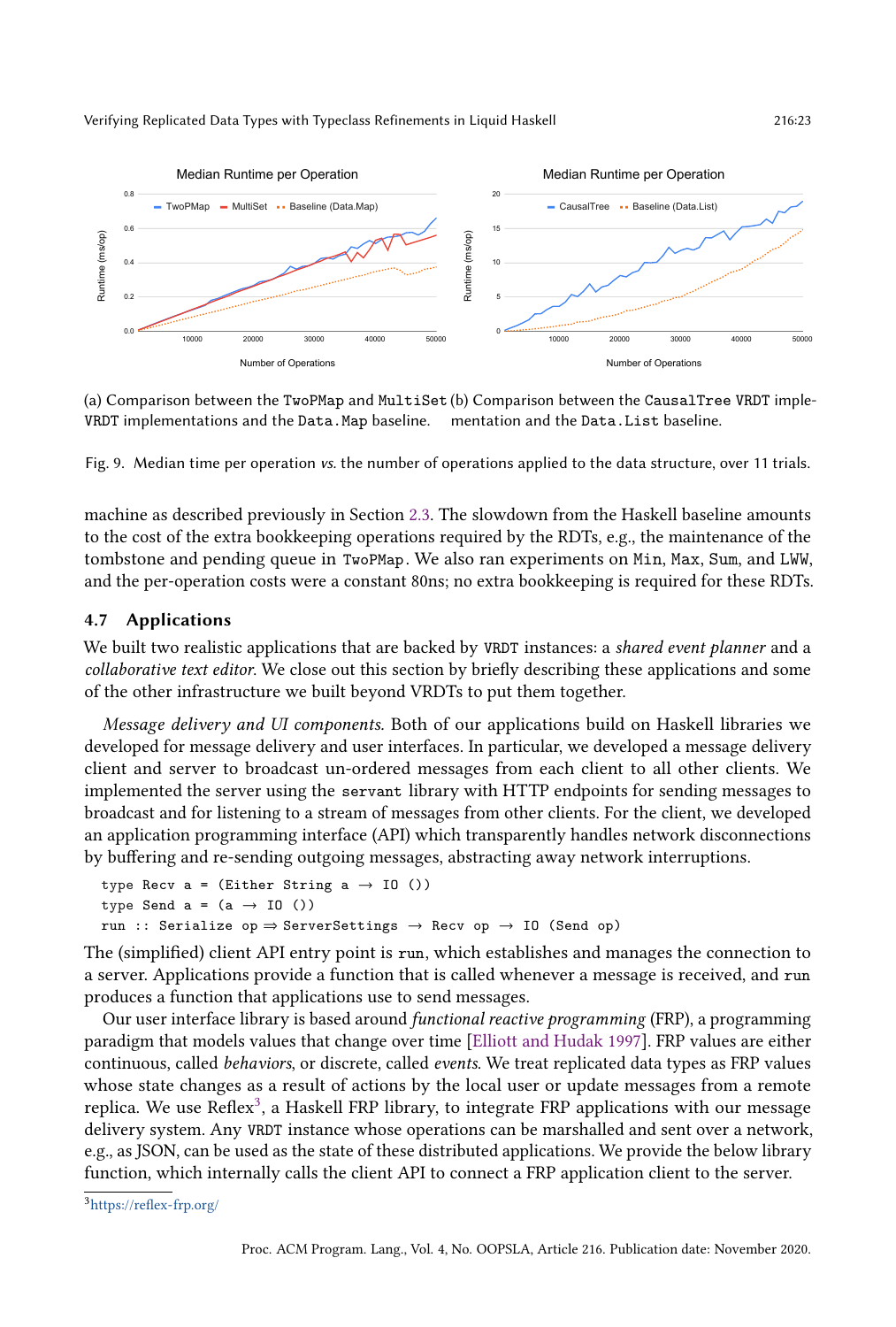<span id="page-22-1"></span>

(a) Comparison between the TwoPMap and MultiSet (b) Comparison between the CausalTree VRDT imple-VRDT implementations and the Data.Map baseline. mentation and the Data.List baseline.

Fig. 9. Median time per operation vs. the number of operations applied to the data structure, over 11 trials.

machine as described previously in Section [2.3.](#page-7-0) The slowdown from the Haskell baseline amounts to the cost of the extra bookkeeping operations required by the RDTs, e.g., the maintenance of the tombstone and pending queue in TwoPMap. We also ran experiments on Min, Max, Sum, and LWW, and the per-operation costs were a constant 80ns; no extra bookkeeping is required for these RDTs.

#### <span id="page-22-0"></span>4.7 Applications

We built two realistic applications that are backed by VRDT instances: a shared event planner and a collaborative text editor. We close out this section by briefly describing these applications and some of the other infrastructure we built beyond VRDTs to put them together.

Message delivery and UI components. Both of our applications build on Haskell libraries we developed for message delivery and user interfaces. In particular, we developed a message delivery client and server to broadcast un-ordered messages from each client to all other clients. We implemented the server using the servant library with HTTP endpoints for sending messages to broadcast and for listening to a stream of messages from other clients. For the client, we developed an application programming interface (API) which transparently handles network disconnections by buffering and re-sending outgoing messages, abstracting away network interruptions.

```
type Recv a = (Either String <math>a \rightarrow 10</math>())type Send a = (a \rightarrow 10)run :: Serialize op \Rightarrow ServerSettings \rightarrow Recv op \rightarrow IO (Send op)
```
The (simplified) client API entry point is run, which establishes and manages the connection to a server. Applications provide a function that is called whenever a message is received, and run produces a function that applications use to send messages.

Our user interface library is based around functional reactive programming (FRP), a programming paradigm that models values that change over time [\[Elliott and Hudak 1997\]](#page-27-10). FRP values are either continuous, called behaviors, or discrete, called events. We treat replicated data types as FRP values whose state changes as a result of actions by the local user or update messages from a remote replica. We use Reflex<sup>[3](#page-22-2)</sup>, a Haskell FRP library, to integrate FRP applications with our message delivery system. Any VRDT instance whose operations can be marshalled and sent over a network, e.g., as JSON, can be used as the state of these distributed applications. We provide the below library function, which internally calls the client API to connect a FRP application client to the server.

<span id="page-22-2"></span><sup>3</sup><https://reflex-frp.org/>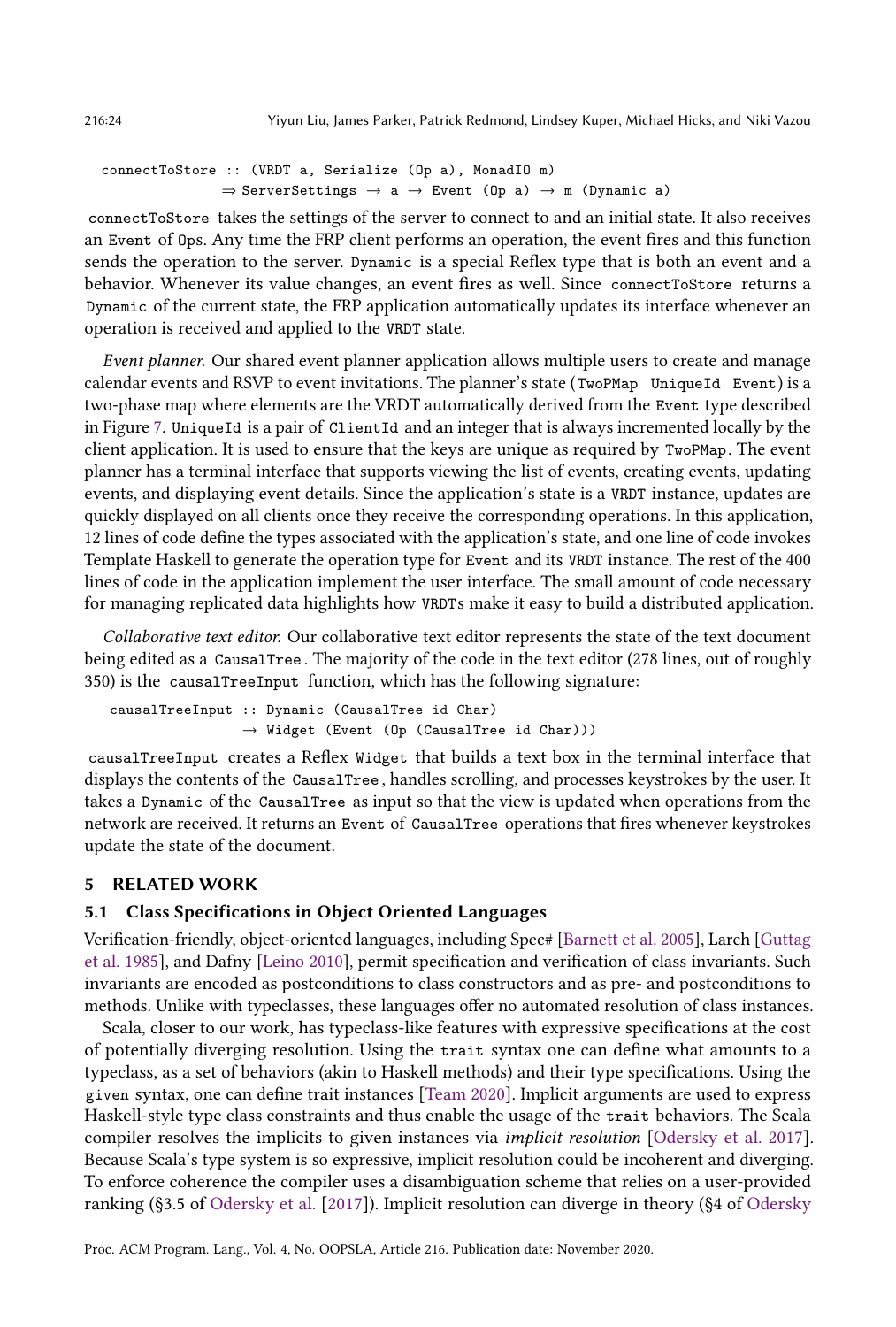```
connectToStore :: (VRDT a, Serialize (Op a), MonadIO m)
                   \Rightarrow ServerSettings \rightarrow a \rightarrow Event (Op a) \rightarrow m (Dynamic a)
```
connectToStore takes the settings of the server to connect to and an initial state. It also receives an Event of Ops. Any time the FRP client performs an operation, the event fires and this function sends the operation to the server. Dynamic is a special Reflex type that is both an event and a behavior. Whenever its value changes, an event fires as well. Since connectToStore returns a Dynamic of the current state, the FRP application automatically updates its interface whenever an operation is received and applied to the VRDT state.

Event planner. Our shared event planner application allows multiple users to create and manage calendar events and RSVP to event invitations. The planner's state (TwoPMap UniqueId Event) is a two-phase map where elements are the VRDT automatically derived from the Event type described in Figure [7.](#page-19-1) UniqueId is a pair of ClientId and an integer that is always incremented locally by the client application. It is used to ensure that the keys are unique as required by TwoPMap. The event planner has a terminal interface that supports viewing the list of events, creating events, updating events, and displaying event details. Since the application's state is a VRDT instance, updates are quickly displayed on all clients once they receive the corresponding operations. In this application, 12 lines of code define the types associated with the application's state, and one line of code invokes Template Haskell to generate the operation type for Event and its VRDT instance. The rest of the 400 lines of code in the application implement the user interface. The small amount of code necessary for managing replicated data highlights how VRDTs make it easy to build a distributed application.

Collaborative text editor. Our collaborative text editor represents the state of the text document being edited as a CausalTree . The majority of the code in the text editor (278 lines, out of roughly 350) is the causalTreeInput function, which has the following signature:

causalTreeInput :: Dynamic (CausalTree id Char)  $\rightarrow$  Widget (Event (Op (CausalTree id Char)))

causalTreeInput creates a Reflex Widget that builds a text box in the terminal interface that displays the contents of the CausalTree , handles scrolling, and processes keystrokes by the user. It takes a Dynamic of the CausalTree as input so that the view is updated when operations from the network are received. It returns an Event of CausalTree operations that fires whenever keystrokes update the state of the document.

# <span id="page-23-0"></span>5 RELATED WORK

# 5.1 Class Specifications in Object Oriented Languages

Verification-friendly, object-oriented languages, including Spec# [\[Barnett et al.](#page-27-11) [2005\]](#page-27-11), Larch [\[Guttag](#page-28-13) [et al.](#page-28-13) [1985\]](#page-28-13), and Dafny [\[Leino 2010\]](#page-28-14), permit specification and verification of class invariants. Such invariants are encoded as postconditions to class constructors and as pre- and postconditions to methods. Unlike with typeclasses, these languages offer no automated resolution of class instances.

Scala, closer to our work, has typeclass-like features with expressive specifications at the cost of potentially diverging resolution. Using the trait syntax one can define what amounts to a typeclass, as a set of behaviors (akin to Haskell methods) and their type specifications. Using the given syntax, one can define trait instances [\[Team 2020\]](#page-29-12). Implicit arguments are used to express Haskell-style type class constraints and thus enable the usage of the trait behaviors. The Scala compiler resolves the implicits to given instances via implicit resolution [\[Odersky et al.](#page-28-15) [2017\]](#page-28-15). Because Scala's type system is so expressive, implicit resolution could be incoherent and diverging. To enforce coherence the compiler uses a disambiguation scheme that relies on a user-provided ranking (ğ3.5 of [Odersky et al.](#page-28-15) [\[2017\]](#page-28-15)). Implicit resolution can diverge in theory (ğ4 of [Odersky](#page-28-15)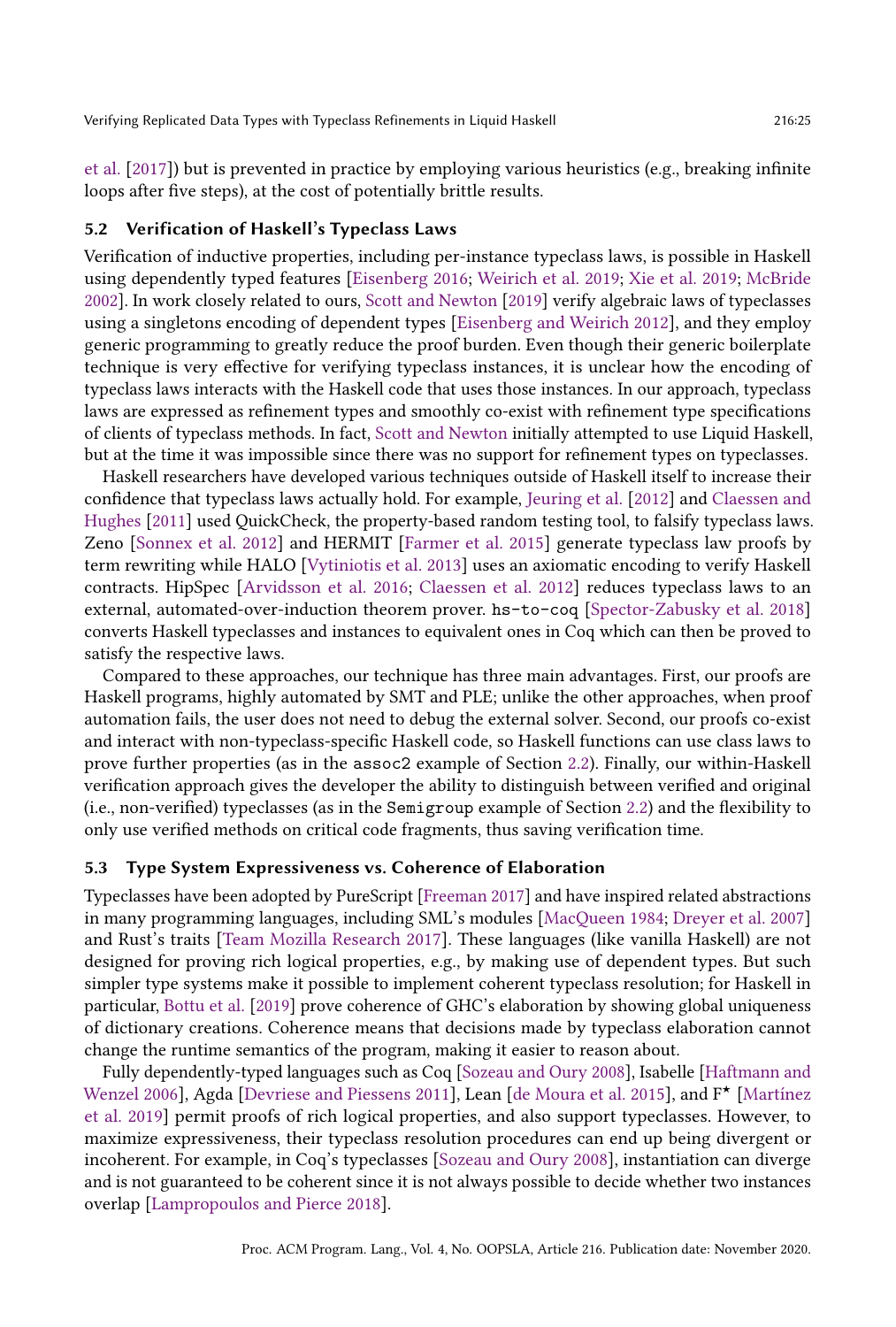[et al.](#page-28-15) [\[2017\]](#page-28-15)) but is prevented in practice by employing various heuristics (e.g., breaking infinite loops after five steps), at the cost of potentially brittle results.

### <span id="page-24-1"></span>5.2 Verification of Haskell's Typeclass Laws

Verification of inductive properties, including per-instance typeclass laws, is possible in Haskell using dependently typed features [\[Eisenberg 2016;](#page-27-12) [Weirich et al.](#page-29-13) [2019;](#page-29-13) [Xie et al.](#page-29-14) [2019;](#page-29-14) [McBride](#page-28-16) [2002\]](#page-28-16). In work closely related to ours, [Scott and Newton](#page-29-15) [\[2019\]](#page-29-15) verify algebraic laws of typeclasses using a singletons encoding of dependent types [\[Eisenberg and Weirich 2012\]](#page-27-13), and they employ generic programming to greatly reduce the proof burden. Even though their generic boilerplate technique is very effective for verifying typeclass instances, it is unclear how the encoding of typeclass laws interacts with the Haskell code that uses those instances. In our approach, typeclass laws are expressed as refinement types and smoothly co-exist with refinement type specifications of clients of typeclass methods. In fact, [Scott and Newton](#page-29-15) initially attempted to use Liquid Haskell, but at the time it was impossible since there was no support for refinement types on typeclasses.

Haskell researchers have developed various techniques outside of Haskell itself to increase their confidence that typeclass laws actually hold. For example, [Jeuring et al.](#page-28-17) [\[2012\]](#page-28-17) and [Claessen and](#page-27-14) [Hughes](#page-27-14) [\[2011\]](#page-27-14) used QuickCheck, the property-based random testing tool, to falsify typeclass laws. Zeno [\[Sonnex et al.](#page-29-16) [2012\]](#page-29-16) and HERMIT [\[Farmer et al.](#page-27-15) [2015\]](#page-27-15) generate typeclass law proofs by term rewriting while HALO [\[Vytiniotis et al.](#page-29-17) [2013\]](#page-29-17) uses an axiomatic encoding to verify Haskell contracts. HipSpec [\[Arvidsson et al.](#page-27-16) [2016;](#page-27-16) [Claessen et al.](#page-27-17) [2012\]](#page-27-17) reduces typeclass laws to an external, automated-over-induction theorem prover. hs-to-coq [\[Spector-Zabusky et al.](#page-29-18) [2018\]](#page-29-18) converts Haskell typeclasses and instances to equivalent ones in Coq which can then be proved to satisfy the respective laws.

Compared to these approaches, our technique has three main advantages. First, our proofs are Haskell programs, highly automated by SMT and PLE; unlike the other approaches, when proof automation fails, the user does not need to debug the external solver. Second, our proofs co-exist and interact with non-typeclass-specific Haskell code, so Haskell functions can use class laws to prove further properties (as in the assoc2 example of Section [2.2\)](#page-5-0). Finally, our within-Haskell verification approach gives the developer the ability to distinguish between verified and original (i.e., non-verified) typeclasses (as in the Semigroup example of Section [2.2\)](#page-5-0) and the flexibility to only use verified methods on critical code fragments, thus saving verification time.

### <span id="page-24-0"></span>5.3 Type System Expressiveness vs. Coherence of Elaboration

Typeclasses have been adopted by PureScript [\[Freeman 2017\]](#page-27-18) and have inspired related abstractions in many programming languages, including SML's modules [\[MacQueen 1984;](#page-28-6) [Dreyer et al.](#page-27-19) [2007\]](#page-27-19) and Rust's traits [\[Team Mozilla Research 2017\]](#page-29-19). These languages (like vanilla Haskell) are not designed for proving rich logical properties, e.g., by making use of dependent types. But such simpler type systems make it possible to implement coherent typeclass resolution; for Haskell in particular, [Bottu et al.](#page-27-2) [\[2019\]](#page-27-2) prove coherence of GHC's elaboration by showing global uniqueness of dictionary creations. Coherence means that decisions made by typeclass elaboration cannot change the runtime semantics of the program, making it easier to reason about.

Fully dependently-typed languages such as Coq [\[Sozeau and Oury 2008\]](#page-29-20), Isabelle [\[Haftmann and](#page-28-18) [Wenzel 2006\]](#page-28-18), Agda [\[Devriese and Piessens 2011\]](#page-27-20), Lean [\[de Moura et al.](#page-27-21) [2015\]](#page-27-21), and  $F^{\star}$  [\[Martínez](#page-28-19) [et al.](#page-28-19) [2019\]](#page-28-19) permit proofs of rich logical properties, and also support typeclasses. However, to maximize expressiveness, their typeclass resolution procedures can end up being divergent or incoherent. For example, in Coq's typeclasses [\[Sozeau and Oury 2008\]](#page-29-20), instantiation can diverge and is not guaranteed to be coherent since it is not always possible to decide whether two instances overlap [\[Lampropoulos and Pierce 2018\]](#page-28-20).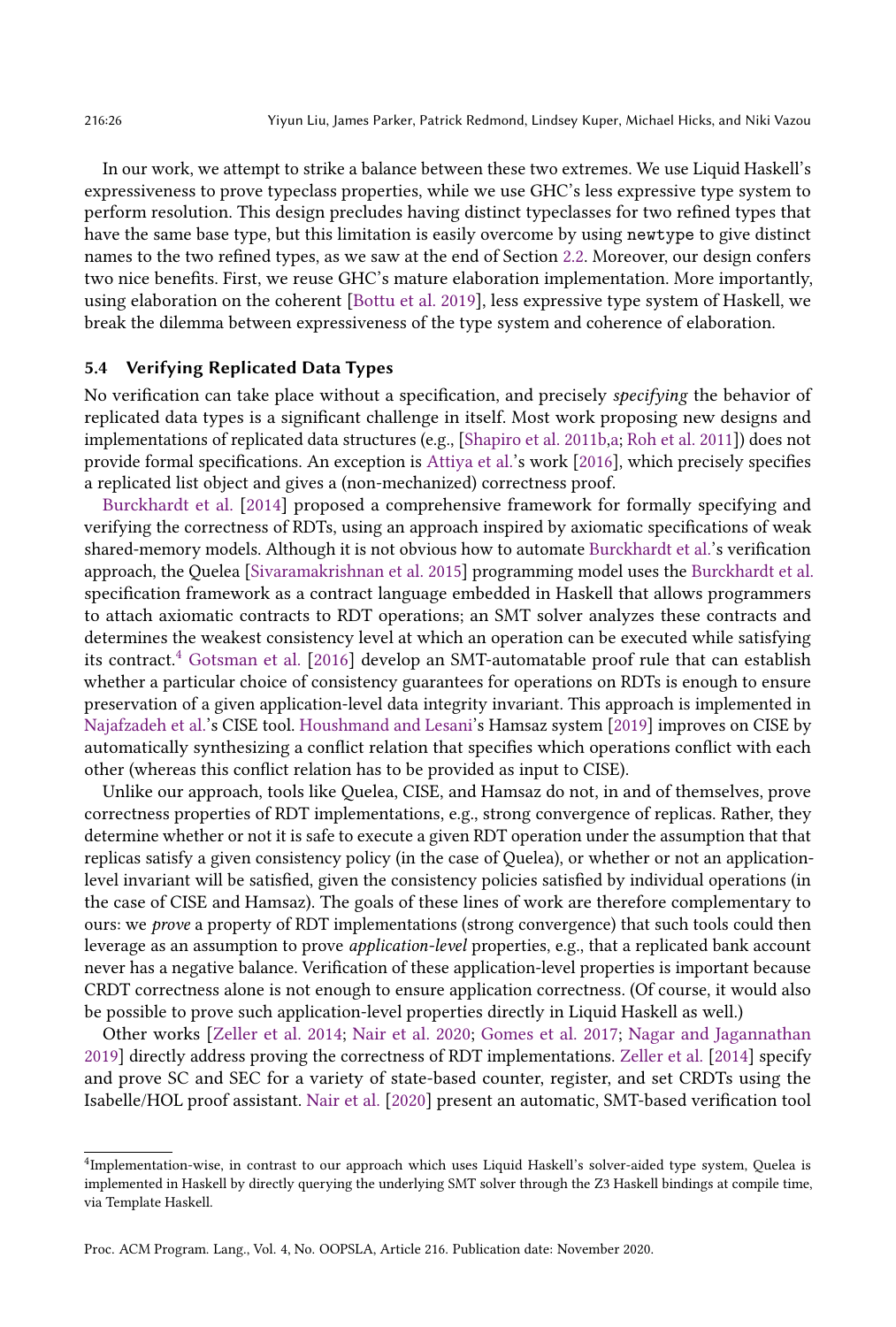In our work, we attempt to strike a balance between these two extremes. We use Liquid Haskell's expressiveness to prove typeclass properties, while we use GHC's less expressive type system to perform resolution. This design precludes having distinct typeclasses for two refined types that have the same base type, but this limitation is easily overcome by using newtype to give distinct names to the two refined types, as we saw at the end of Section [2.2.](#page-5-0) Moreover, our design confers two nice benefits. First, we reuse GHC's mature elaboration implementation. More importantly, using elaboration on the coherent [\[Bottu et al.](#page-27-2) [2019\]](#page-27-2), less expressive type system of Haskell, we break the dilemma between expressiveness of the type system and coherence of elaboration.

# <span id="page-25-0"></span>5.4 Verifying Replicated Data Types

No verification can take place without a specification, and precisely specifying the behavior of replicated data types is a significant challenge in itself. Most work proposing new designs and implementations of replicated data structures (e.g., [\[Shapiro et al.](#page-29-6) [2011b](#page-29-6)[,a;](#page-29-7) [Roh et al.](#page-28-2) [2011\]](#page-28-2)) does not provide formal specifications. An exception is [Attiya et al.'](#page-27-6)s work [\[2016\]](#page-27-6), which precisely specifies a replicated list object and gives a (non-mechanized) correctness proof.

[Burckhardt et al.](#page-27-22) [\[2014\]](#page-27-22) proposed a comprehensive framework for formally specifying and verifying the correctness of RDTs, using an approach inspired by axiomatic specifications of weak shared-memory models. Although it is not obvious how to automate [Burckhardt et al.'](#page-27-22)s verification approach, the Quelea [\[Sivaramakrishnan et al.](#page-29-21) [2015\]](#page-29-21) programming model uses the [Burckhardt et al.](#page-27-22) specification framework as a contract language embedded in Haskell that allows programmers to attach axiomatic contracts to RDT operations; an SMT solver analyzes these contracts and determines the weakest consistency level at which an operation can be executed while satisfying its contract. $4$  [Gotsman et al.](#page-27-23) [\[2016\]](#page-27-23) develop an SMT-automatable proof rule that can establish whether a particular choice of consistency guarantees for operations on RDTs is enough to ensure preservation of a given application-level data integrity invariant. This approach is implemented in [Najafzadeh et al.'](#page-28-21)s CISE tool. [Houshmand and Lesani'](#page-28-22)s Hamsaz system [\[2019\]](#page-28-22) improves on CISE by automatically synthesizing a conflict relation that specifies which operations conflict with each other (whereas this conflict relation has to be provided as input to CISE).

Unlike our approach, tools like Quelea, CISE, and Hamsaz do not, in and of themselves, prove correctness properties of RDT implementations, e.g., strong convergence of replicas. Rather, they determine whether or not it is safe to execute a given RDT operation under the assumption that that replicas satisfy a given consistency policy (in the case of Quelea), or whether or not an applicationlevel invariant will be satisfied, given the consistency policies satisfied by individual operations (in the case of CISE and Hamsaz). The goals of these lines of work are therefore complementary to ours: we *prove* a property of RDT implementations (strong convergence) that such tools could then leverage as an assumption to prove application-level properties, e.g., that a replicated bank account never has a negative balance. Verification of these application-level properties is important because CRDT correctness alone is not enough to ensure application correctness. (Of course, it would also be possible to prove such application-level properties directly in Liquid Haskell as well.)

Other works [\[Zeller et al.](#page-29-22) [2014;](#page-29-22) [Nair et al.](#page-28-23) [2020;](#page-28-23) [Gomes et al.](#page-27-7) [2017;](#page-27-7) [Nagar and Jagannathan](#page-28-12) [2019\]](#page-28-12) directly address proving the correctness of RDT implementations. [Zeller et al.](#page-29-22) [\[2014\]](#page-29-22) specify and prove SC and SEC for a variety of state-based counter, register, and set CRDTs using the Isabelle/HOL proof assistant. [Nair et al.](#page-28-23) [\[2020\]](#page-28-23) present an automatic, SMT-based verification tool

Proc. ACM Program. Lang., Vol. 4, No. OOPSLA, Article 216. Publication date: November 2020.

<span id="page-25-1"></span><sup>4</sup> Implementation-wise, in contrast to our approach which uses Liquid Haskell's solver-aided type system, Quelea is implemented in Haskell by directly querying the underlying SMT solver through the Z3 Haskell bindings at compile time, via Template Haskell.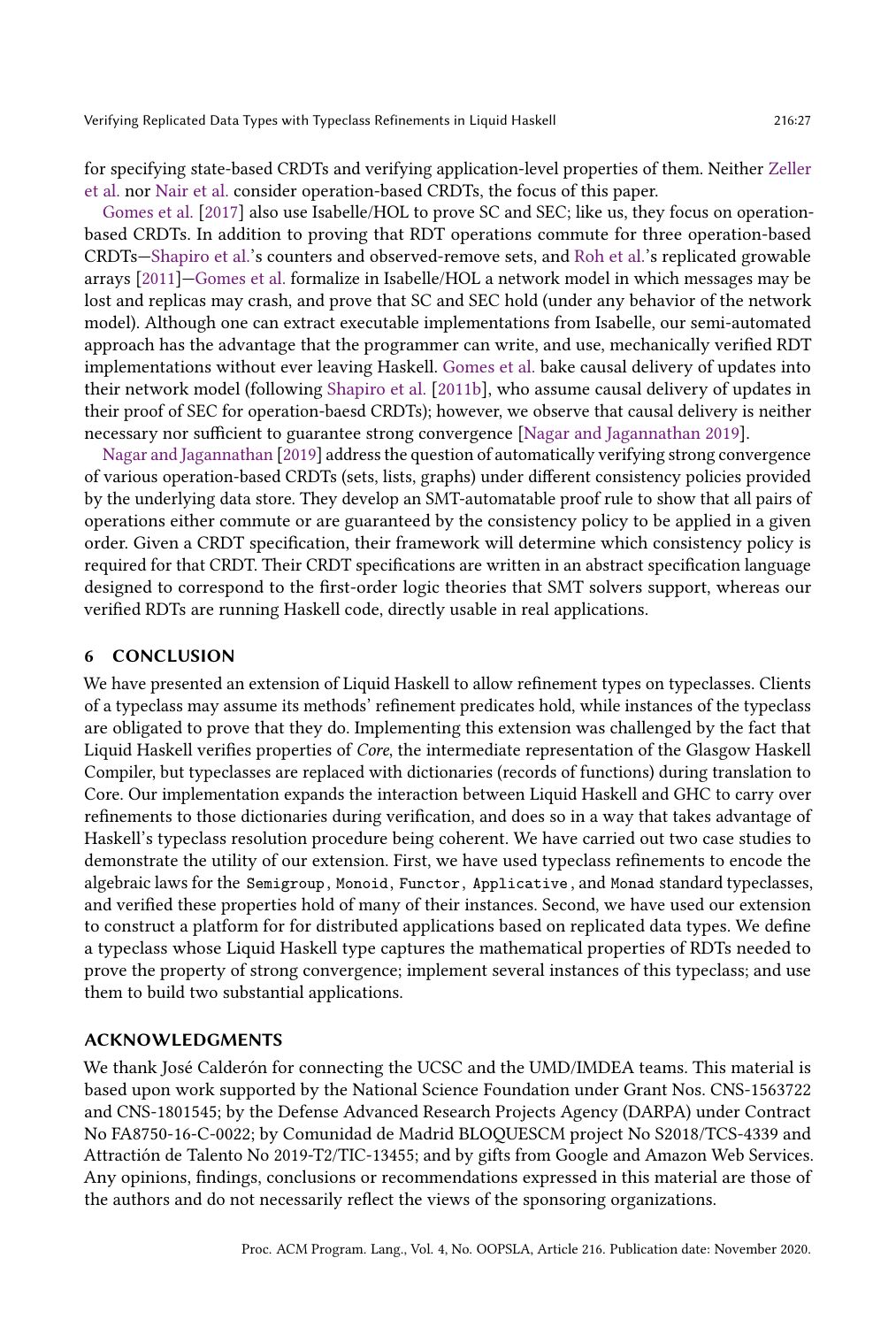for specifying state-based CRDTs and verifying application-level properties of them. Neither [Zeller](#page-29-22) [et al.](#page-29-22) nor [Nair et al.](#page-28-23) consider operation-based CRDTs, the focus of this paper.

[Gomes et al.](#page-27-7) [\[2017\]](#page-27-7) also use Isabelle/HOL to prove SC and SEC; like us, they focus on operationbased CRDTs. In addition to proving that RDT operations commute for three operation-based CRDTs-Shapiro et al.'s counters and observed-remove sets, and [Roh et al.'](#page-28-2)s replicated growable arrays [\[2011\]](#page-28-2)–Gomes et al. formalize in Isabelle/HOL a network model in which messages may be lost and replicas may crash, and prove that SC and SEC hold (under any behavior of the network model). Although one can extract executable implementations from Isabelle, our semi-automated approach has the advantage that the programmer can write, and use, mechanically verified RDT implementations without ever leaving Haskell. [Gomes et al.](#page-27-7) bake causal delivery of updates into their network model (following [Shapiro et al.](#page-29-6) [\[2011b\]](#page-29-6), who assume causal delivery of updates in their proof of SEC for operation-baesd CRDTs); however, we observe that causal delivery is neither necessary nor sufficient to guarantee strong convergence [\[Nagar and Jagannathan 2019\]](#page-28-12).

[Nagar and Jagannathan](#page-28-12) [\[2019\]](#page-28-12) address the question of automatically verifying strong convergence of various operation-based CRDTs (sets, lists, graphs) under different consistency policies provided by the underlying data store. They develop an SMT-automatable proof rule to show that all pairs of operations either commute or are guaranteed by the consistency policy to be applied in a given order. Given a CRDT specification, their framework will determine which consistency policy is required for that CRDT. Their CRDT specifications are written in an abstract specification language designed to correspond to the first-order logic theories that SMT solvers support, whereas our verified RDTs are running Haskell code, directly usable in real applications.

# 6 CONCLUSION

We have presented an extension of Liquid Haskell to allow refinement types on typeclasses. Clients of a typeclass may assume its methods' refinement predicates hold, while instances of the typeclass are obligated to prove that they do. Implementing this extension was challenged by the fact that Liquid Haskell verifies properties of Core, the intermediate representation of the Glasgow Haskell Compiler, but typeclasses are replaced with dictionaries (records of functions) during translation to Core. Our implementation expands the interaction between Liquid Haskell and GHC to carry over refinements to those dictionaries during verification, and does so in a way that takes advantage of Haskell's typeclass resolution procedure being coherent. We have carried out two case studies to demonstrate the utility of our extension. First, we have used typeclass refinements to encode the algebraic laws for the Semigroup , Monoid, Functor, Applicative , and Monad standard typeclasses, and verified these properties hold of many of their instances. Second, we have used our extension to construct a platform for for distributed applications based on replicated data types. We define a typeclass whose Liquid Haskell type captures the mathematical properties of RDTs needed to prove the property of strong convergence; implement several instances of this typeclass; and use them to build two substantial applications.

### ACKNOWLEDGMENTS

We thank José Calderón for connecting the UCSC and the UMD/IMDEA teams. This material is based upon work supported by the National Science Foundation under Grant Nos. CNS-1563722 and CNS-1801545; by the Defense Advanced Research Projects Agency (DARPA) under Contract No FA8750-16-C-0022; by Comunidad de Madrid BLOQUESCM project No S2018/TCS-4339 and Attractión de Talento No 2019-T2/TIC-13455; and by gifts from Google and Amazon Web Services. Any opinions, findings, conclusions or recommendations expressed in this material are those of the authors and do not necessarily reflect the views of the sponsoring organizations.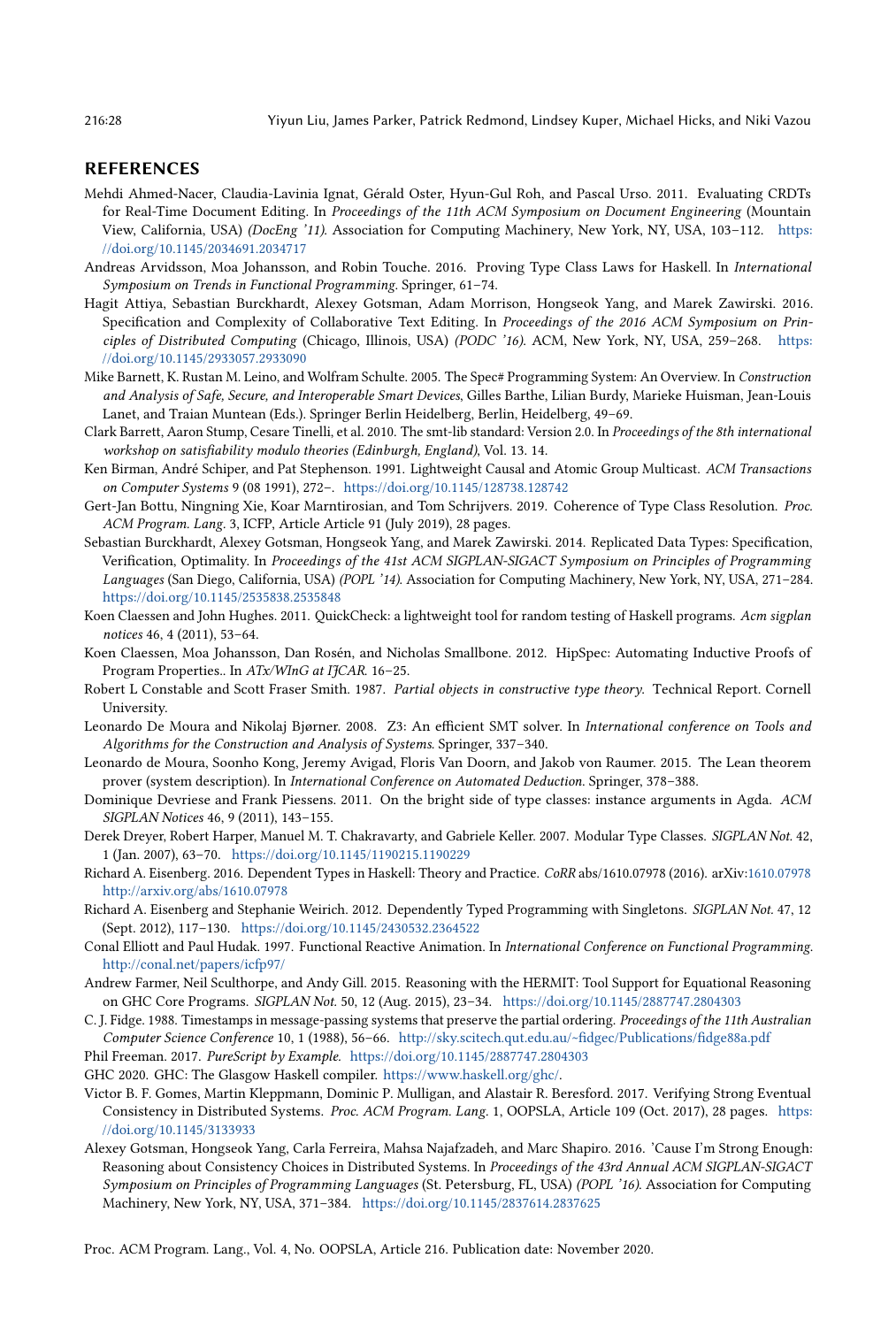### REFERENCES

- <span id="page-27-5"></span>Mehdi Ahmed-Nacer, Claudia-Lavinia Ignat, Gérald Oster, Hyun-Gul Roh, and Pascal Urso. 2011. Evaluating CRDTs for Real-Time Document Editing. In Proceedings of the 11th ACM Symposium on Document Engineering (Mountain View, California, USA) (DocEng '11). Association for Computing Machinery, New York, NY, USA, 103-112. [https:](https://doi.org/10.1145/2034691.2034717) [//doi.org/10.1145/2034691.2034717](https://doi.org/10.1145/2034691.2034717)
- <span id="page-27-16"></span>Andreas Arvidsson, Moa Johansson, and Robin Touche. 2016. Proving Type Class Laws for Haskell. In International Symposium on Trends in Functional Programming. Springer, 61-74.
- <span id="page-27-6"></span>Hagit Attiya, Sebastian Burckhardt, Alexey Gotsman, Adam Morrison, Hongseok Yang, and Marek Zawirski. 2016. Specification and Complexity of Collaborative Text Editing. In Proceedings of the 2016 ACM Symposium on Principles of Distributed Computing (Chicago, Illinois, USA) (PODC '16). ACM, New York, NY, USA, 259-268. [https:](https://doi.org/10.1145/2933057.2933090) [//doi.org/10.1145/2933057.2933090](https://doi.org/10.1145/2933057.2933090)
- <span id="page-27-11"></span>Mike Barnett, K. Rustan M. Leino, and Wolfram Schulte. 2005. The Spec# Programming System: An Overview. In Construction and Analysis of Safe, Secure, and Interoperable Smart Devices, Gilles Barthe, Lilian Burdy, Marieke Huisman, Jean-Louis Lanet, and Traian Muntean (Eds.). Springer Berlin Heidelberg, Berlin, Heidelberg, 49-69.
- <span id="page-27-4"></span>Clark Barrett, Aaron Stump, Cesare Tinelli, et al. 2010. The smt-lib standard: Version 2.0. In Proceedings of the 8th international workshop on satisfiability modulo theories (Edinburgh, England), Vol. 13. 14.
- <span id="page-27-9"></span>Ken Birman, André Schiper, and Pat Stephenson. 1991. Lightweight Causal and Atomic Group Multicast. ACM Transactions on Computer Systems 9 (08 1991), 272-. <https://doi.org/10.1145/128738.128742>
- <span id="page-27-2"></span>Gert-Jan Bottu, Ningning Xie, Koar Marntirosian, and Tom Schrijvers. 2019. Coherence of Type Class Resolution. Proc. ACM Program. Lang. 3, ICFP, Article Article 91 (July 2019), 28 pages.
- <span id="page-27-22"></span>Sebastian Burckhardt, Alexey Gotsman, Hongseok Yang, and Marek Zawirski. 2014. Replicated Data Types: Specification, Verification, Optimality. In Proceedings of the 41st ACM SIGPLAN-SIGACT Symposium on Principles of Programming Languages (San Diego, California, USA) (POPL '14). Association for Computing Machinery, New York, NY, USA, 271-284. <https://doi.org/10.1145/2535838.2535848>
- <span id="page-27-14"></span>Koen Claessen and John Hughes. 2011. QuickCheck: a lightweight tool for random testing of Haskell programs. Acm sigplan notices 46, 4 (2011), 53-64.
- <span id="page-27-17"></span>Koen Claessen, Moa Johansson, Dan Rosén, and Nicholas Smallbone. 2012. HipSpec: Automating Inductive Proofs of Program Properties.. In ATx/WInG at IJCAR. 16-25.
- <span id="page-27-0"></span>Robert L Constable and Scott Fraser Smith. 1987. Partial objects in constructive type theory. Technical Report. Cornell University.
- <span id="page-27-3"></span>Leonardo De Moura and Nikolaj Bjørner. 2008. Z3: An efficient SMT solver. In International conference on Tools and Algorithms for the Construction and Analysis of Systems. Springer, 337-340.
- <span id="page-27-21"></span>Leonardo de Moura, Soonho Kong, Jeremy Avigad, Floris Van Doorn, and Jakob von Raumer. 2015. The Lean theorem prover (system description). In International Conference on Automated Deduction. Springer, 378-388.
- <span id="page-27-20"></span>Dominique Devriese and Frank Piessens. 2011. On the bright side of type classes: instance arguments in Agda. ACM SIGPLAN Notices 46, 9 (2011), 143-155.
- <span id="page-27-19"></span>Derek Dreyer, Robert Harper, Manuel M. T. Chakravarty, and Gabriele Keller. 2007. Modular Type Classes. SIGPLAN Not. 42, 1 (Jan. 2007), 63-70. <https://doi.org/10.1145/1190215.1190229>
- <span id="page-27-12"></span>Richard A. Eisenberg. 2016. Dependent Types in Haskell: Theory and Practice. CoRR abs/1610.07978 (2016). arXiv[:1610.07978](https://arxiv.org/abs/1610.07978) <http://arxiv.org/abs/1610.07978>
- <span id="page-27-13"></span>Richard A. Eisenberg and Stephanie Weirich. 2012. Dependently Typed Programming with Singletons. SIGPLAN Not. 47, 12 (Sept. 2012), 117-130. <https://doi.org/10.1145/2430532.2364522>
- <span id="page-27-10"></span>Conal Elliott and Paul Hudak. 1997. Functional Reactive Animation. In International Conference on Functional Programming. <http://conal.net/papers/icfp97/>
- <span id="page-27-15"></span>Andrew Farmer, Neil Sculthorpe, and Andy Gill. 2015. Reasoning with the HERMIT: Tool Support for Equational Reasoning on GHC Core Programs. SIGPLAN Not. 50, 12 (Aug. 2015), 23-34. <https://doi.org/10.1145/2887747.2804303>
- <span id="page-27-8"></span>C. J. Fidge. 1988. Timestamps in message-passing systems that preserve the partial ordering. Proceedings of the 11th Australian Computer Science Conference 10, 1 (1988), 56-66. <http://sky.scitech.qut.edu.au/~fidgec/Publications/fidge88a.pdf>
- <span id="page-27-18"></span>Phil Freeman. 2017. PureScript by Example. <https://doi.org/10.1145/2887747.2804303>
- <span id="page-27-1"></span>GHC 2020. GHC: The Glasgow Haskell compiler. [https://www.haskell.org/ghc/.](https://www.haskell.org/ghc/)
- <span id="page-27-7"></span>Victor B. F. Gomes, Martin Kleppmann, Dominic P. Mulligan, and Alastair R. Beresford. 2017. Verifying Strong Eventual Consistency in Distributed Systems. Proc. ACM Program. Lang. 1, OOPSLA, Article 109 (Oct. 2017), 28 pages. [https:](https://doi.org/10.1145/3133933) [//doi.org/10.1145/3133933](https://doi.org/10.1145/3133933)
- <span id="page-27-23"></span>Alexey Gotsman, Hongseok Yang, Carla Ferreira, Mahsa Najafzadeh, and Marc Shapiro. 2016. 'Cause I'm Strong Enough: Reasoning about Consistency Choices in Distributed Systems. In Proceedings of the 43rd Annual ACM SIGPLAN-SIGACT Symposium on Principles of Programming Languages (St. Petersburg, FL, USA) (POPL '16). Association for Computing Machinery, New York, NY, USA, 371-384. <https://doi.org/10.1145/2837614.2837625>

Proc. ACM Program. Lang., Vol. 4, No. OOPSLA, Article 216. Publication date: November 2020.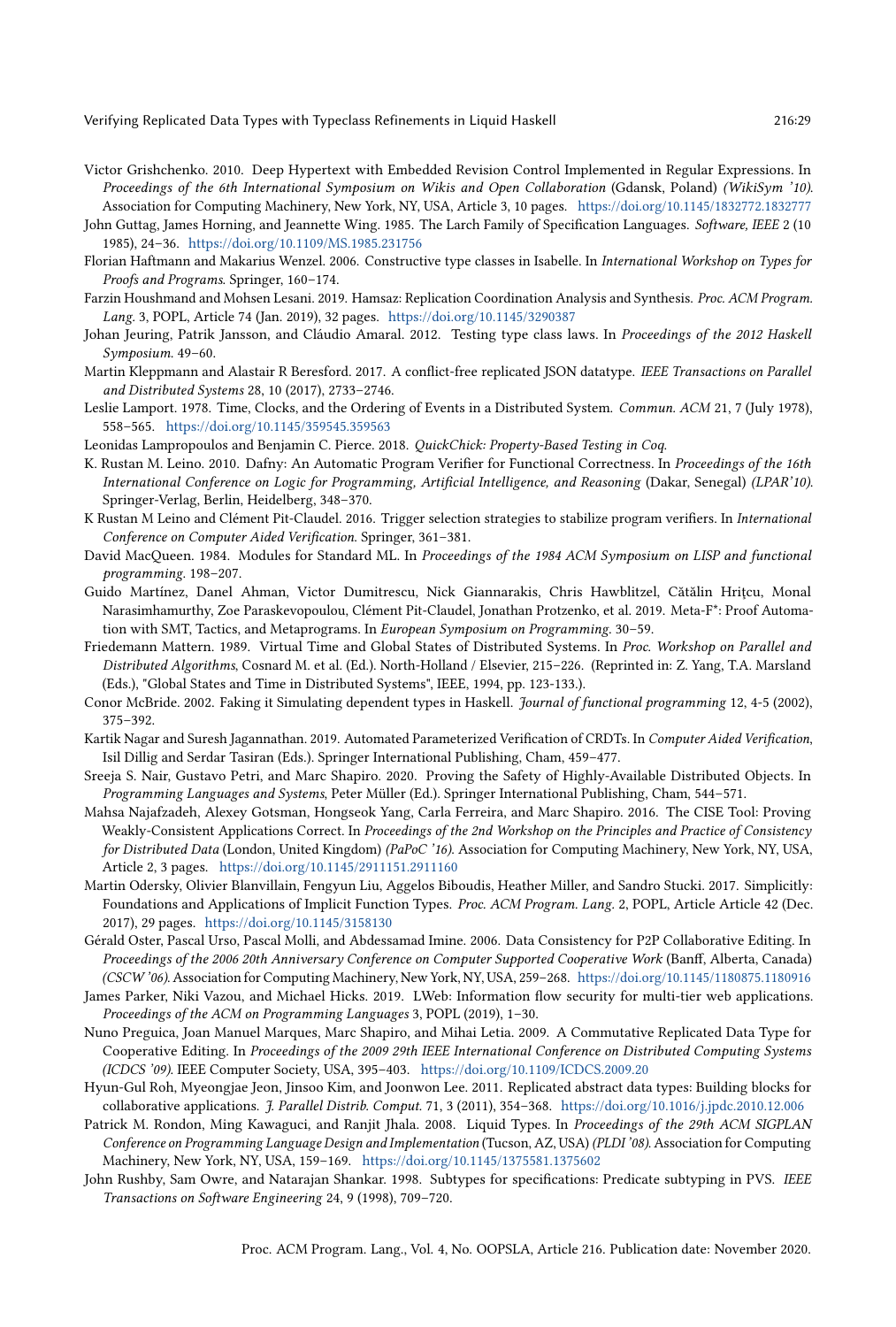- <span id="page-28-3"></span>Victor Grishchenko. 2010. Deep Hypertext with Embedded Revision Control Implemented in Regular Expressions. In Proceedings of the 6th International Symposium on Wikis and Open Collaboration (Gdansk, Poland) (WikiSym '10). Association for Computing Machinery, New York, NY, USA, Article 3, 10 pages. <https://doi.org/10.1145/1832772.1832777>
- <span id="page-28-13"></span>John Guttag, James Horning, and Jeannette Wing. 1985. The Larch Family of Specification Languages. Software, IEEE 2 (10 1985), 24-36. <https://doi.org/10.1109/MS.1985.231756>
- <span id="page-28-18"></span>Florian Haftmann and Makarius Wenzel. 2006. Constructive type classes in Isabelle. In International Workshop on Types for Proofs and Programs. Springer, 160-174.
- <span id="page-28-22"></span>Farzin Houshmand and Mohsen Lesani. 2019. Hamsaz: Replication Coordination Analysis and Synthesis. Proc. ACM Program. Lang. 3, POPL, Article 74 (Jan. 2019), 32 pages. <https://doi.org/10.1145/3290387>
- <span id="page-28-17"></span>Johan Jeuring, Patrik Jansson, and Cláudio Amaral. 2012. Testing type class laws. In Proceedings of the 2012 Haskell Symposium. 49-60.
- <span id="page-28-9"></span>Martin Kleppmann and Alastair R Beresford. 2017. A conflict-free replicated JSON datatype. IEEE Transactions on Parallel and Distributed Systems 28, 10 (2017), 2733-2746.
- <span id="page-28-10"></span>Leslie Lamport. 1978. Time, Clocks, and the Ordering of Events in a Distributed System. Commun. ACM 21, 7 (July 1978), 558-565. <https://doi.org/10.1145/359545.359563>
- <span id="page-28-20"></span>Leonidas Lampropoulos and Benjamin C. Pierce. 2018. QuickChick: Property-Based Testing in Coq.
- <span id="page-28-14"></span>K. Rustan M. Leino. 2010. Dafny: An Automatic Program Verifier for Functional Correctness. In Proceedings of the 16th International Conference on Logic for Programming, Artificial Intelligence, and Reasoning (Dakar, Senegal) (LPAR'10). Springer-Verlag, Berlin, Heidelberg, 348-370.
- <span id="page-28-4"></span>K Rustan M Leino and Clément Pit-Claudel. 2016. Trigger selection strategies to stabilize program verifiers. In International Conference on Computer Aided Verification. Springer, 361-381.
- <span id="page-28-6"></span>David MacQueen. 1984. Modules for Standard ML. In Proceedings of the 1984 ACM Symposium on LISP and functional programming. 198-207.
- <span id="page-28-19"></span>Guido Martínez, Danel Ahman, Victor Dumitrescu, Nick Giannarakis, Chris Hawblitzel, Cătălin Hriţcu, Monal Narasimhamurthy, Zoe Paraskevopoulou, Clément Pit-Claudel, Jonathan Protzenko, et al. 2019. Meta-F\*: Proof Automation with SMT, Tactics, and Metaprograms. In European Symposium on Programming. 30-59.
- <span id="page-28-11"></span>Friedemann Mattern. 1989. Virtual Time and Global States of Distributed Systems. In Proc. Workshop on Parallel and Distributed Algorithms, Cosnard M. et al. (Ed.). North-Holland / Elsevier, 215-226. (Reprinted in: Z. Yang, T.A. Marsland (Eds.), "Global States and Time in Distributed Systems", IEEE, 1994, pp. 123-133.).
- <span id="page-28-16"></span>Conor McBride. 2002. Faking it Simulating dependent types in Haskell. Journal of functional programming 12, 4-5 (2002),  $375 - 392.$
- <span id="page-28-12"></span>Kartik Nagar and Suresh Jagannathan. 2019. Automated Parameterized Verification of CRDTs. In Computer Aided Verification, Isil Dillig and Serdar Tasiran (Eds.). Springer International Publishing, Cham, 459-477.
- <span id="page-28-23"></span>Sreeja S. Nair, Gustavo Petri, and Marc Shapiro. 2020. Proving the Safety of Highly-Available Distributed Objects. In Programming Languages and Systems, Peter Müller (Ed.). Springer International Publishing, Cham, 544-571.
- <span id="page-28-21"></span>Mahsa Najafzadeh, Alexey Gotsman, Hongseok Yang, Carla Ferreira, and Marc Shapiro. 2016. The CISE Tool: Proving Weakly-Consistent Applications Correct. In Proceedings of the 2nd Workshop on the Principles and Practice of Consistency for Distributed Data (London, United Kingdom) (PaPoC '16). Association for Computing Machinery, New York, NY, USA, Article 2, 3 pages. <https://doi.org/10.1145/2911151.2911160>
- <span id="page-28-15"></span>Martin Odersky, Olivier Blanvillain, Fengyun Liu, Aggelos Biboudis, Heather Miller, and Sandro Stucki. 2017. Simplicitly: Foundations and Applications of Implicit Function Types. Proc. ACM Program. Lang. 2, POPL, Article Article 42 (Dec. 2017), 29 pages. <https://doi.org/10.1145/3158130>
- <span id="page-28-7"></span>Gérald Oster, Pascal Urso, Pascal Molli, and Abdessamad Imine. 2006. Data Consistency for P2P Collaborative Editing. In Proceedings of the 2006 20th Anniversary Conference on Computer Supported Cooperative Work (Banff, Alberta, Canada) (CSCW '06). Association for Computing Machinery, New York, NY, USA, 259-268. <https://doi.org/10.1145/1180875.1180916>
- <span id="page-28-5"></span>James Parker, Niki Vazou, and Michael Hicks. 2019. LWeb: Information flow security for multi-tier web applications. Proceedings of the ACM on Programming Languages 3, POPL (2019), 1-30.
- <span id="page-28-8"></span>Nuno Preguica, Joan Manuel Marques, Marc Shapiro, and Mihai Letia. 2009. A Commutative Replicated Data Type for Cooperative Editing. In Proceedings of the 2009 29th IEEE International Conference on Distributed Computing Systems (ICDCS '09). IEEE Computer Society, USA, 395-403. <https://doi.org/10.1109/ICDCS.2009.20>
- <span id="page-28-2"></span>Hyun-Gul Roh, Myeongjae Jeon, Jinsoo Kim, and Joonwon Lee. 2011. Replicated abstract data types: Building blocks for collaborative applications. J. Parallel Distrib. Comput. 71, 3 (2011), 354-368. <https://doi.org/10.1016/j.jpdc.2010.12.006>
- <span id="page-28-0"></span>Patrick M. Rondon, Ming Kawaguci, and Ranjit Jhala. 2008. Liquid Types. In Proceedings of the 29th ACM SIGPLAN Conference on Programming Language Design and Implementation (Tucson, AZ, USA) (PLDI '08). Association for Computing Machinery, New York, NY, USA, 159-169. <https://doi.org/10.1145/1375581.1375602>
- <span id="page-28-1"></span>John Rushby, Sam Owre, and Natarajan Shankar. 1998. Subtypes for specifications: Predicate subtyping in PVS. IEEE Transactions on Software Engineering 24, 9 (1998), 709-720.